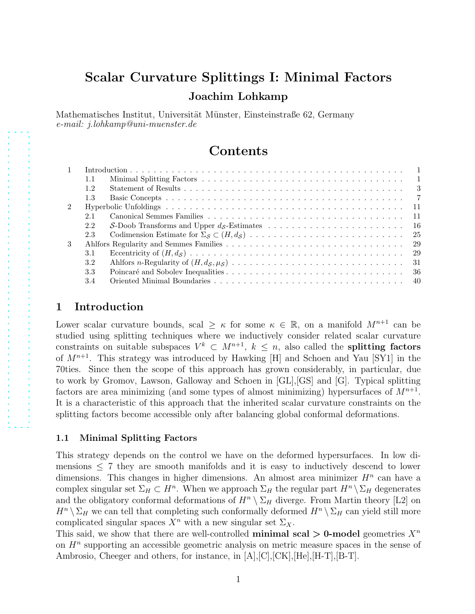# Scalar Curvature Splittings I: Minimal Factors Joachim Lohkamp

Mathematisches Institut, Universität Münster, Einsteinstraße 62, Germany e-mail: j.lohkamp@uni-muenster.de

## Contents

| 1.1           |       |
|---------------|-------|
| $1.2^{\circ}$ |       |
| 1.3           |       |
|               |       |
| 2.1           | $-11$ |
| 2.2           |       |
| 2.3           |       |
|               |       |
| 3.1           |       |
| 3.2           |       |
| 3.3           |       |
| 3.4           |       |
|               |       |

## <span id="page-0-0"></span>1 Introduction

Lower scalar curvature bounds, scal  $\geq \kappa$  for some  $\kappa \in \mathbb{R}$ , on a manifold  $M^{n+1}$  can be studied using splitting techniques where we inductively consider related scalar curvature constraints on suitable subspaces  $V^k \subset M^{n+1}$ ,  $k \leq n$ , also called the **splitting factors** of  $M^{n+1}$ . This strategy was introduced by Hawking [\[H\]](#page-41-0) and Schoen and Yau [\[SY1\]](#page-41-1) in the 70ties. Since then the scope of this approach has grown considerably, in particular, due to work by Gromov, Lawson, Galloway and Schoen in [\[GL\]](#page-41-2),[\[GS\]](#page-41-3) and [\[G\]](#page-41-4). Typical splitting factors are area minimizing (and some types of almost minimizing) hypersurfaces of  $M^{n+1}$ . It is a characteristic of this approach that the inherited scalar curvature constraints on the splitting factors become accessible only after balancing global conformal deformations.

## <span id="page-0-1"></span>1.1 Minimal Splitting Factors

This strategy depends on the control we have on the deformed hypersurfaces. In low dimensions  $\leq$  7 they are smooth manifolds and it is easy to inductively descend to lower dimensions. This changes in higher dimensions. An almost area minimizer  $H<sup>n</sup>$  can have a complex singular set  $\Sigma_H \subset H^n$ . When we approach  $\Sigma_H$  the regular part  $H^n \setminus \Sigma_H$  degenerates and the obligatory conformal deformations of  $H^n \setminus \Sigma_H$  diverge. From Martin theory [\[L2\]](#page-41-5) on  $H^n \setminus \Sigma_H$  we can tell that completing such conformally deformed  $H^n \setminus \Sigma_H$  can yield still more complicated singular spaces  $X^n$  with a new singular set  $\Sigma_X$ .

This said, we show that there are well-controlled **minimal scal > 0-model** geometries  $X^n$ on  $H<sup>n</sup>$  supporting an accessible geometric analysis on metric measure spaces in the sense of Ambrosio, Cheeger and others, for instance, in  $[A], [C], [CK], [He], [H-T], [B-T].$  $[A], [C], [CK], [He], [H-T], [B-T].$  $[A], [C], [CK], [He], [H-T], [B-T].$  $[A], [C], [CK], [He], [H-T], [B-T].$  $[A], [C], [CK], [He], [H-T], [B-T].$  $[A], [C], [CK], [He], [H-T], [B-T].$  $[A], [C], [CK], [He], [H-T], [B-T].$  $[A], [C], [CK], [He], [H-T], [B-T].$  $[A], [C], [CK], [He], [H-T], [B-T].$  $[A], [C], [CK], [He], [H-T], [B-T].$  $[A], [C], [CK], [He], [H-T], [B-T].$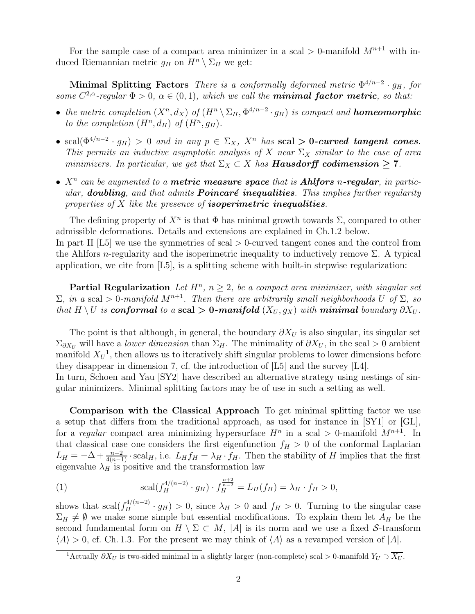For the sample case of a compact area minimizer in a scal  $> 0$ -manifold  $M^{n+1}$  with induced Riemannian metric  $g_H$  on  $H^n \setminus \Sigma_H$  we get:

Minimal Splitting Factors There is a conformally deformed metric  $\Phi^{4/n-2} \cdot g_H$ , for some  $C^{2,\alpha}$ -regular  $\Phi > 0$ ,  $\alpha \in (0,1)$ , which we call the **minimal factor metric**, so that:

- the metric completion  $(X^n, d_X)$  of  $(H^n \setminus \Sigma_H, \Phi^{4/n-2} \cdot g_H)$  is compact and **homeomorphic** to the completion  $(H^n, d_H)$  of  $(H^n, g_H)$ .
- scal $(\Phi^{4/n-2} \cdot g_H) > 0$  and in any  $p \in \Sigma_X$ ,  $X^n$  has scal > 0-curved tangent cones. This permits an inductive asymptotic analysis of X near  $\Sigma_X$  similar to the case of area minimizers. In particular, we get that  $\Sigma_X \subset X$  has **Hausdorff codimension**  $\geq 7$ .
- $X<sup>n</sup>$  can be augmented to a **metric measure space** that is **Ahlfors** n-regular, in particular, **doubling**, and that admits **Poincaré inequalities**. This implies further regularity properties of  $X$  like the presence of **isoperimetric inequalities**.

The defining property of  $X^n$  is that  $\Phi$  has minimal growth towards  $\Sigma$ , compared to other admissible deformations. Details and extensions are explained in Ch[.1.2](#page-2-0) below.

In part II [\[L5\]](#page-41-10) we use the symmetries of scal > 0-curved tangent cones and the control from the Ahlfors *n*-regularity and the isoperimetric inequality to inductively remove  $\Sigma$ . A typical application, we cite from  $\begin{bmatrix} L5 \end{bmatrix}$ , is a splitting scheme with built-in stepwise regularization:

**Partial Regularization** Let  $H^n$ ,  $n \geq 2$ , be a compact area minimizer, with singular set  $\Sigma$ , in a scal > 0-manifold M<sup>n+1</sup>. Then there are arbitrarily small neighborhoods U of Σ, so that H \ U is **conformal** to a scal > 0-manifold  $(X_U, g_X)$  with minimal boundary  $\partial X_U$ .

The point is that although, in general, the boundary  $\partial X_U$  is also singular, its singular set  $\Sigma_{\partial X_U}$  will have a lower dimension than  $\Sigma_H$ . The minimality of  $\partial X_U$ , in the scal > 0 ambient manifold  $X_U^1$  $X_U^1$ , then allows us to iteratively shift singular problems to lower dimensions before they disappear in dimension 7, cf. the introduction of [\[L5\]](#page-41-10) and the survey [\[L4\]](#page-41-11).

In turn, Schoen and Yau [\[SY2\]](#page-41-12) have described an alternative strategy using nestings of singular minimizers. Minimal splitting factors may be of use in such a setting as well.

Comparison with the Classical Approach To get minimal splitting factor we use a setup that differs from the traditional approach, as used for instance in [\[SY1\]](#page-41-1) or [\[GL\]](#page-41-2), for a regular compact area minimizing hypersurface  $H^n$  in a scal  $> 0$ -manifold  $M^{n+1}$ . In that classical case one considers the first eigenfunction  $f_H > 0$  of the conformal Laplacian  $L_H = -\Delta + \frac{n-2}{4(n-1)} \cdot \text{scal}_H$ , i.e.  $L_H f_H = \lambda_H \cdot f_H$ . Then the stability of H implies that the first eigenvalue  $\lambda_H$  is positive and the transformation law

(1) 
$$
\mathrm{scal}(f_H^{4/(n-2)} \cdot g_H) \cdot f_H^{\frac{n+2}{n-2}} = L_H(f_H) = \lambda_H \cdot f_H > 0,
$$

shows that  $\operatorname{scal}(f_H^{4/(n-2)} \cdot g_H) > 0$ , since  $\lambda_H > 0$  and  $f_H > 0$ . Turning to the singular case  $\Sigma_H \neq \emptyset$  we make some simple but essential modifications. To explain them let  $A_H$  be the second fundamental form on  $H \setminus \Sigma \subset M$ , |A| is its norm and we use a fixed S-transform  $\langle A \rangle > 0$ , cf. Ch. [1.3.](#page-6-0) For the present we may think of  $\langle A \rangle$  as a revamped version of  $|A|$ .

<span id="page-1-0"></span><sup>&</sup>lt;sup>1</sup>Actually  $\partial X_U$  is two-sided minimal in a slightly larger (non-complete) scal > 0-manifold  $Y_U \supset \overline{X_U}$ .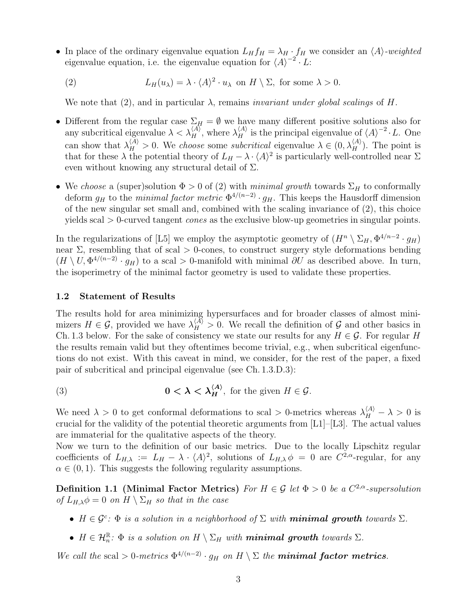- In place of the ordinary eigenvalue equation  $L_H f_H = \lambda_H \cdot f_H$  we consider an  $\langle A \rangle$ -weighted eigenvalue equation, i.e. the eigenvalue equation for  $\langle A \rangle^{-2} \cdot L$ :
	- (2)  $L_H(u_\lambda) = \lambda \cdot \langle A \rangle^2 \cdot u_\lambda$  on  $H \setminus \Sigma$ , for some  $\lambda > 0$ .

<span id="page-2-1"></span>We note that [\(2\)](#page-2-1), and in particular  $\lambda$ , remains *invariant under global scalings* of H.

- Different from the regular case  $\Sigma_H = \emptyset$  we have many different positive solutions also for any subcritical eigenvalue  $\lambda < \lambda_H^{(A)}$ , where  $\lambda_H^{(A)}$  is the principal eigenvalue of  $\langle A \rangle^{-2} \cdot L$ . One can show that  $\lambda_H^{(A)} > 0$ . We choose some subcritical eigenvalue  $\lambda \in (0, \lambda_H^{(A)})$ . The point is that for these  $\lambda$  the potential theory of  $L_H - \lambda \cdot \langle A \rangle^2$  is particularly well-controlled near  $\Sigma$ even without knowing any structural detail of  $\Sigma$ .
- We choose a (super)solution  $\Phi > 0$  of [\(2\)](#page-2-1) with minimal growth towards  $\Sigma_H$  to conformally deform  $g_H$  to the *minimal factor metric*  $\Phi^{4/(n-2)} \cdot g_H$ . This keeps the Hausdorff dimension of the new singular set small and, combined with the scaling invariance of [\(2\)](#page-2-1), this choice yields scal > 0-curved tangent cones as the exclusive blow-up geometries in singular points.

In the regularizations of [\[L5\]](#page-41-10) we employ the asymptotic geometry of  $(H^n \setminus \Sigma_H, \Phi^{4/n-2} \cdot g_H)$ near  $\Sigma$ , resembling that of scal  $> 0$ -cones, to construct surgery style deformations bending  $(H \setminus U, \Phi^{4/(n-2)} \cdot g_H)$  to a scal > 0-manifold with minimal  $\partial U$  as described above. In turn, the isoperimetry of the minimal factor geometry is used to validate these properties.

#### <span id="page-2-0"></span>1.2 Statement of Results

The results hold for area minimizing hypersurfaces and for broader classes of almost minimizers  $H \in \mathcal{G}$ , provided we have  $\lambda_H^{\langle A \rangle} > 0$ . We recall the definition of  $\mathcal{G}$  and other basics in Ch. [1.3](#page-6-0) below. For the sake of consistency we state our results for any  $H \in \mathcal{G}$ . For regular H the results remain valid but they oftentimes become trivial, e.g., when subcritical eigenfunctions do not exist. With this caveat in mind, we consider, for the rest of the paper, a fixed pair of subcritical and principal eigenvalue (see Ch. [1.3.](#page-6-0)D.3):

(3) 
$$
0 < \lambda < \lambda_H^{\langle A \rangle}, \text{ for the given } H \in \mathcal{G}.
$$

We need  $\lambda > 0$  to get conformal deformations to scal > 0-metrics whereas  $\lambda_H^{(A)} - \lambda > 0$  is crucial for the validity of the potential theoretic arguments from [\[L1\]](#page-41-13)–[\[L3\]](#page-41-14). The actual values are immaterial for the qualitative aspects of the theory.

Now we turn to the definition of our basic metrics. Due to the locally Lipschitz regular coefficients of  $L_{H,\lambda} := L_H - \lambda \cdot \langle A \rangle^2$ , solutions of  $L_{H,\lambda} \phi = 0$  are  $C^{2,\alpha}$ -regular, for any  $\alpha \in (0, 1)$ . This suggests the following regularity assumptions.

**Definition 1.1** (Minimal Factor Metrics) For  $H \in \mathcal{G}$  let  $\Phi > 0$  be a  $C^{2,\alpha}$ -supersolution of  $L_{H,\lambda}\phi = 0$  on  $H \setminus \Sigma_H$  so that in the case

- <span id="page-2-2"></span>•  $H \in \mathcal{G}^c$ :  $\Phi$  is a solution in a neighborhood of  $\Sigma$  with **minimal growth** towards  $\Sigma$ .
- $H \in \mathcal{H}_n^{\mathbb{R}}$ :  $\Phi$  is a solution on  $H \setminus \Sigma_H$  with **minimal growth** towards  $\Sigma$ .

We call the scal > 0-metrics  $\Phi^{4/(n-2)}$  ·  $g_H$  on  $H \setminus \Sigma$  the **minimal factor metrics**.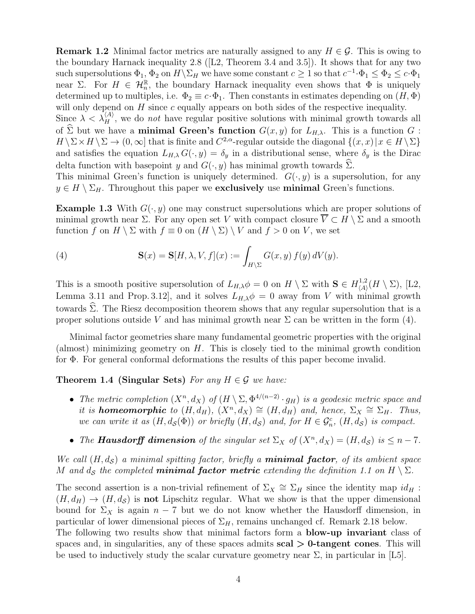**Remark 1.2** Minimal factor metrics are naturally assigned to any  $H \in \mathcal{G}$ . This is owing to the boundary Harnack inequality [2.8](#page-16-0)([\[L2,](#page-41-5) Theorem 3.4 and 3.5]). It shows that for any two such supersolutions  $\Phi_1$ ,  $\Phi_2$  on  $H \backslash \Sigma_H$  we have some constant  $c \ge 1$  so that  $c^{-1} \cdot \Phi_1 \le \Phi_2 \le c \cdot \Phi_1$ near  $\Sigma$ . For  $H \in \mathcal{H}_n^{\mathbb{R}}$ , the boundary Harnack inequality even shows that  $\Phi$  is uniquely determined up to multiples, i.e.  $\Phi_2 \equiv c \cdot \Phi_1$ . Then constants in estimates depending on  $(H, \Phi)$ will only depend on  $H$  since  $c$  equally appears on both sides of the respective inequality.

Since  $\lambda < \lambda_H^{(A)}$ , we do not have regular positive solutions with minimal growth towards all of  $\widehat{\Sigma}$  but we have a **minimal Green's function**  $G(x, y)$  for  $L_{H,\lambda}$ . This is a function G :  $H \setminus \Sigma \times H \setminus \Sigma \to (0, \infty]$  that is finite and  $C^{2,\alpha}$ -regular outside the diagonal  $\{(x, x) | x \in H \setminus \Sigma\}$ and satisfies the equation  $L_{H,\lambda} G(\cdot, y) = \delta_y$  in a distributional sense, where  $\delta_y$  is the Dirac delta function with basepoint y and  $G(\cdot, y)$  has minimal growth towards  $\Sigma$ .

This minimal Green's function is uniquely determined.  $G(\cdot, y)$  is a supersolution, for any  $y \in H \setminus \Sigma_H$ . Throughout this paper we exclusively use minimal Green's functions.

<span id="page-3-2"></span>**Example 1.3** With  $G(\cdot, y)$  one may construct supersolutions which are proper solutions of minimal growth near  $\Sigma$ . For any open set V with compact closure  $\overline{V} \subset H \setminus \Sigma$  and a smooth function f on  $H \setminus \Sigma$  with  $f \equiv 0$  on  $(H \setminus \Sigma) \setminus V$  and  $f > 0$  on V, we set

<span id="page-3-0"></span>(4) 
$$
\mathbf{S}(x) = \mathbf{S}[H, \lambda, V, f](x) := \int_{H \backslash \Sigma} G(x, y) f(y) dV(y).
$$

This is a smooth positive supersolution of  $L_{H,\lambda}\phi = 0$  on  $H \setminus \Sigma$  with  $S \in H_{\langle A \rangle}^{1,2}$  $\chi_{\langle A \rangle}^{1,2}(H \setminus \Sigma),$  [\[L2,](#page-41-5) Lemma 3.11 and Prop. 3.12], and it solves  $L_{H,\lambda}\phi = 0$  away from V with minimal growth towards  $\hat{\Sigma}$ . The Riesz decomposition theorem shows that any regular supersolution that is a proper solutions outside V and has minimal growth near  $\Sigma$  can be written in the form [\(4\)](#page-3-0).

Minimal factor geometries share many fundamental geometric properties with the original (almost) minimizing geometry on  $H$ . This is closely tied to the minimal growth condition for Φ. For general conformal deformations the results of this paper become invalid.

<span id="page-3-1"></span>**Theorem 1.4 (Singular Sets)** For any  $H \in \mathcal{G}$  we have:

- The metric completion  $(X^n, d_X)$  of  $(H \setminus \Sigma, \Phi^{4/(n-2)} \cdot g_H)$  is a geodesic metric space and it is **homeomorphic** to  $(H, d_H)$ ,  $(X^n, d_X) \cong (H, d_H)$  and, hence,  $\Sigma_X \cong \Sigma_H$ . Thus, we can write it as  $(H, d_{\mathcal{S}}(\Phi))$  or briefly  $(H, d_{\mathcal{S}})$  and, for  $H \in \mathcal{G}_n^c$ ,  $(H, d_{\mathcal{S}})$  is compact.
- The **Hausdorff dimension** of the singular set  $\Sigma_X$  of  $(X^n, d_X) = (H, d_S)$  is  $\leq n 7$ .

We call  $(H, d<sub>S</sub>)$  a minimal spitting factor, briefly a **minimal factor**, of its ambient space M and  $d_{\mathcal{S}}$  the completed **minimal factor metric** extending the definition [1.1](#page-2-2) on  $H \setminus \Sigma$ .

The second assertion is a non-trivial refinement of  $\Sigma_X \cong \Sigma_H$  since the identity map  $id_H$ :  $(H, d_H) \rightarrow (H, d_S)$  is not Lipschitz regular. What we show is that the upper dimensional bound for  $\Sigma_X$  is again  $n-7$  but we do not know whether the Hausdorff dimension, in particular of lower dimensional pieces of  $\Sigma_H$ , remains unchanged cf. Remark [2.18](#page-24-1) below. The following two results show that minimal factors form a **blow-up invariant** class of spaces and, in singularities, any of these spaces admits  $\text{scal} > 0$ -tangent cones. This will be used to inductively study the scalar curvature geometry near  $\Sigma$ , in particular in [\[L5\]](#page-41-10).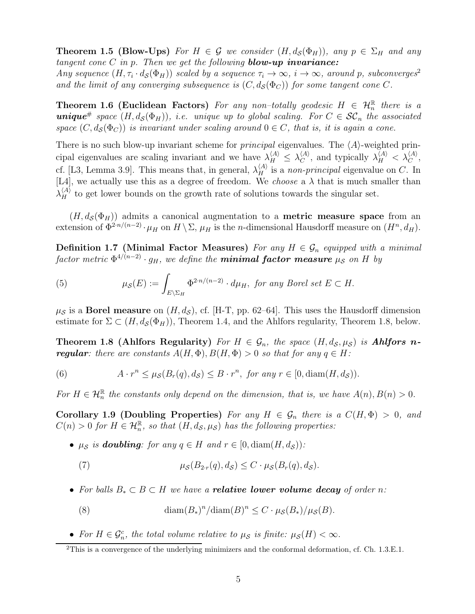**Theorem 1.5 (Blow-Ups)** For  $H \in \mathcal{G}$  we consider  $(H, d_{\mathcal{S}}(\Phi_H))$ , any  $p \in \Sigma_H$  and any tangent cone  $C$  in  $p$ . Then we get the following **blow-up invariance:** Any sequence  $(H, \tau_i \cdot d_{\mathcal{S}}(\Phi_H))$  scaled by a sequence  $\tau_i \to \infty$ ,  $i \to \infty$ , around p, subconverges<sup>[2](#page-4-0)</sup> and the limit of any converging subsequence is  $(C, d_{\mathcal{S}}(\Phi_C))$  for some tangent cone C.

**Theorem 1.6 (Euclidean Factors)** For any non-totally geodesic  $H \in \mathcal{H}_n^{\mathbb{R}}$  there is a **unique**<sup>#</sup> space  $(H, d_{\mathcal{S}}(\Phi_H))$ , i.e. unique up to global scaling. For  $C \in \mathcal{SC}_n$  the associated space  $(C, d_{\mathcal{S}}(\Phi_C))$  is invariant under scaling around  $0 \in C$ , that is, it is again a cone.

There is no such blow-up invariant scheme for *principal* eigenvalues. The  $\langle A \rangle$ -weighted principal eigenvalues are scaling invariant and we have  $\lambda_H^{(A)} \leq \lambda_C^{(A)}$  $\chi_C^{(A)}$ , and typically  $\lambda_H^{(A)} < \lambda_C^{(A)}$ , cf. [\[L3,](#page-41-14) Lemma 3.9]. This means that, in general,  $\lambda_H^{\langle A \rangle}$  is a non-principal eigenvalue on C. In [\[L4\]](#page-41-11), we actually use this as a degree of freedom. We *choose* a  $\lambda$  that is much smaller than  $\lambda_H^{(A)}$  to get lower bounds on the growth rate of solutions towards the singular set.

 $(H, d<sub>S</sub>(\Phi_H))$  admits a canonical augmentation to a **metric measure space** from an extension of  $\Phi^{2\cdot n/(n-2)}\cdot \mu_H$  on  $H \setminus \Sigma$ ,  $\mu_H$  is the *n*-dimensional Hausdorff measure on  $(H^n, d_H)$ .

Definition 1.7 (Minimal Factor Measures) For any  $H \in \mathcal{G}_n$  equipped with a minimal factor metric  $\Phi^{4/(n-2)} \cdot g_H$ , we define the **minimal factor measure**  $\mu_{\mathcal{S}}$  on  $H$  by

(5) 
$$
\mu_{\mathcal{S}}(E) := \int_{E \setminus \Sigma_H} \Phi^{2 \cdot n/(n-2)} \cdot d\mu_H, \text{ for any Borel set } E \subset H.
$$

<span id="page-4-1"></span> $\mu_S$  is a **Borel measure** on  $(H, d_S)$ , cf. [\[H-T,](#page-41-9) pp. 62–64]. This uses the Hausdorff dimension estimate for  $\Sigma \subset (H, d_{\mathcal{S}}(\Phi_H))$ , Theorem [1.4,](#page-3-1) and the Ahlfors regularity, Theorem [1.8,](#page-4-1) below.

Theorem 1.8 (Ahlfors Regularity) For  $H \in \mathcal{G}_n$ , the space  $(H, d_{\mathcal{S}}, \mu_{\mathcal{S}})$  is Ahlfors n**regular**: there are constants  $A(H, \Phi), B(H, \Phi) > 0$  so that for any  $q \in H$ :

(6) 
$$
A \cdot r^n \leq \mu_{\mathcal{S}}(B_r(q), d_{\mathcal{S}}) \leq B \cdot r^n, \text{ for any } r \in [0, \text{diam}(H, d_{\mathcal{S}})).
$$

<span id="page-4-2"></span>For  $H \in \mathcal{H}_n^{\mathbb{R}}$  the constants only depend on the dimension, that is, we have  $A(n), B(n) > 0$ .

Corollary 1.9 (Doubling Properties) For any  $H \in \mathcal{G}_n$  there is a  $C(H, \Phi) > 0$ , and  $C(n) > 0$  for  $H \in \mathcal{H}_n^{\mathbb{R}}$ , so that  $(H, d_{\mathcal{S}}, \mu_{\mathcal{S}})$  has the following properties:

•  $\mu_S$  is **doubling**: for any  $q \in H$  and  $r \in [0, \text{diam}(H, d_S))$ :

(7) 
$$
\mu_{\mathcal{S}}(B_{2r}(q), d_{\mathcal{S}}) \leq C \cdot \mu_{\mathcal{S}}(B_{r}(q), d_{\mathcal{S}}).
$$

• For balls  $B_* \subset B \subset H$  we have a **relative lower volume decay** of order n:

(8) 
$$
\text{diam}(B_*)^n/\text{diam}(B)^n \leq C \cdot \mu_{\mathcal{S}}(B_*)/\mu_{\mathcal{S}}(B).
$$

• For  $H \in \mathcal{G}_n^c$ , the total volume relative to  $\mu_{\mathcal{S}}$  is finite:  $\mu_{\mathcal{S}}(H) < \infty$ .

<span id="page-4-0"></span><sup>2</sup>This is a convergence of the underlying minimizers and the conformal deformation, cf. Ch. [1.3.](#page-6-0)E.1.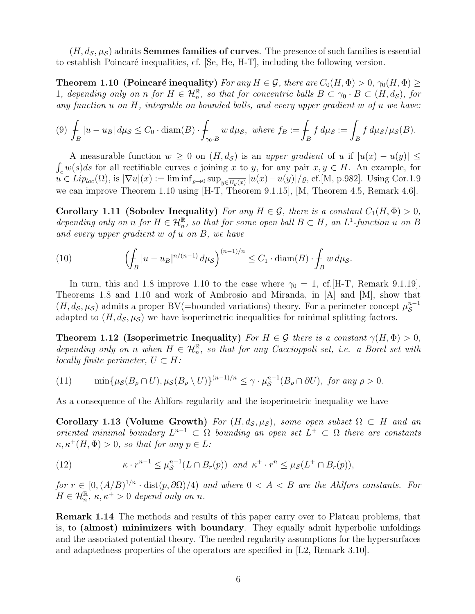<span id="page-5-0"></span> $(H, d_{\mathcal{S}}, \mu_{\mathcal{S}})$  admits **Semmes families of curves**. The presence of such families is essential to establish Poincaré inequalities, cf.  $[Se, He, H-T]$  $[Se, He, H-T]$  $[Se, He, H-T]$ , including the following version.

**Theorem 1.10** (Poincaré inequality) For any  $H \in \mathcal{G}$ , there are  $C_0(H, \Phi) > 0$ ,  $\gamma_0(H, \Phi) \geq$ 1, depending only on n for  $H \in \mathcal{H}_n^{\mathbb{R}}$ , so that for concentric balls  $B \subset \gamma_0 \cdot B \subset (H, d_{\mathcal{S}})$ , for any function u on H, integrable on bounded balls, and every upper gradient w of u we have:

$$
(9) \int_B |u - u_B| \, d\mu_{\mathcal{S}} \le C_0 \cdot \operatorname{diam}(B) \cdot \int_{\gamma_0 \cdot B} w \, d\mu_{\mathcal{S}}, \text{ where } f_B := \int_B f \, d\mu_{\mathcal{S}} := \int_B f \, d\mu_{\mathcal{S}}/\mu_{\mathcal{S}}(B).
$$

A measurable function  $w \geq 0$  on  $(H, d_{\mathcal{S}})$  is an upper gradient of u if  $|u(x) - u(y)| \leq$  $\int_{c} w(s)ds$  for all rectifiable curves c joining x to y, for any pair  $x, y \in H$ . An example, for  $u \in Lip_{loc}(\Omega)$ , is  $|\nabla u|(x) := \liminf_{\varrho \to 0} \sup_{y \in \overline{B_{\varrho}(x)}} |u(x) - u(y)|/\varrho$ , cf.[\[M,](#page-41-16) p.982]. Using Cor[.1.9](#page-4-2) we can improve Theorem [1.10](#page-5-0) using [\[H-T,](#page-41-9) Theorem 9.1.15], [\[M,](#page-41-16) Theorem 4.5, Remark 4.6].

Corollary 1.11 (Sobolev Inequality) For any  $H \in \mathcal{G}$ , there is a constant  $C_1(H, \Phi) > 0$ , depending only on n for  $H \in \mathcal{H}_n^{\mathbb{R}}$ , so that for some open ball  $B \subset H$ , an  $L^1$ -function u on B and every upper gradient w of u on B, we have

(10) 
$$
\left(\int_B |u - u_B|^{n/(n-1)} d\mu_{\mathcal{S}}\right)^{(n-1)/n} \leq C_1 \cdot \text{diam}(B) \cdot \int_B w d\mu_{\mathcal{S}}.
$$

In turn, this and [1.8](#page-4-1) improve [1.10](#page-5-0) to the case where  $\gamma_0 = 1$ , cf. [\[H-T,](#page-41-9) Remark 9.1.19]. Theorems [1.8](#page-4-1) and [1.10](#page-5-0) and work of Ambrosio and Miranda, in [\[A\]](#page-40-0) and [\[M\]](#page-41-16), show that  $(H, d_{\mathcal{S}}, \mu_{\mathcal{S}})$  admits a proper BV(=bounded variations) theory. For a perimeter concept  $\mu_{\mathcal{S}}^{n-1}$ S adapted to  $(H, d<sub>S</sub>, \mu<sub>S</sub>)$  we have isoperimetric inequalities for minimal splitting factors.

**Theorem 1.12 (Isoperimetric Inequality)** For  $H \in \mathcal{G}$  there is a constant  $\gamma(H, \Phi) > 0$ , depending only on n when  $H \in \mathcal{H}_n^{\mathbb{R}}$ , so that for any Caccioppoli set, i.e. a Borel set with locally finite perimeter,  $U \subset H$ :

(11) 
$$
\min\{\mu_{\mathcal{S}}(B_{\rho}\cap U),\mu_{\mathcal{S}}(B_{\rho}\setminus U)\}^{(n-1)/n}\leq \gamma\cdot\mu_{\mathcal{S}}^{n-1}(B_{\rho}\cap\partial U),\text{ for any }\rho>0.
$$

As a consequence of the Ahlfors regularity and the isoperimetric inequality we have

Corollary 1.13 (Volume Growth) For  $(H, d_S, \mu_S)$ , some open subset  $\Omega \subset H$  and an oriented minimal boundary  $L^{n-1} \subset \Omega$  bounding an open set  $L^+ \subset \Omega$  there are constants  $\kappa, \kappa^+(H, \Phi) > 0$ , so that for any  $p \in L$ :

(12) 
$$
\kappa \cdot r^{n-1} \leq \mu_{\mathcal{S}}^{n-1}(L \cap B_r(p)) \text{ and } \kappa^+ \cdot r^n \leq \mu_{\mathcal{S}}(L^+ \cap B_r(p)),
$$

for  $r \in [0, (A/B)^{1/n} \cdot \text{dist}(p, \partial \Omega)/4)$  and where  $0 < A < B$  are the Ahlfors constants. For  $H \in \mathcal{H}_n^{\mathbb{R}}, \, \kappa, \kappa^+ > 0$  depend only on n.

Remark 1.14 The methods and results of this paper carry over to Plateau problems, that is, to (almost) minimizers with boundary. They equally admit hyperbolic unfoldings and the associated potential theory. The needed regularity assumptions for the hypersurfaces and adaptedness properties of the operators are specified in [\[L2,](#page-41-5) Remark 3.10].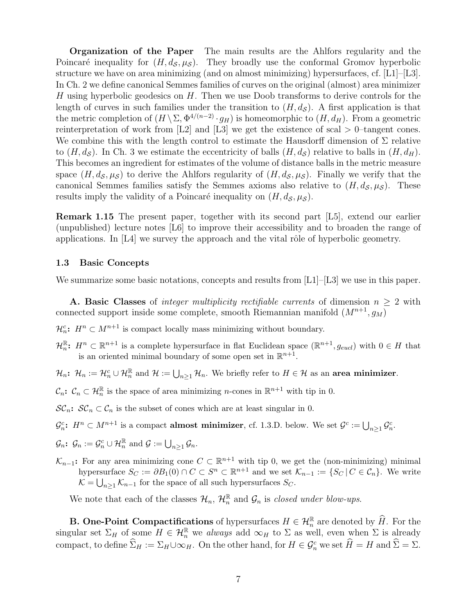Organization of the Paper The main results are the Ahlfors regularity and the Poincaré inequality for  $(H, d_\mathcal{S}, \mu_\mathcal{S})$ . They broadly use the conformal Gromov hyperbolic structure we have on area minimizing (and on almost minimizing) hypersurfaces, cf.  $[L1]-[L3]$  $[L1]-[L3]$ . In Ch. 2 we define canonical Semmes families of curves on the original (almost) area minimizer H using hyperbolic geodesics on  $H$ . Then we use Doob transforms to derive controls for the length of curves in such families under the transition to  $(H, d<sub>S</sub>)$ . A first application is that the metric completion of  $(H \setminus \Sigma, \Phi^{4/(n-2)} \cdot g_H)$  is homeomorphic to  $(H, d_H)$ . From a geometric reinterpretation of work from [\[L2\]](#page-41-5) and [\[L3\]](#page-41-14) we get the existence of scal  $> 0$ -tangent cones. We combine this with the length control to estimate the Hausdorff dimension of  $\Sigma$  relative to  $(H, d<sub>S</sub>)$ . In Ch. 3 we estimate the eccentricity of balls  $(H, d<sub>S</sub>)$  relative to balls in  $(H, d<sub>H</sub>)$ . This becomes an ingredient for estimates of the volume of distance balls in the metric measure space  $(H, d_{\mathcal{S}}, \mu_{\mathcal{S}})$  to derive the Ahlfors regularity of  $(H, d_{\mathcal{S}}, \mu_{\mathcal{S}})$ . Finally we verify that the canonical Semmes families satisfy the Semmes axioms also relative to  $(H, d_{\mathcal{S}}, \mu_{\mathcal{S}})$ . These results imply the validity of a Poincaré inequality on  $(H, d<sub>S</sub>, \mu<sub>S</sub>)$ .

Remark 1.15 The present paper, together with its second part [\[L5\]](#page-41-10), extend our earlier (unpublished) lecture notes [\[L6\]](#page-41-17) to improve their accessibility and to broaden the range of applications. In  $[L4]$  we survey the approach and the vital rôle of hyperbolic geometry.

#### <span id="page-6-0"></span>1.3 Basic Concepts

We summarize some basic notations, concepts and results from  $[L1]-[L3]$  $[L1]-[L3]$  we use in this paper.

**A. Basic Classes** of *integer multiplicity rectifiable currents* of dimension  $n \geq 2$  with connected support inside some complete, smooth Riemannian manifold  $(M^{n+1}, g_M)$ 

 $\mathcal{H}_n^c$ :  $H^n \subset M^{n+1}$  is compact locally mass minimizing without boundary.

 $\mathcal{H}_n^{\mathbb{R}}$ :  $H^n \subset \mathbb{R}^{n+1}$  is a complete hypersurface in flat Euclidean space  $(\mathbb{R}^{n+1}, g_{eucl})$  with  $0 \in H$  that is an oriented minimal boundary of some open set in  $\mathbb{R}^{n+1}$ .

 $\mathcal{H}_n$ :  $\mathcal{H}_n := \mathcal{H}_n^c \cup \mathcal{H}_n^{\mathbb{R}}$  and  $\mathcal{H} := \bigcup_{n \geq 1} \mathcal{H}_n$ . We briefly refer to  $H \in \mathcal{H}$  as an area minimizer.

 $\mathcal{C}_n$ :  $\mathcal{C}_n \subset \mathcal{H}_n^{\mathbb{R}}$  is the space of area minimizing *n*-cones in  $\mathbb{R}^{n+1}$  with tip in 0.

 $\mathcal{SC}_n$ :  $\mathcal{SC}_n \subset \mathcal{C}_n$  is the subset of cones which are at least singular in 0.

 $\mathcal{G}_n^c$ :  $H^n \subset M^{n+1}$  is a compact **almost minimizer**, cf. [1.3.](#page-6-0)D. below. We set  $\mathcal{G}^c := \bigcup_{n \geq 1} \mathcal{G}_n^c$ .

$$
\mathcal{G}_n\colon\thinspace \mathcal{G}_n:=\mathcal{G}_n^c\cup\mathcal{H}_n^{\mathbb{R}} \text{ and } \mathcal{G}:=\bigcup_{n\geq 1} \mathcal{G}_n.
$$

 $\mathcal{K}_{n-1}$ : For any area minimizing cone  $C \subset \mathbb{R}^{n+1}$  with tip 0, we get the (non-minimizing) minimal hypersurface  $S_C := \partial B_1(0) \cap C \subset S^n \subset \mathbb{R}^{n+1}$  and we set  $\mathcal{K}_{n-1} := \{ S_C \mid C \in \mathcal{C}_n \}.$  We write  $\mathcal{K} = \bigcup_{n \geq 1} \mathcal{K}_{n-1}$  for the space of all such hypersurfaces  $S_C$ .

We note that each of the classes  $\mathcal{H}_n$ ,  $\mathcal{H}_n^{\mathbb{R}}$  and  $\mathcal{G}_n$  is *closed under blow-ups*.

**B.** One-Point Compactifications of hypersurfaces  $H \in \mathcal{H}_n^{\mathbb{R}}$  are denoted by  $H$ . For the singular set  $\Sigma_H$  of some  $H \in \mathcal{H}_n^{\mathbb{R}}$  we always add  $\infty_H$  to  $\Sigma$  as well, even when  $\Sigma$  is already compact, to define  $\Sigma_H := \Sigma_H \cup \infty_H$ . On the other hand, for  $H \in \mathcal{G}_n^c$  we set  $H = H$  and  $\Sigma = \Sigma$ .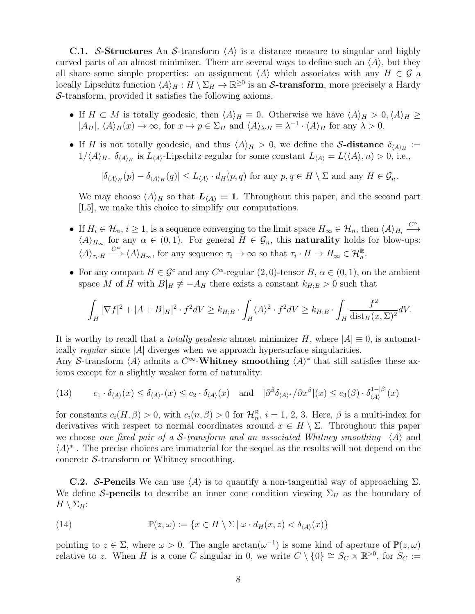**C.1.** S-Structures An S-transform  $\langle A \rangle$  is a distance measure to singular and highly curved parts of an almost minimizer. There are several ways to define such an  $\langle A \rangle$ , but they all share some simple properties: an assignment  $\langle A \rangle$  which associates with any  $H \in \mathcal{G}$  a locally Lipschitz function  $\langle A \rangle_H : H \setminus \Sigma_H \to \mathbb{R}^{\geq 0}$  is an S-transform, more precisely a Hardy S-transform, provided it satisfies the following axioms.

- If  $H \subset M$  is totally geodesic, then  $\langle A \rangle_H \equiv 0$ . Otherwise we have  $\langle A \rangle_H > 0$ ,  $\langle A \rangle_H \ge$  $|A_H|, \langle A \rangle_H(x) \to \infty$ , for  $x \to p \in \Sigma_H$  and  $\langle A \rangle_{\lambda \cdot H} \equiv \lambda^{-1} \cdot \langle A \rangle_H$  for any  $\lambda > 0$ .
- If H is not totally geodesic, and thus  $\langle A \rangle_H > 0$ , we define the S-distance  $\delta_{\langle A \rangle_H} :=$  $1/\langle A \rangle_H$ .  $\delta_{\langle A \rangle_H}$  is  $L_{\langle A \rangle}$ -Lipschitz regular for some constant  $L_{\langle A \rangle} = L(\langle A \rangle, n) > 0$ , i.e.,

 $|\delta_{\langle A \rangle_H}(p) - \delta_{\langle A \rangle_H}(q)| \leq L_{\langle A \rangle} \cdot d_H(p,q)$  for any  $p,q \in H \setminus \Sigma$  and any  $H \in \mathcal{G}_n$ .

We may choose  $\langle A \rangle_H$  so that  $\mathbf{L}_{\langle A \rangle} = 1$ . Throughout this paper, and the second part [\[L5\]](#page-41-10), we make this choice to simplify our computations.

- If  $H_i \in \mathcal{H}_n$ ,  $i \geq 1$ , is a sequence converging to the limit space  $H_{\infty} \in \mathcal{H}_n$ , then  $\langle A \rangle_{H_i} \stackrel{C^{\alpha}}{\longrightarrow}$ −→  $\langle A \rangle_{H_{\infty}}$  for any  $\alpha \in (0,1)$ . For general  $H \in \mathcal{G}_n$ , this **naturality** holds for blow-ups:  $\langle A \rangle_{\tau_i \cdot H} \stackrel{C^{\alpha}}{\longrightarrow} \langle A \rangle_{H_{\infty}}$ , for any sequence  $\tau_i \to \infty$  so that  $\tau_i \cdot H \to H_{\infty} \in \mathcal{H}_n^{\mathbb{R}}$ .
- For any compact  $H \in \mathcal{G}^c$  and any  $C^{\alpha}$ -regular  $(2,0)$ -tensor  $B, \alpha \in (0,1)$ , on the ambient space M of H with  $B|_H \neq -A_H$  there exists a constant  $k_{H;B} > 0$  such that

$$
\int_H |\nabla f|^2 + |A + B|_H|^2 \cdot f^2 dV \ge k_{H;B} \cdot \int_H \langle A \rangle^2 \cdot f^2 dV \ge k_{H;B} \cdot \int_H \frac{f^2}{\text{dist}_H(x,\Sigma)^2} dV.
$$

It is worthy to recall that a *totally geodesic* almost minimizer H, where  $|A| \equiv 0$ , is automatically regular since  $|A|$  diverges when we approach hypersurface singularities.

Any S-transform  $\langle A \rangle$  admits a  $C^{\infty}$ -Whitney smoothing  $\langle A \rangle^*$  that still satisfies these axioms except for a slightly weaker form of naturality:

<span id="page-7-0"></span>(13) 
$$
c_1 \cdot \delta_{\langle A \rangle}(x) \le \delta_{\langle A \rangle^*}(x) \le c_2 \cdot \delta_{\langle A \rangle}(x) \quad \text{and} \quad |\partial^\beta \delta_{\langle A \rangle^*}/\partial x^\beta|(x) \le c_3(\beta) \cdot \delta_{\langle A \rangle}^{1-|\beta|}(x)
$$

for constants  $c_i(H, \beta) > 0$ , with  $c_i(n, \beta) > 0$  for  $\mathcal{H}_n^{\mathbb{R}}$ ,  $i = 1, 2, 3$ . Here,  $\beta$  is a multi-index for derivatives with respect to normal coordinates around  $x \in H \setminus \Sigma$ . Throughout this paper we choose one fixed pair of a S-transform and an associated Whitney smoothing  $\langle A \rangle$  and  $\langle A\rangle^*$  . The precise choices are immaterial for the sequel as the results will not depend on the concrete  $S$ -transform or Whitney smoothing.

**C.2.** S-Pencils We can use  $\langle A \rangle$  is to quantify a non-tangential way of approaching  $\Sigma$ . We define S-pencils to describe an inner cone condition viewing  $\Sigma_H$  as the boundary of  $H \setminus \Sigma_H$ :

(14) 
$$
\mathbb{P}(z,\omega) := \{x \in H \setminus \Sigma \,|\, \omega \cdot d_H(x,z) < \delta_{\langle A \rangle}(x)\}
$$

pointing to  $z \in \Sigma$ , where  $\omega > 0$ . The angle  $\arctan(\omega^{-1})$  is some kind of aperture of  $\mathbb{P}(z,\omega)$ relative to z. When H is a cone C singular in 0, we write  $C \setminus \{0\} \cong S_C \times \mathbb{R}^{>0}$ , for  $S_C :=$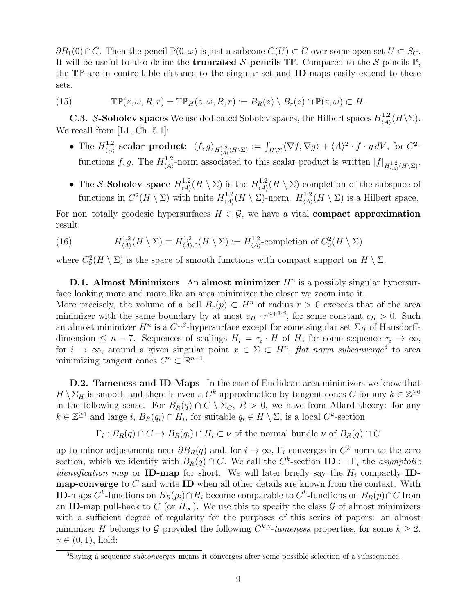$\partial B_1(0) \cap C$ . Then the pencil  $\mathbb{P}(0, \omega)$  is just a subcone  $C(U) \subset C$  over some open set  $U \subset S_C$ . It will be useful to also define the **truncated S-pencils**  $\mathbb{TP}$ . Compared to the S-pencils  $\mathbb{P}$ , the TP are in controllable distance to the singular set and ID-maps easily extend to these sets.

(15) 
$$
\mathbb{TP}(z,\omega,R,r) = \mathbb{TP}_H(z,\omega,R,r) := B_R(z) \setminus B_r(z) \cap \mathbb{P}(z,\omega) \subset H.
$$

**C.3.** S-Sobolev spaces We use dedicated Sobolev spaces, the Hilbert spaces  $H_{\langle A \rangle}^{1,2}$  $\chi^{1,2}_{\langle A \rangle}(H \backslash \Sigma).$ We recall from [\[L1,](#page-41-13) Ch. 5.1]:

- The  $H^{1,2}_{(A)}$  $\mathcal{A}_{\langle A \rangle}^{1,2}\text{-scalar product: }\langle f,g \rangle_{H_{\langle A \rangle}^{1,2}(H \setminus \Sigma)} := \int_{H \setminus \Sigma} \langle \nabla f,\nabla g \rangle + \langle A \rangle^2 \cdot f \cdot g \, dV, \text{ for } C^2\text{-a}.$ functions  $f, g$ . The  $H_{(A)}^{1,2}$ <sup>1,2</sup> norm associated to this scalar product is written  $|f|_{H^{1,2}_{\langle A \rangle}(H \setminus \Sigma)}$ .
- The S-Sobolev space  $H_{\langle A \rangle}^{1,2}$  $\chi^{1,2}_{\langle A \rangle}(H \setminus \Sigma)$  is the  $H^{1,2}_{\langle A \rangle}$  $\chi_{\langle A \rangle}^{1,2}(H \setminus \Sigma)$ -completion of the subspace of functions in  $C^2(H \setminus \Sigma)$  with finite  $H^{1,2}_{\langle A \rangle}$  $\chi^{1,2}_{\langle A \rangle}(H \setminus \Sigma)$ -norm.  $H^{1,2}_{\langle A \rangle}$  $\chi_{\langle A \rangle}^{1,2}(H \setminus \Sigma)$  is a Hilbert space.

For non–totally geodesic hypersurfaces  $H \in \mathcal{G}$ , we have a vital **compact approximation** result

(16) 
$$
H_{\langle A \rangle}^{1,2}(H \setminus \Sigma) \equiv H_{\langle A \rangle,0}^{1,2}(H \setminus \Sigma) := H_{\langle A \rangle}^{1,2}
$$
-completion of  $C_0^2(H \setminus \Sigma)$ 

where  $C_0^2(H \setminus \Sigma)$  is the space of smooth functions with compact support on  $H \setminus \Sigma$ .

**D.1.** Almost Minimizers An almost minimizer  $H<sup>n</sup>$  is a possibly singular hypersurface looking more and more like an area minimizer the closer we zoom into it.

More precisely, the volume of a ball  $B_r(p) \subset H^n$  of radius  $r > 0$  exceeds that of the area minimizer with the same boundary by at most  $c_H \cdot r^{n+2\cdot\beta}$ , for some constant  $c_H > 0$ . Such an almost minimizer  $H^n$  is a  $C^{1,\beta}$ -hypersurface except for some singular set  $\Sigma_H$  of Hausdorffdimension  $\leq n-7$ . Sequences of scalings  $H_i = \tau_i \cdot H$  of  $H$ , for some sequence  $\tau_i \to \infty$ , for  $i \to \infty$ , around a given singular point  $x \in \Sigma \subset H^n$ , flat norm subconverge<sup>[3](#page-8-0)</sup> to area minimizing tangent cones  $C^n \subset \mathbb{R}^{n+1}$ .

D.2. Tameness and ID-Maps In the case of Euclidean area minimizers we know that  $H \setminus \Sigma_H$  is smooth and there is even a  $C^k$ -approximation by tangent cones C for any  $k \in \mathbb{Z}^{\geq 0}$ in the following sense. For  $B_R(q) \cap C \setminus \Sigma_C$ ,  $R > 0$ , we have from Allard theory: for any  $k \in \mathbb{Z}^{\geq 1}$  and large i,  $B_R(q_i) \cap H_i$ , for suitable  $q_i \in H \setminus \Sigma$ , is a local  $C^k$ -section

$$
\Gamma_i: B_R(q) \cap C \to B_R(q_i) \cap H_i \subset \nu
$$
 of the normal bundle  $\nu$  of  $B_R(q) \cap C$ 

up to minor adjustments near  $\partial B_R(q)$  and, for  $i \to \infty$ ,  $\Gamma_i$  converges in  $C^k$ -norm to the zero section, which we identify with  $B_R(q) \cap C$ . We call the  $C^k$ -section  $\mathbf{ID} := \Gamma_i$  the asymptotic *identification map* or **ID-map** for short. We will later briefly say the  $H_i$  compactly **IDmap-converge** to  $C$  and write **ID** when all other details are known from the context. With **ID**-maps  $C^k$ -functions on  $B_R(p_i) \cap H_i$  become comparable to  $C^k$ -functions on  $B_R(p) \cap C$  from an ID-map pull-back to C (or  $H_{\infty}$ ). We use this to specify the class G of almost minimizers with a sufficient degree of regularity for the purposes of this series of papers: an almost minimizer H belongs to G provided the following  $C^{k,\gamma}$ -tameness properties, for some  $k \geq 2$ ,  $\gamma \in (0,1)$ , hold:

<span id="page-8-0"></span><sup>3</sup>Saying a sequence subconverges means it converges after some possible selection of a subsequence.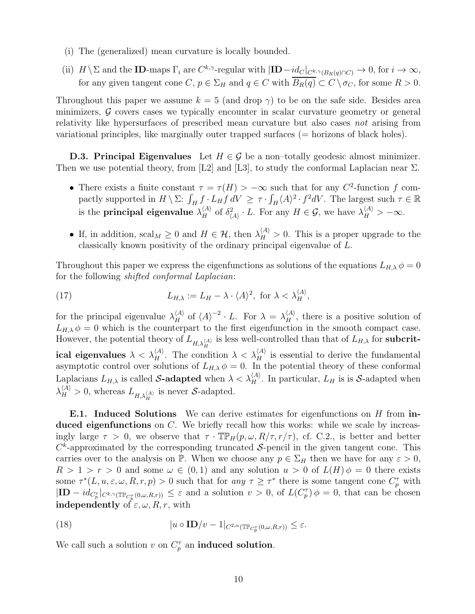- (i) The (generalized) mean curvature is locally bounded.
- (ii)  $H \setminus \Sigma$  and the **ID**-maps  $\Gamma_i$  are  $C^{k,\gamma}$ -regular with  $|\mathbf{ID} \underline{id}_C|_{C^k,\gamma(B_R(q) \cap C)} \to 0$ , for  $i \to \infty$ , for any given tangent cone C,  $p \in \Sigma_H$  and  $q \in C$  with  $\overline{B_R(q)} \subset C \setminus \sigma_C$ , for some  $R > 0$ .

Throughout this paper we assume  $k = 5$  (and drop  $\gamma$ ) to be on the safe side. Besides area minimizers,  $\mathcal G$  covers cases we typically encounter in scalar curvature geometry or general relativity like hypersurfaces of prescribed mean curvature but also cases not arising from variational principles, like marginally outer trapped surfaces (= horizons of black holes).

**D.3. Principal Eigenvalues** Let  $H \in \mathcal{G}$  be a non–totally geodesic almost minimizer. Then we use potential theory, from [\[L2\]](#page-41-5) and [\[L3\]](#page-41-14), to study the conformal Laplacian near  $\Sigma$ .

- There exists a finite constant  $\tau = \tau(H) > -\infty$  such that for any  $C^2$ -function f compactly supported in  $H \setminus \Sigma$ :  $\int_H f \cdot L_H f dV \geq \tau \cdot \int_H \langle A \rangle^2 \cdot f^2 dV$ . The largest such  $\tau \in \mathbb{R}$ is the **principal eigenvalue**  $\lambda_H^{(A)}$  of  $\delta_{(A)}^2 \cdot L$ . For any  $H \in \mathcal{G}$ , we have  $\lambda_H^{(A)} > -\infty$ .
- If, in addition,  $\operatorname{scal}_M \geq 0$  and  $H \in \mathcal{H}$ , then  $\lambda_H^{(A)} > 0$ . This is a proper upgrade to the classically known positivity of the ordinary principal eigenvalue of L.

Throughout this paper we express the eigenfunctions as solutions of the equations  $L_{H,\lambda} \phi = 0$ for the following shifted conformal Laplacian:

(17) 
$$
L_{H,\lambda} := L_H - \lambda \cdot \langle A \rangle^2, \text{ for } \lambda < \lambda_H^{\langle A \rangle},
$$

for the principal eigenvalue  $\lambda_H^{(A)}$  of  $\langle A \rangle^{-2} \cdot L$ . For  $\lambda = \lambda_H^{(A)}$ , there is a positive solution of  $L_{H,\lambda} \phi = 0$  which is the counterpart to the first eigenfunction in the smooth compact case. However, the potential theory of  $L_{H,\lambda_H^{(A)}}$  is less well-controlled than that of  $L_{H,\lambda}$  for subcritical eigenvalues  $\lambda < \lambda_H^{(A)}$ . The condition  $\lambda < \lambda_H^{(A)}$  is essential to derive the fundamental asymptotic control over solutions of  $L_{H,\lambda} \phi = 0$ . In the potential theory of these conformal Laplacians  $L_{H,\lambda}$  is called S-adapted when  $\lambda < \lambda_H^{(A)}$ . In particular,  $L_H$  is is S-adapted when  $\lambda_H^{\langle A \rangle} > 0$ , whereas  $L_{H,\lambda_H^{\langle A \rangle}}$  is never S-adapted.

**E.1.** Induced Solutions We can derive estimates for eigenfunctions on  $H$  from induced eigenfunctions on C. We briefly recall how this works: while we scale by increasingly large  $\tau > 0$ , we observe that  $\tau \cdot \mathbb{TP}_H(p,\omega,R/\tau,r/\tau)$ , cf. C.2., is better and better  $C<sup>k</sup>$ -approximated by the corresponding truncated S-pencil in the given tangent cone. This carries over to the analysis on P. When we choose any  $p \in \Sigma_H$  then we have for any  $\varepsilon > 0$ ,  $R > 1 > r > 0$  and some  $\omega \in (0,1)$  and any solution  $u > 0$  of  $L(H) \phi = 0$  there exists some  $\tau^*(L, u, \varepsilon, \omega, R, r, p) > 0$  such that for any  $\tau \geq \tau^*$  there is some tangent cone  $C_p^{\tau}$  with  $|\mathbf{ID} - id_{C_p^{\tau}}|_{C^{k,\gamma}(\mathbb{TP}_{C_p^{\tau}}(0,\omega,R,r))} \leq \varepsilon$  and a solution  $v > 0$ , of  $L(C_p^{\tau}) \phi = 0$ , that can be chosen independently of  $\varepsilon, \omega, R, r$ , with

(18) 
$$
|u \circ \mathbf{ID}/v - 1|_{C^{2,\alpha}(\mathbb{TP}_{C_p^{\tau}}(0,\omega,R,r))} \leq \varepsilon.
$$

We call such a solution  $v$  on  $C_p^{\tau}$  an **induced solution**.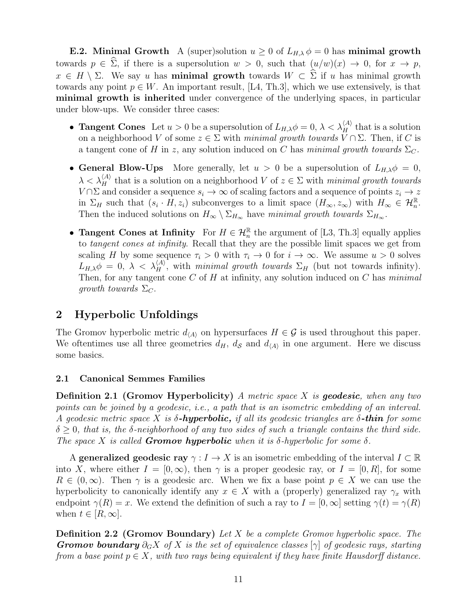**E.2.** Minimal Growth A (super)solution  $u \geq 0$  of  $L_{H,\lambda} \phi = 0$  has minimal growth towards  $p \in \widehat{\Sigma}$ , if there is a supersolution  $w > 0$ , such that  $(u/w)(x) \to 0$ , for  $x \to p$ ,  $x \in H \setminus \Sigma$ . We say u has **minimal growth** towards  $W \subset \Sigma$  if u has minimal growth towards any point  $p \in W$ . An important result, [\[L4,](#page-41-11) Th.3], which we use extensively, is that minimal growth is inherited under convergence of the underlying spaces, in particular under blow-ups. We consider three cases:

- **Tangent Cones** Let  $u > 0$  be a supersolution of  $L_{H,\lambda}\phi = 0$ ,  $\lambda < \lambda_H^{(A)}$  that is a solution on a neighborhood V of some  $z \in \Sigma$  with minimal growth towards  $V \cap \Sigma$ . Then, if C is a tangent cone of H in z, any solution induced on C has minimal growth towards  $\Sigma_C$ .
- General Blow-Ups More generally, let  $u > 0$  be a supersolution of  $L_{H,\lambda}\phi = 0$ ,  $\lambda < \lambda_H^{(A)}$  that is a solution on a neighborhood V of  $z \in \Sigma$  with minimal growth towards  $V \cap \Sigma$  and consider a sequence  $s_i \to \infty$  of scaling factors and a sequence of points  $z_i \to z$ in  $\Sigma_H$  such that  $(s_i \cdot H, z_i)$  subconverges to a limit space  $(H_\infty, z_\infty)$  with  $H_\infty \in \mathcal{H}_n^{\mathbb{R}}$ . Then the induced solutions on  $H_{\infty} \setminus \Sigma_{H_{\infty}}$  have minimal growth towards  $\Sigma_{H_{\infty}}$ .
- Tangent Cones at Infinity For  $H \in \mathcal{H}_n^{\mathbb{R}}$  the argument of [\[L3,](#page-41-14) Th.3] equally applies to tangent cones at infinity. Recall that they are the possible limit spaces we get from scaling H by some sequence  $\tau_i > 0$  with  $\tau_i \to 0$  for  $i \to \infty$ . We assume  $u > 0$  solves  $L_{H,\lambda}\phi = 0, \lambda < \lambda_H^{(A)}$ , with minimal growth towards  $\Sigma_H$  (but not towards infinity). Then, for any tangent cone  $C$  of  $H$  at infinity, any solution induced on  $C$  has minimal growth towards  $\Sigma_C$ .

## <span id="page-10-0"></span>2 Hyperbolic Unfoldings

The Gromov hyperbolic metric  $d_{\langle A \rangle}$  on hypersurfaces  $H \in \mathcal{G}$  is used throughout this paper. We oftentimes use all three geometries  $d_H$ ,  $d_S$  and  $d_{\langle A \rangle}$  in one argument. Here we discuss some basics.

## <span id="page-10-1"></span>2.1 Canonical Semmes Families

**Definition 2.1 (Gromov Hyperbolicity)** A metric space X is **geodesic**, when any two points can be joined by a geodesic, i.e., a path that is an isometric embedding of an interval. A geodesic metric space X is  $\delta$ -hyperbolic, if all its geodesic triangles are  $\delta$ -thin for some  $\delta \geq 0$ , that is, the  $\delta$ -neighborhood of any two sides of such a triangle contains the third side. The space X is called **Gromov hyperbolic** when it is  $\delta$ -hyperbolic for some  $\delta$ .

A generalized geodesic ray  $\gamma: I \to X$  is an isometric embedding of the interval  $I \subset \mathbb{R}$ into X, where either  $I = [0, \infty)$ , then  $\gamma$  is a proper geodesic ray, or  $I = [0, R]$ , for some  $R \in (0,\infty)$ . Then  $\gamma$  is a geodesic arc. When we fix a base point  $p \in X$  we can use the hyperbolicity to canonically identify any  $x \in X$  with a (properly) generalized ray  $\gamma_x$  with endpoint  $\gamma(R) = x$ . We extend the definition of such a ray to  $I = [0, \infty]$  setting  $\gamma(t) = \gamma(R)$ when  $t \in [R, \infty]$ .

**Definition 2.2 (Gromov Boundary)** Let X be a complete Gromov hyperbolic space. The **Gromov boundary**  $\partial_G X$  of X is the set of equivalence classes  $[\gamma]$  of geodesic rays, starting from a base point  $p \in X$ , with two rays being equivalent if they have finite Hausdorff distance.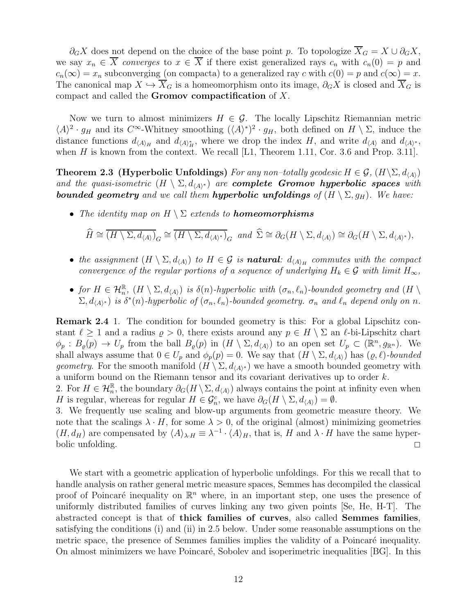$\partial_G X$  does not depend on the choice of the base point p. To topologize  $\overline{X}_G = X \cup \partial_G X$ , we say  $x_n \in \overline{X}$  converges to  $x \in \overline{X}$  if there exist generalized rays  $c_n$  with  $c_n(0) = p$  and  $c_n(\infty) = x_n$  subconverging (on compacta) to a generalized ray c with  $c(0) = p$  and  $c(\infty) = x$ . The canonical map  $X \hookrightarrow \overline{X}_G$  is a homeomorphism onto its image,  $\partial_G X$  is closed and  $\overline{X}_G$  is compact and called the Gromov compactification of X.

Now we turn to almost minimizers  $H \in \mathcal{G}$ . The locally Lipschitz Riemannian metric  $\langle A \rangle^2 \cdot g_H$  and its  $C^{\infty}$ -Whitney smoothing  $(\langle A \rangle^*)^2 \cdot g_H$ , both defined on  $H \setminus \Sigma$ , induce the distance functions  $d_{\langle A \rangle_H}$  and  $d_{\langle A \rangle_H^*}$ , where we drop the index H, and write  $d_{\langle A \rangle}$  and  $d_{\langle A \rangle^*}$ , when H is known from the context. We recall [\[L1,](#page-41-13) Theorem 1.11, Cor. 3.6 and Prop. 3.11].

**Theorem 2.3 (Hyperbolic Unfoldings)** For any non–totally geodesic  $H \in \mathcal{G}$ ,  $(H\backslash\Sigma, d_{\langle A \rangle})$ and the quasi-isometric  $(H \setminus \Sigma, d_{\langle A \rangle^*})$  are **complete Gromov hyperbolic spaces** with **bounded geometry** and we call them **hyperbolic unfoldings** of  $(H \setminus \Sigma, g_H)$ . We have:

• The identity map on  $H \setminus \Sigma$  extends to **homeomorphisms** 

<span id="page-11-0"></span>
$$
\widehat{H} \cong \overline{(H \setminus \Sigma, d_{\langle A \rangle})}_G \cong \overline{(H \setminus \Sigma, d_{\langle A \rangle^*)}_G} \text{ and } \widehat{\Sigma} \cong \partial_G(H \setminus \Sigma, d_{\langle A \rangle}) \cong \partial_G(H \setminus \Sigma, d_{\langle A \rangle^*}),
$$

- the assignment  $(H \setminus \Sigma, d_{\langle A \rangle})$  to  $H \in \mathcal{G}$  is **natural**:  $d_{\langle A \rangle_H}$  commutes with the compact convergence of the regular portions of a sequence of underlying  $H_k \in \mathcal{G}$  with limit  $H_{\infty}$ ,
- for  $H \in \mathcal{H}_n^{\mathbb{R}}$ ,  $(H \setminus \Sigma, d_{\langle A \rangle})$  is  $\delta(n)$ -hyperbolic with  $(\sigma_n, \ell_n)$ -bounded geometry and  $(H \setminus$  $(\Sigma, d_{\langle A \rangle^*})$  is  $\delta^*(n)$ -hyperbolic of  $(\sigma_n, \ell_n)$ -bounded geometry.  $\sigma_n$  and  $\ell_n$  depend only on n.

Remark 2.4 1. The condition for bounded geometry is this: For a global Lipschitz constant  $\ell \geq 1$  and a radius  $\rho > 0$ , there exists around any  $p \in H \setminus \Sigma$  an  $\ell$ -bi-Lipschitz chart  $\phi_p : B_{\varrho}(p) \to U_p$  from the ball  $B_{\varrho}(p)$  in  $(H \setminus \Sigma, d_{\langle A \rangle})$  to an open set  $U_p \subset (\mathbb{R}^n, g_{\mathbb{R}^n})$ . We shall always assume that  $0 \in U_p$  and  $\phi_p(p) = 0$ . We say that  $(H \setminus \Sigma, d_{\langle A \rangle})$  has  $(\varrho, \ell)$ -bounded *geometry*. For the smooth manifold  $(H \setminus \Sigma, d_{\langle A \rangle^*})$  we have a smooth bounded geometry with a uniform bound on the Riemann tensor and its covariant derivatives up to order k.

2. For  $H \in \mathcal{H}_n^{\mathbb{R}}$ , the boundary  $\partial_G(H \setminus \Sigma, d_{\langle A \rangle})$  always contains the point at infinity even when H is regular, whereas for regular  $H \in \mathcal{G}_n^c$ , we have  $\partial_G(H \setminus \Sigma, d_{\langle A \rangle}) = \emptyset$ .

3. We frequently use scaling and blow-up arguments from geometric measure theory. We note that the scalings  $\lambda \cdot H$ , for some  $\lambda > 0$ , of the original (almost) minimizing geometries  $(H, d_H)$  are compensated by  $\langle A \rangle_{\lambda \cdot H} \equiv \lambda^{-1} \cdot \langle A \rangle_H$ , that is, H and  $\lambda \cdot H$  have the same hyperbolic unfolding.  $\Box$ 

We start with a geometric application of hyperbolic unfoldings. For this we recall that to handle analysis on rather general metric measure spaces, Semmes has decompiled the classical proof of Poincaré inequality on  $\mathbb{R}^n$  where, in an important step, one uses the presence of uniformly distributed families of curves linking any two given points [\[Se,](#page-41-15) [He,](#page-41-8) [H-T\]](#page-41-9). The abstracted concept is that of thick families of curves, also called Semmes families, satisfying the conditions (i) and (ii) in [2.5](#page-12-0) below. Under some reasonable assumptions on the metric space, the presence of Semmes families implies the validity of a Poincaré inequality. On almost minimizers we have Poincaré, Sobolev and isoperimetric inequalities [\[BG\]](#page-41-18). In this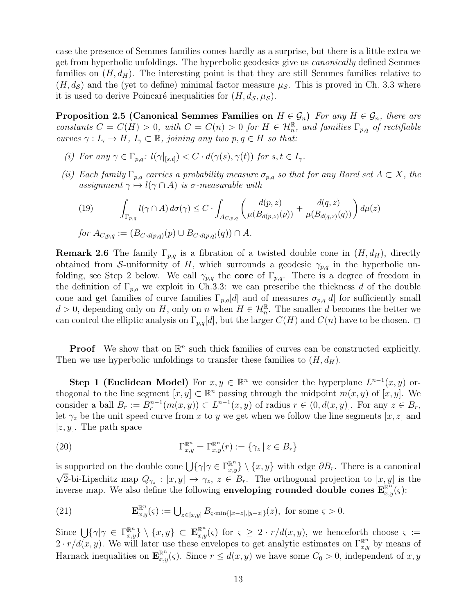case the presence of Semmes families comes hardly as a surprise, but there is a little extra we get from hyperbolic unfoldings. The hyperbolic geodesics give us canonically defined Semmes families on  $(H, d_H)$ . The interesting point is that they are still Semmes families relative to  $(H, d<sub>S</sub>)$  and the (yet to define) minimal factor measure  $\mu<sub>S</sub>$ . This is proved in Ch. [3.3](#page-35-0) where it is used to derive Poincaré inequalities for  $(H, d<sub>S</sub>, \mu<sub>S</sub>)$ .

<span id="page-12-0"></span>Proposition 2.5 (Canonical Semmes Families on  $H \in \mathcal{G}_n$ ) For any  $H \in \mathcal{G}_n$ , there are constants  $C = C(H) > 0$ , with  $C = C(n) > 0$  for  $H \in \mathcal{H}_n^{\mathbb{R}}$ , and families  $\Gamma_{p,q}$  of rectifiable curves  $\gamma: I_{\gamma} \to H$ ,  $I_{\gamma} \subset \mathbb{R}$ , joining any two  $p, q \in H$  so that:

- (i) For any  $\gamma \in \Gamma_{p,q}: l(\gamma|_{[s,t]}) < C \cdot d(\gamma(s), \gamma(t))$  for  $s, t \in I_{\gamma}$ .
- (ii) Each family  $\Gamma_{p,q}$  carries a probability measure  $\sigma_{p,q}$  so that for any Borel set  $A \subset X$ , the assignment  $\gamma \mapsto l(\gamma \cap A)$  is  $\sigma$ -measurable with

<span id="page-12-1"></span>(19) 
$$
\int_{\Gamma_{p,q}} l(\gamma \cap A) d\sigma(\gamma) \leq C \cdot \int_{A_{C,p,q}} \left( \frac{d(p,z)}{\mu(B_{d(p,z)}(p))} + \frac{d(q,z)}{\mu(B_{d(q,z)}(q))} \right) d\mu(z)
$$
  
for  $A_{C,p,q} := (B_{C \cdot d(p,q)}(p) \cup B_{C \cdot d(p,q)}(q)) \cap A$ .

**Remark 2.6** The family  $\Gamma_{p,q}$  is a fibration of a twisted double cone in  $(H, d_H)$ , directly obtained from S-uniformity of H, which surrounds a geodesic  $\gamma_{p,q}$  in the hyperbolic unfolding, see Step 2 below. We call  $\gamma_{p,q}$  the core of  $\Gamma_{p,q}$ . There is a degree of freedom in the definition of  $\Gamma_{p,q}$  we exploit in Ch[.3.3:](#page-35-0) we can prescribe the thickness d of the double cone and get families of curve families  $\Gamma_{p,q}[d]$  and of measures  $\sigma_{p,q}[d]$  for sufficiently small  $d > 0$ , depending only on H, only on n when  $H \in \mathcal{H}_n^{\mathbb{R}}$ . The smaller d becomes the better we can control the elliptic analysis on  $\Gamma_{p,q}[d]$ , but the larger  $C(H)$  and  $C(n)$  have to be chosen.  $\Box$ 

**Proof** We show that on  $\mathbb{R}^n$  such thick families of curves can be constructed explicitly. Then we use hyperbolic unfoldings to transfer these families to  $(H, d_H)$ .

Step 1 (Euclidean Model) For  $x, y \in \mathbb{R}^n$  we consider the hyperplane  $L^{n-1}(x, y)$  orthogonal to the line segment  $[x, y] \subset \mathbb{R}^n$  passing through the midpoint  $m(x, y)$  of  $[x, y]$ . We consider a ball  $B_r := B_r^{n-1}(m(x, y)) \subset L^{n-1}(x, y)$  of radius  $r \in (0, d(x, y)]$ . For any  $z \in B_r$ , let  $\gamma_z$  be the unit speed curve from x to y we get when we follow the line segments [x, z] and  $[z, y]$ . The path space

(20) 
$$
\Gamma_{x,y}^{\mathbb{R}^n} = \Gamma_{x,y}^{\mathbb{R}^n}(r) := \{ \gamma_z \mid z \in B_r \}
$$

is supported on the double cone  $\bigcup \{\gamma | \gamma \in \Gamma^{\mathbb{R}^n}_{x,y} \} \setminus \{x,y\}$  with edge  $\partial B_r$ . There is a canonical  $\sqrt{2}$ -bi-Lipschitz map  $Q_{\gamma_z}: [x, y] \to \gamma_z, z \in B_r$ . The orthogonal projection to  $[x, y]$  is the inverse map. We also define the following **enveloping rounded double cones**  $\mathbf{E}_{x,y}^{\mathbb{R}^n}(\varsigma)$ :

<span id="page-12-2"></span>(21) 
$$
\mathbf{E}_{x,y}^{\mathbb{R}^n}(\varsigma) := \bigcup_{z \in [x,y]} B_{\varsigma \cdot \min\{|x-z|, |y-z|\}}(z), \text{ for some } \varsigma > 0.
$$

Since  $\bigcup \{\gamma | \gamma \in \Gamma^{\mathbb{R}^n}_{x,y} \} \setminus \{x,y\} \subset \mathbf{E}^{\mathbb{R}^n}_{x,y}(\varsigma)$  for  $\varsigma \geq 2 \cdot r/d(x,y)$ , we henceforth choose  $\varsigma :=$  $2 \cdot r/d(x, y)$ . We will later use these envelopes to get analytic estimates on  $\Gamma_{x,y}^{\mathbb{R}^n}$  by means of Harnack inequalities on  $\mathbf{E}_{x,y}^{\mathbb{R}^n}(\varsigma)$ . Since  $r \leq d(x,y)$  we have some  $C_0 > 0$ , independent of  $x, y$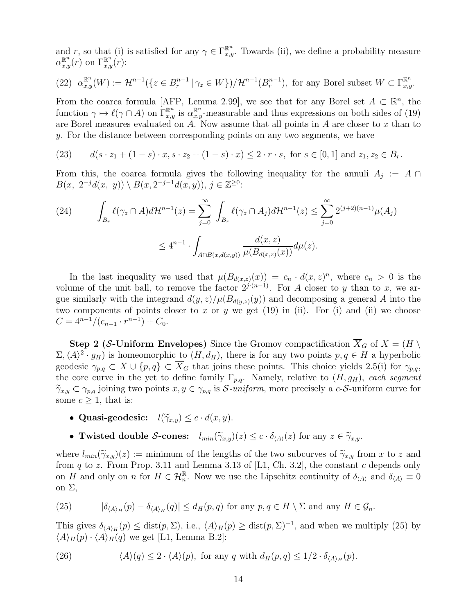and r, so that (i) is satisfied for any  $\gamma \in \Gamma_{x,y}^{\mathbb{R}^n}$ . Towards (ii), we define a probability measure  $\alpha_{x,y}^{\mathbb{R}^n}(r)$  on  $\Gamma_{x,y}^{\mathbb{R}^n}(r)$ :

(22) 
$$
\alpha_{x,y}^{\mathbb{R}^n}(W) := \mathcal{H}^{n-1}\left(\left\{z \in B_r^{n-1} \mid \gamma_z \in W\right\}\right) / \mathcal{H}^{n-1}(B_r^{n-1}), \text{ for any Borel subset } W \subset \Gamma_{x,y}^{\mathbb{R}^n}.
$$

From the coarea formula [\[AFP,](#page-40-2) Lemma 2.99], we see that for any Borel set  $A \subset \mathbb{R}^n$ , the function  $\gamma \mapsto \ell(\gamma \cap A)$  on  $\Gamma^{\mathbb{R}^n}_{x,y}$  is  $\alpha^{\mathbb{R}^n}_{x,y}$ -measurable and thus expressions on both sides of [\(19\)](#page-12-1) are Borel measures evaluated on  $A$ . Now assume that all points in  $A$  are closer to  $x$  than to y. For the distance between corresponding points on any two segments, we have

(23) 
$$
d(s \cdot z_1 + (1 - s) \cdot x, s \cdot z_2 + (1 - s) \cdot x) \le 2 \cdot r \cdot s, \text{ for } s \in [0, 1] \text{ and } z_1, z_2 \in B_r.
$$

From this, the coarea formula gives the following inequality for the annuli  $A_j := A \cap$  $B(x, 2^{-j}d(x, y)) \setminus B(x, 2^{-j-1}d(x, y)), j \in \mathbb{Z}^{\geq 0}$ :

<span id="page-13-2"></span>(24) 
$$
\int_{B_r} \ell(\gamma_z \cap A) d\mathcal{H}^{n-1}(z) = \sum_{j=0}^{\infty} \int_{B_r} \ell(\gamma_z \cap A_j) d\mathcal{H}^{n-1}(z) \leq \sum_{j=0}^{\infty} 2^{(j+2)(n-1)} \mu(A_j)
$$

$$
\leq 4^{n-1} \cdot \int_{A \cap B(x,d(x,y))} \frac{d(x,z)}{\mu(B_{d(x,z)}(x))} d\mu(z).
$$

In the last inequality we used that  $\mu(B_{d(x,z)}(x)) = c_n \cdot d(x,z)^n$ , where  $c_n > 0$  is the volume of the unit ball, to remove the factor  $2^{j \cdot (n-1)}$ . For A closer to y than to x, we argue similarly with the integrand  $d(y, z)/\mu(B_{d(y, z)}(y))$  and decomposing a general A into the two components of points closer to x or y we get  $(19)$  in  $(ii)$ . For  $(i)$  and  $(ii)$  we choose  $C = 4^{n-1}/(c_{n-1} \cdot r^{n-1}) + C_0.$ 

**Step 2 (S-Uniform Envelopes)** Since the Gromov compactification  $\overline{X}_G$  of  $X = (H \setminus$  $(\Sigma, \langle A \rangle^2 \cdot g_H)$  is homeomorphic to  $(H, d_H)$ , there is for any two points  $p, q \in H$  a hyperbolic geodesic  $\gamma_{p,q} \subset X \cup \{p,q\} \subset \overline{X}_G$  that joins these points. This choice yields [2.5\(](#page-12-0)i) for  $\gamma_{p,q}$ , the core curve in the yet to define family  $\Gamma_{p,q}$ . Namely, relative to  $(H, g_H)$ , each segment  $\widetilde{\gamma}_{x,y} \subset \gamma_{p,q}$  joining two points  $x, y \in \gamma_{p,q}$  is S-uniform, more precisely a c-S-uniform curve for some  $c \geq 1$ , that is:

- Quasi-geodesic:  $l(\widetilde{\gamma}_{x,y}) \leq c \cdot d(x,y)$ .
- Twisted double S-cones:  $l_{min}(\widetilde{\gamma}_{x,y})(z) \leq c \cdot \delta_{\langle A \rangle}(z)$  for any  $z \in \widetilde{\gamma}_{x,y}$ .

where  $l_{min}(\widetilde{\gamma}_{x,y})(z) := \text{minimum of the lengths of the two subcurves of } \widetilde{\gamma}_{x,y}$  from x to z and from q to z. From Prop. 3.11 and Lemma 3.13 of [\[L1,](#page-41-13) Ch. 3.2], the constant c depends only on H and only on n for  $H \in \mathcal{H}_n^{\mathbb{R}}$ . Now we use the Lipschitz continuity of  $\delta_{\langle A \rangle}$  and  $\delta_{\langle A \rangle} \equiv 0$ on Σ,

<span id="page-13-0"></span>(25) 
$$
|\delta_{\langle A \rangle_H}(p) - \delta_{\langle A \rangle_H}(q)| \leq d_H(p,q) \text{ for any } p,q \in H \setminus \Sigma \text{ and any } H \in \mathcal{G}_n.
$$

This gives  $\delta_{\langle A \rangle_H}(p) \leq \text{dist}(p, \Sigma)$ , i.e.,  $\langle A \rangle_H(p) \geq \text{dist}(p, \Sigma)^{-1}$ , and when we multiply [\(25\)](#page-13-0) by  $\langle A \rangle_H(p) \cdot \langle A \rangle_H(q)$  we get [\[L1,](#page-41-13) Lemma B.2]:

<span id="page-13-1"></span>(26) 
$$
\langle A \rangle(q) \leq 2 \cdot \langle A \rangle(p)
$$
, for any  $q$  with  $d_H(p,q) \leq 1/2 \cdot \delta_{\langle A \rangle_H}(p)$ .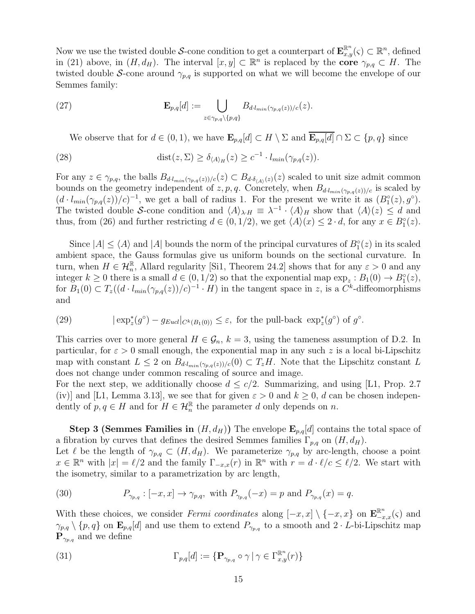Now we use the twisted double S-cone condition to get a counterpart of  $\mathbf{E}_{x,y}^{\mathbb{R}^n}(\varsigma) \subset \mathbb{R}^n$ , defined in [\(21\)](#page-12-2) above, in  $(H, d_H)$ . The interval  $[x, y] \subset \mathbb{R}^n$  is replaced by the **core**  $\gamma_{p,q} \subset H$ . The twisted double S-cone around  $\gamma_{p,q}$  is supported on what we will become the envelope of our Semmes family:

(27) 
$$
\mathbf{E}_{p,q}[d] := \bigcup_{z \in \gamma_{p,q} \setminus \{p,q\}} B_{d \cdot l_{min}(\gamma_{p,q}(z))/c}(z).
$$

We observe that for  $d \in (0,1)$ , we have  $\mathbf{E}_{p,q}[d] \subset H \setminus \Sigma$  and  $\overline{\mathbf{E}_{p,q}[d]} \cap \Sigma \subset \{p,q\}$  since

(28) 
$$
\text{dist}(z, \Sigma) \ge \delta_{\langle A \rangle_H}(z) \ge c^{-1} \cdot l_{min}(\gamma_{p,q}(z)).
$$

For any  $z \in \gamma_{p,q}$ , the balls  $B_{d \cdot l_{min}(\gamma_{p,q}(z))/c}(z) \subset B_{d \cdot \delta_{\langle A \rangle}(z)}(z)$  scaled to unit size admit common bounds on the geometry independent of z, p, q. Concretely, when  $B_{d \cdot l_{min}(\gamma_{p,q}(z))/c}$  is scaled by  $(d \cdot l_{min}(\gamma_{p,q}(z))/c)^{-1}$ , we get a ball of radius 1. For the present we write it as  $(B_1^{\circ}(z), g^{\circ})$ . The twisted double S-cone condition and  $\langle A \rangle_{\lambda\cdot H} \equiv \lambda^{-1} \cdot \langle A \rangle_H$  show that  $\langle A \rangle(z) \leq d$  and thus, from [\(26\)](#page-13-1) and further restricting  $d \in (0, 1/2)$ , we get  $\langle A \rangle(x) \leq 2 \cdot d$ , for any  $x \in B_1^{\circ}(z)$ .

Since  $|A| \le \langle A \rangle$  and  $|A|$  bounds the norm of the principal curvatures of  $B_1^{\circ}(z)$  in its scaled ambient space, the Gauss formulas give us uniform bounds on the sectional curvature. In turn, when  $H \in \mathcal{H}_n^{\mathbb{R}}$ , Allard regularity [\[Si1,](#page-41-19) Theorem 24.2] shows that for any  $\varepsilon > 0$  and any integer  $k \geq 0$  there is a small  $d \in (0, 1/2)$  so that the exponential map  $\exp_z : B_1(0) \to B_1^{\circ}(z)$ , for  $B_1(0) \subset T_z((d \cdot l_{min}(\gamma_{p,q}(z))/c)^{-1} \cdot H)$  in the tangent space in z, is a  $C^k$ -diffeomorphisms and

<span id="page-14-0"></span>(29) 
$$
|\exp_z^*(g^{\circ}) - g_{Eucl}|_{C^k(B_1(0))} \leq \varepsilon
$$
, for the pull-back  $\exp_z^*(g^{\circ})$  of  $g^{\circ}$ .

This carries over to more general  $H \in \mathcal{G}_n$ ,  $k = 3$ , using the tameness assumption of D.2. In particular, for  $\varepsilon > 0$  small enough, the exponential map in any such z is a local bi-Lipschitz map with constant  $L \leq 2$  on  $B_{d \cdot l_{min}(\gamma_{p,q}(z))/c}(0) \subset T_zH$ . Note that the Lipschitz constant L does not change under common rescaling of source and image.

For the next step, we additionally choose  $d \leq c/2$ . Summarizing, and using [\[L1,](#page-41-13) Prop. 2.7] (iv)] and [\[L1,](#page-41-13) Lemma 3.13], we see that for given  $\varepsilon > 0$  and  $k \geq 0$ , d can be chosen independently of  $p, q \in H$  and for  $H \in \mathcal{H}_n^{\mathbb{R}}$  the parameter d only depends on n.

**Step 3 (Semmes Families in**  $(H, d_H)$ ) The envelope  $\mathbf{E}_{p,q}[d]$  contains the total space of a fibration by curves that defines the desired Semmes families  $\Gamma_{p,q}$  on  $(H, d_H)$ .

Let  $\ell$  be the length of  $\gamma_{p,q} \subset (H, d_H)$ . We parameterize  $\gamma_{p,q}$  by arc-length, choose a point  $x \in \mathbb{R}^n$  with  $|x| = \ell/2$  and the family  $\Gamma_{-x,x}(r)$  in  $\mathbb{R}^n$  with  $r = d \cdot \ell/c \leq \ell/2$ . We start with the isometry, similar to a parametrization by arc length,

(30) 
$$
P_{\gamma_{p,q}}: [-x,x] \to \gamma_{p,q}, \text{ with } P_{\gamma_{p,q}}(-x) = p \text{ and } P_{\gamma_{p,q}}(x) = q.
$$

With these choices, we consider Fermi coordinates along  $[-x, x] \setminus \{-x, x\}$  on  $\mathbf{E}_{-x,x}^{\mathbb{R}^n}(\varsigma)$  and  $\gamma_{p,q} \setminus \{p,q\}$  on  $\mathbf{E}_{p,q}[d]$  and use them to extend  $P_{\gamma_{p,q}}$  to a smooth and  $2 \cdot L$ -bi-Lipschitz map  $\mathbf{P}_{\gamma_{p,q}}$  and we define

(31) 
$$
\Gamma_{p,q}[d] := \{ \mathbf{P}_{\gamma_{p,q}} \circ \gamma \mid \gamma \in \Gamma_{x,y}^{\mathbb{R}^n}(r) \}
$$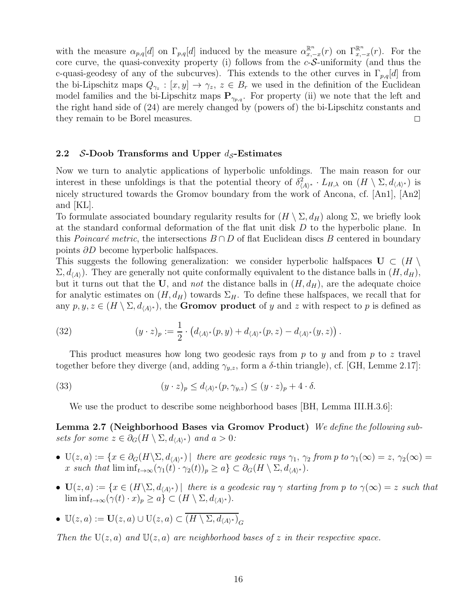with the measure  $\alpha_{p,q}[d]$  on  $\Gamma_{p,q}[d]$  induced by the measure  $\alpha_{x,-x}^{\mathbb{R}^n}(r)$  on  $\Gamma_{x,-x}^{\mathbb{R}^n}(r)$ . For the core curve, the quasi-convexity property (i) follows from the  $c$ -S-uniformity (and thus the c-quasi-geodesy of any of the subcurves). This extends to the other curves in  $\Gamma_{p,q}[d]$  from the bi-Lipschitz maps  $Q_{\gamma_z}: [x, y] \to \gamma_z$ ,  $z \in B_r$  we used in the definition of the Euclidean model families and the bi-Lipschitz maps  $\mathbf{P}_{\gamma_{p,q}}$ . For property (ii) we note that the left and the right hand side of [\(24\)](#page-13-2) are merely changed by (powers of) the bi-Lipschitz constants and they remain to be Borel measures.

#### <span id="page-15-0"></span>2.2 S-Doob Transforms and Upper  $d_S$ -Estimates

Now we turn to analytic applications of hyperbolic unfoldings. The main reason for our interest in these unfoldings is that the potential theory of  $\delta^2_{\langle A \rangle^*} \cdot L_{H,\lambda}$  on  $(H \setminus \Sigma, d_{\langle A \rangle^*})$  is nicely structured towards the Gromov boundary from the work of Ancona, cf. [\[An1\]](#page-40-3), [\[An2\]](#page-40-4) and [\[KL\]](#page-41-20).

To formulate associated boundary regularity results for  $(H \setminus \Sigma, d_H)$  along  $\Sigma$ , we briefly look at the standard conformal deformation of the flat unit disk D to the hyperbolic plane. In this *Poincaré metric*, the intersections  $B \cap D$  of flat Euclidean discs B centered in boundary points ∂D become hyperbolic halfspaces.

This suggests the following generalization: we consider hyperbolic halfspaces  $\mathbf{U} \subset (H \setminus$  $\Sigma, d_{\langle A \rangle}$ ). They are generally not quite conformally equivalent to the distance balls in  $(H, d_H)$ , but it turns out that the U, and not the distance balls in  $(H, d_H)$ , are the adequate choice for analytic estimates on  $(H, d_H)$  towards  $\Sigma_H$ . To define these halfspaces, we recall that for any  $p, y, z \in (H \setminus \Sigma, d_{\langle A \rangle^*})$ , the **Gromov product** of y and z with respect to p is defined as

(32) 
$$
(y \cdot z)_p := \frac{1}{2} \cdot (d_{\langle A \rangle^*}(p, y) + d_{\langle A \rangle^*}(p, z) - d_{\langle A \rangle^*}(y, z)).
$$

This product measures how long two geodesic rays from  $p$  to  $y$  and from  $p$  to  $z$  travel together before they diverge (and, adding  $\gamma_{y,z}$ , form a δ-thin triangle), cf. [\[GH,](#page-41-21) Lemme 2.17]:

(33) 
$$
(y \cdot z)_p \le d_{\langle A \rangle^*}(p, \gamma_{y,z}) \le (y \cdot z)_p + 4 \cdot \delta.
$$

<span id="page-15-1"></span>We use the product to describe some neighborhood bases [\[BH,](#page-41-22) Lemma III.H.3.6]:

Lemma 2.7 (Neighborhood Bases via Gromov Product) We define the following subsets for some  $z \in \partial_G(H \setminus \Sigma, d_{\langle A \rangle^*})$  and  $a > 0$ :

- $U(z, a) := \{x \in \partial_G(H \setminus \Sigma, d_{\langle A \rangle^*}) \mid \text{ there are geodesic rays } \gamma_1, \gamma_2 \text{ from } p \text{ to } \gamma_1(\infty) = z, \gamma_2(\infty) = z \}$ x such that  $\liminf_{t\to\infty} (\gamma_1(t) \cdot \gamma_2(t))_p \geq a \} \subset \partial_G(H \setminus \Sigma, d_{\langle A \rangle^*}).$
- $U(z, a) := \{x \in (H \setminus \Sigma, d_{\langle A \rangle^*}) \mid \text{there is a geodesic ray } \gamma \text{ starting from } p \text{ to } \gamma(\infty) = z \text{ such that }$  $\liminf_{t\to\infty}(\gamma(t)\cdot x)_p\geq a\}\subset (H\setminus\Sigma,d_{\langle A\rangle^*}).$
- $\mathbb{U}(z,a) := \mathbf{U}(z,a) \cup \mathbb{U}(z,a) \subset \overline{(H \setminus \Sigma, d_{\langle A \rangle^*})}_G$

Then the  $U(z, a)$  and  $U(z, a)$  are neighborhood bases of z in their respective space.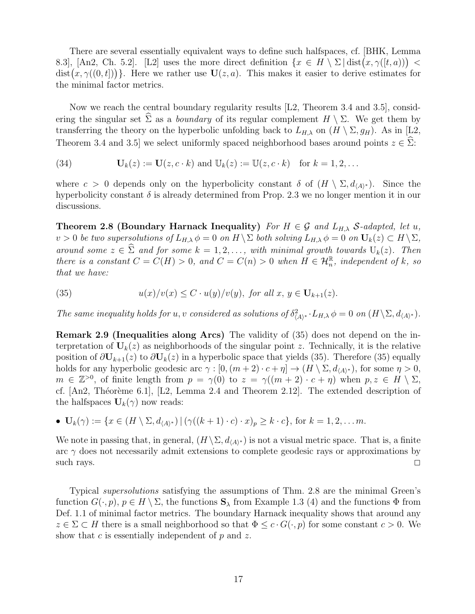There are several essentially equivalent ways to define such halfspaces, cf. [\[BHK,](#page-40-5) Lemma 8.3, [\[An2,](#page-40-4) Ch. 5.2]. [\[L2\]](#page-41-5) uses the more direct definition  $\{x \in H \setminus \Sigma \mid \text{dist}(x, \gamma([t, a))) \leq$  $dist(x, \gamma((0, t]))$ . Here we rather use  $\mathbf{U}(z, a)$ . This makes it easier to derive estimates for the minimal factor metrics.

Now we reach the central boundary regularity results [\[L2,](#page-41-5) Theorem 3.4 and 3.5], considering the singular set  $\hat{\Sigma}$  as a *boundary* of its regular complement  $H \setminus \Sigma$ . We get them by transferring the theory on the hyperbolic unfolding back to  $L_{H,\lambda}$  on  $(H \setminus \Sigma, g_H)$ . As in [\[L2,](#page-41-5) Theorem 3.4 and 3.5] we select uniformly spaced neighborhood bases around points  $z \in \hat{\Sigma}$ :

(34)  $U_k(z) := U(z, c \cdot k)$  and  $U_k(z) := U(z, c \cdot k)$  for  $k = 1, 2, ...$ 

<span id="page-16-0"></span>where  $c > 0$  depends only on the hyperbolicity constant  $\delta$  of  $(H \setminus \Sigma, d_{\langle A \rangle^*})$ . Since the hyperbolicity constant  $\delta$  is already determined from Prop. [2.3](#page-11-0) we no longer mention it in our discussions.

Theorem 2.8 (Boundary Harnack Inequality) For  $H \in \mathcal{G}$  and  $L_{H,\lambda}$  S-adapted, let u,  $v > 0$  be two supersolutions of  $L_{H,\lambda} \phi = 0$  on  $H \setminus \Sigma$  both solving  $L_{H,\lambda} \phi = 0$  on  $\mathbf{U}_k(z) \subset H \setminus \Sigma$ , around some  $z \in \widehat{\Sigma}$  and for some  $k = 1, 2, \ldots$ , with minimal growth towards  $U_k(z)$ . Then there is a constant  $C = C(H) > 0$ , and  $C = C(n) > 0$  when  $H \in \mathcal{H}_n^{\mathbb{R}}$ , independent of k, so that we have:

<span id="page-16-1"></span>(35) 
$$
u(x)/v(x) \leq C \cdot u(y)/v(y), \text{ for all } x, y \in \mathbf{U}_{k+1}(z).
$$

The same inequality holds for u, v considered as solutions of  $\delta^2_{\langle A \rangle^*} \cdot L_{H,\lambda} \phi = 0$  on  $(H \setminus \Sigma, d_{\langle A \rangle^*})$ .

Remark 2.9 (Inequalities along Arcs) The validity of [\(35\)](#page-16-1) does not depend on the interpretation of  $U_k(z)$  as neighborhoods of the singular point z. Technically, it is the relative position of  $\partial \mathbf{U}_{k+1}(z)$  to  $\partial \mathbf{U}_k(z)$  in a hyperbolic space that yields [\(35\)](#page-16-1). Therefore (35) equally holds for any hyperbolic geodesic arc  $\gamma : [0, (m+2) \cdot c + \eta] \to (H \setminus \Sigma, d_{\langle A \rangle^*})$ , for some  $\eta > 0$ ,  $m \in \mathbb{Z}^{>0}$ , of finite length from  $p = \gamma(0)$  to  $z = \gamma((m + 2) \cdot c + \eta)$  when  $p, z \in H \setminus \Sigma$ , cf.  $[An2, Théorème 6.1], [L2, Lemma 2.4 and Theorem 2.12].$  $[An2, Théorème 6.1], [L2, Lemma 2.4 and Theorem 2.12].$  $[An2, Théorème 6.1], [L2, Lemma 2.4 and Theorem 2.12].$  The extended description of the halfspaces  $U_k(\gamma)$  now reads:

• 
$$
\mathbf{U}_{k}(\gamma) := \{x \in (H \setminus \Sigma, d_{\langle A \rangle^{*}}) \mid (\gamma((k+1) \cdot c) \cdot x)_{p} \geq k \cdot c\}, \text{ for } k = 1, 2, \dots m.
$$

We note in passing that, in general,  $(H \setminus \Sigma, d_{\langle A \rangle^*})$  is not a visual metric space. That is, a finite arc  $\gamma$  does not necessarily admit extensions to complete geodesic rays or approximations by such rays.  $\square$ 

<span id="page-16-2"></span>Typical supersolutions satisfying the assumptions of Thm. [2.8](#page-16-0) are the minimal Green's function  $G(\cdot, p)$ ,  $p \in H \setminus \Sigma$ , the functions  $\mathbf{S}_{\lambda}$  from Example [1.3](#page-3-2) [\(4\)](#page-3-0) and the functions  $\Phi$  from Def. [1.1](#page-2-2) of minimal factor metrics. The boundary Harnack inequality shows that around any  $z \in \Sigma \subset H$  there is a small neighborhood so that  $\Phi \leq c \cdot G(\cdot, p)$  for some constant  $c > 0$ . We show that c is essentially independent of  $p$  and  $z$ .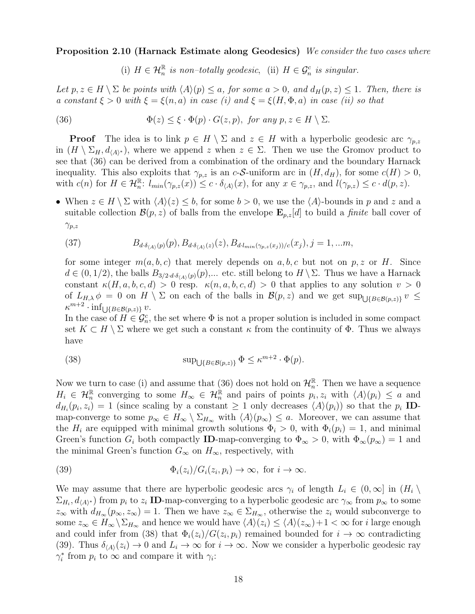Proposition 2.10 (Harnack Estimate along Geodesics) We consider the two cases where

<span id="page-17-0"></span>(i)  $H \in \mathcal{H}_n^{\mathbb{R}}$  is non-totally geodesic, (ii)  $H \in \mathcal{G}_n^c$  is singular.

Let  $p, z \in H \setminus \Sigma$  be points with  $\langle A \rangle(p) \leq a$ , for some  $a > 0$ , and  $d_H(p, z) \leq 1$ . Then, there is a constant  $\xi > 0$  with  $\xi = \xi(n, a)$  in case (i) and  $\xi = \xi(H, \Phi, a)$  in case (ii) so that

(36) 
$$
\Phi(z) \leq \xi \cdot \Phi(p) \cdot G(z, p), \text{ for any } p, z \in H \setminus \Sigma.
$$

**Proof** The idea is to link  $p \in H \setminus \Sigma$  and  $z \in H$  with a hyperbolic geodesic arc  $\gamma_{p,z}$ in  $(H \setminus \Sigma_H, d_{\langle A \rangle^*})$ , where we append z when  $z \in \Sigma$ . Then we use the Gromov product to see that [\(36\)](#page-17-0) can be derived from a combination of the ordinary and the boundary Harnack inequality. This also exploits that  $\gamma_{p,z}$  is an c-S-uniform arc in  $(H, d_H)$ , for some  $c(H) > 0$ , with  $c(n)$  for  $H \in \mathcal{H}_n^{\mathbb{R}}$ :  $l_{min}(\gamma_{p,z}(x)) \leq c \cdot \delta_{\langle A \rangle}(x)$ , for any  $x \in \gamma_{p,z}$ , and  $l(\gamma_{p,z}) \leq c \cdot d(p,z)$ .

• When  $z \in H \setminus \Sigma$  with  $\langle A \rangle(z) \leq b$ , for some  $b > 0$ , we use the  $\langle A \rangle$ -bounds in p and z and a suitable collection  $\mathcal{B}(p, z)$  of balls from the envelope  $\mathbf{E}_{p,z}[d]$  to build a *finite* ball cover of  $\gamma_{p,z}$ 

(37) 
$$
B_{d \cdot \delta_{\langle A \rangle}(p)}(p), B_{d \cdot \delta_{\langle A \rangle}(z)}(z), B_{d \cdot l_{min}(\gamma_{p,z}(x_j))/c}(x_j), j = 1, ...m,
$$

for some integer  $m(a, b, c)$  that merely depends on a, b, c but not on p, z or H. Since  $d \in (0,1/2)$ , the balls  $B_{3/2 \cdot d \cdot \delta_{\langle A \rangle}(p)}(p),\dots$  etc. still belong to  $H \setminus \Sigma$ . Thus we have a Harnack constant  $\kappa(H, a, b, c, d) > 0$  resp.  $\kappa(n, a, b, c, d) > 0$  that applies to any solution  $v > 0$ of  $L_{H,\lambda} \phi = 0$  on  $H \setminus \Sigma$  on each of the balls in  $\mathcal{B}(p, z)$  and we get  $\sup_{\bigcup \{B \in \mathcal{B}(p, z)\}} v \le$  $\kappa^{m+2} \cdot \inf_{\bigcup \{B \in \mathcal{B}(p,z)\}} v.$ 

In the case of  $H \in \mathcal{G}_n^c$ , the set where  $\Phi$  is not a proper solution is included in some compact set  $K \subset H \setminus \Sigma$  where we get such a constant  $\kappa$  from the continuity of  $\Phi$ . Thus we always have

<span id="page-17-1"></span>(38) 
$$
\sup_{\bigcup \{B \in \mathcal{B}(p,z)\}} \Phi \leq \kappa^{m+2} \cdot \Phi(p).
$$

Now we turn to case (i) and assume that [\(36\)](#page-17-0) does not hold on  $\mathcal{H}_n^{\mathbb{R}}$ . Then we have a sequence  $H_i \in \mathcal{H}_n^{\mathbb{R}}$  converging to some  $H_{\infty} \in \mathcal{H}_n^{\mathbb{R}}$  and pairs of points  $p_i, z_i$  with  $\langle A \rangle (p_i) \leq a$  and  $d_{H_i}(p_i, z_i) = 1$  (since scaling by a constant  $\geq 1$  only decreases  $\langle A \rangle(p_i)$ ) so that the  $p_i$  IDmap-converge to some  $p_{\infty} \in H_{\infty} \setminus \Sigma_{H_{\infty}}$  with  $\langle A \rangle(p_{\infty}) \leq a$ . Moreover, we can assume that the  $H_i$  are equipped with minimal growth solutions  $\Phi_i > 0$ , with  $\Phi_i(p_i) = 1$ , and minimal Green's function  $G_i$  both compactly **ID**-map-converging to  $\Phi_{\infty} > 0$ , with  $\Phi_{\infty}(p_{\infty}) = 1$  and the minimal Green's function  $G_{\infty}$  on  $H_{\infty}$ , respectively, with

<span id="page-17-2"></span>(39) 
$$
\Phi_i(z_i)/G_i(z_i, p_i) \to \infty, \text{ for } i \to \infty.
$$

We may assume that there are hyperbolic geodesic arcs  $\gamma_i$  of length  $L_i \in (0,\infty]$  in  $(H_i \setminus$  $\Sigma_{H_i}, d_{\langle A \rangle^*}$  from  $p_i$  to  $z_i$  ID-map-converging to a hyperbolic geodesic arc  $\gamma_\infty$  from  $p_\infty$  to some  $z_{\infty}$  with  $d_{H_{\infty}}(p_{\infty}, z_{\infty}) = 1$ . Then we have  $z_{\infty} \in \Sigma_{H_{\infty}}$ , otherwise the  $z_i$  would subconverge to some  $z_{\infty} \in H_{\infty} \setminus \Sigma_{H_{\infty}}$  and hence we would have  $\langle A \rangle(z_i) \leq \langle A \rangle(z_{\infty})+1 < \infty$  for i large enough and could infer from [\(38\)](#page-17-1) that  $\Phi_i(z_i)/G(z_i, p_i)$  remained bounded for  $i \to \infty$  contradicting [\(39\)](#page-17-2). Thus  $\delta_{\langle A \rangle}(z_i) \to 0$  and  $L_i \to \infty$  for  $i \to \infty$ . Now we consider a hyperbolic geodesic ray  $\gamma_i^*$  from  $p_i$  to  $\infty$  and compare it with  $\gamma_i$ :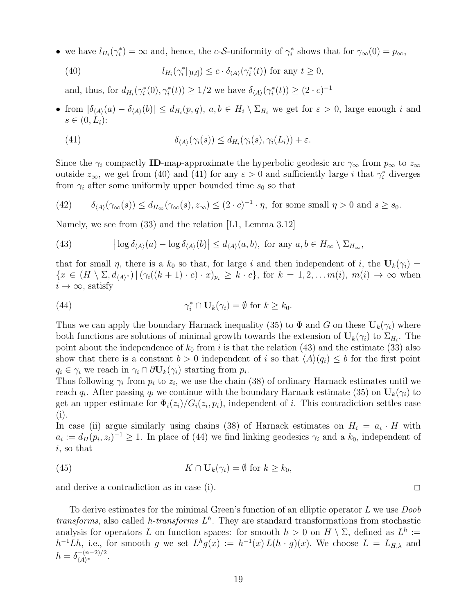• we have  $l_{H_i}(\gamma_i^*) = \infty$  and, hence, the c-S-uniformity of  $\gamma_i^*$  shows that for  $\gamma_\infty(0) = p_\infty$ ,

<span id="page-18-0"></span>(40) 
$$
l_{H_i}(\gamma_i^*|_{[0,t]}) \leq c \cdot \delta_{\langle A \rangle}(\gamma_i^*(t)) \text{ for any } t \geq 0,
$$

and, thus, for  $d_{H_i}(\gamma_i^*(0), \gamma_i^*(t)) \geq 1/2$  we have  $\delta_{\langle A \rangle}(\gamma_i^*(t)) \geq (2 \cdot c)^{-1}$ 

• from  $|\delta_{\langle A \rangle}(a) - \delta_{\langle A \rangle}(b)| \le d_{H_i}(p, q)$ ,  $a, b \in H_i \setminus \Sigma_{H_i}$  we get for  $\varepsilon > 0$ , large enough i and  $s \in (0, L_i)$ :

<span id="page-18-1"></span>(41) 
$$
\delta_{\langle A \rangle}(\gamma_i(s)) \leq d_{H_i}(\gamma_i(s), \gamma_i(L_i)) + \varepsilon.
$$

Since the  $\gamma_i$  compactly ID-map-approximate the hyperbolic geodesic arc  $\gamma_\infty$  from  $p_\infty$  to  $z_\infty$ outside  $z_{\infty}$ , we get from [\(40\)](#page-18-0) and [\(41\)](#page-18-1) for any  $\varepsilon > 0$  and sufficiently large i that  $\gamma_i^*$  diverges from  $\gamma_i$  after some uniformly upper bounded time  $s_0$  so that

(42) 
$$
\delta_{\langle A \rangle}(\gamma_{\infty}(s)) \le d_{H_{\infty}}(\gamma_{\infty}(s), z_{\infty}) \le (2 \cdot c)^{-1} \cdot \eta, \text{ for some small } \eta > 0 \text{ and } s \ge s_0.
$$

Namely, we see from [\(33\)](#page-15-1) and the relation [\[L1,](#page-41-13) Lemma 3.12]

<span id="page-18-2"></span>(43) 
$$
\left| \log \delta_{\langle A \rangle}(a) - \log \delta_{\langle A \rangle}(b) \right| \leq d_{\langle A \rangle}(a, b), \text{ for any } a, b \in H_{\infty} \setminus \Sigma_{H_{\infty}},
$$

that for small  $\eta$ , there is a  $k_0$  so that, for large i and then independent of i, the  $U_k(\gamma_i)$  =  ${x \in (H \setminus \Sigma, d_{\langle A \rangle^*}) | (\gamma_i((k+1) \cdot c) \cdot x)_{p_i} \geq k \cdot c}, \text{ for } k = 1, 2, \ldots m(i), m(i) \to \infty \text{ when }$  $i \to \infty$ , satisfy

<span id="page-18-3"></span>(44) 
$$
\gamma_i^* \cap \mathbf{U}_k(\gamma_i) = \emptyset \text{ for } k \geq k_0.
$$

Thus we can apply the boundary Harnack inequality [\(35\)](#page-16-1) to  $\Phi$  and G on these  $U_k(\gamma_i)$  where both functions are solutions of minimal growth towards the extension of  $U_k(\gamma_i)$  to  $\Sigma_{H_i}$ . The point about the independence of  $k_0$  from i is that the relation [\(43\)](#page-18-2) and the estimate [\(33\)](#page-15-1) also show that there is a constant  $b > 0$  independent of i so that  $\langle A \rangle (q_i) \leq b$  for the first point  $q_i \in \gamma_i$  we reach in  $\gamma_i \cap \partial \mathbf{U}_k(\gamma_i)$  starting from  $p_i$ .

Thus following  $\gamma_i$  from  $p_i$  to  $z_i$ , we use the chain [\(38\)](#page-17-1) of ordinary Harnack estimates until we reach  $q_i$ . After passing  $q_i$  we continue with the boundary Harnack estimate [\(35\)](#page-16-1) on  $\mathbf{U}_k(\gamma_i)$  to get an upper estimate for  $\Phi_i(z_i)/G_i(z_i, p_i)$ , independent of i. This contradiction settles case (i).

In case (ii) argue similarly using chains [\(38\)](#page-17-1) of Harnack estimates on  $H_i = a_i \cdot H$  with  $a_i := d_H(p_i, z_i)^{-1} \geq 1$ . In place of [\(44\)](#page-18-3) we find linking geodesics  $\gamma_i$  and a  $k_0$ , independent of i, so that

(45) 
$$
K \cap \mathbf{U}_k(\gamma_i) = \emptyset \text{ for } k \geq k_0,
$$

and derive a contradiction as in case (i).  $\Box$ 

<span id="page-18-4"></span>To derive estimates for the minimal Green's function of an elliptic operator  $L$  we use  $Doob$ transforms, also called h-transforms  $L<sup>h</sup>$ . They are standard transformations from stochastic analysis for operators L on function spaces: for smooth  $h > 0$  on  $H \setminus \Sigma$ , defined as  $L^h :=$  $h^{-1}Lh$ , i.e., for smooth g we set  $L^h g(x) := h^{-1}(x) L(h \cdot g)(x)$ . We choose  $L = L_{H,\lambda}$  and  $h = \delta_{(A)*}^{-(n-2)/2}$  $\frac{(-n-2)}{A}$ .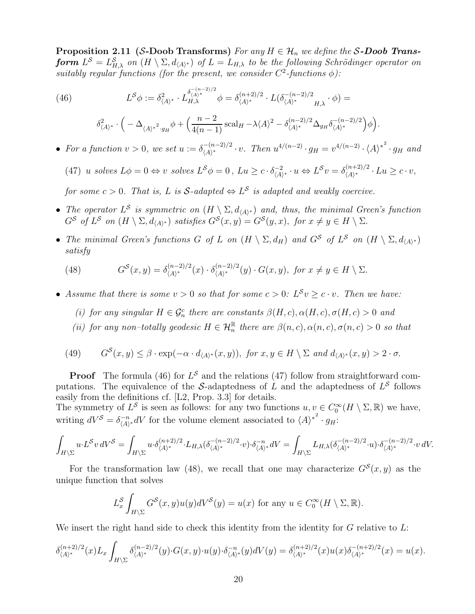Proposition 2.11 (S-Doob Transforms) For any  $H \in \mathcal{H}_n$  we define the S-Doob Transform  $L^{\mathcal{S}} = L_{H,\lambda}^{\mathcal{S}}$  on  $(H \setminus \Sigma, d_{\langle A \rangle^*})$  of  $L = L_{H,\lambda}$  to be the following Schrödinger operator on suitably regular functions (for the present, we consider  $C^2$ -functions  $\phi$ ):

<span id="page-19-0"></span>(46) 
$$
L^{\mathcal{S}}\phi := \delta^2_{\langle A \rangle^*} \cdot L^{\delta^{-(n-2)/2}}_{H,\lambda} \phi = \delta^{(n+2)/2}_{\langle A \rangle^*} \cdot L(\delta^{-(n-2)/2}_{\langle A \rangle^*} \cdot \phi) =
$$

$$
\delta^2_{\langle A \rangle^*} \cdot \left( -\Delta_{\langle A \rangle^*}^2 \cdot g_H \phi + \left( \frac{n-2}{4(n-1)} \operatorname{scal}_H - \lambda \langle A \rangle^2 - \delta^{(n-2)/2}_{\langle A \rangle^*} \Delta_{g_H} \delta^{-(n-2)/2}_{\langle A \rangle^*} \right) \phi \right).
$$

• For a function  $v > 0$ , we set  $u := \delta_{\langle A \rangle^*}^{-(n-2)/2}$  $\chi^{-(n-2)/2} \cdot v$ . Then  $u^{4/(n-2)} \cdot g_H = v^{4/(n-2)} \cdot \langle A \rangle^{*^2} \cdot g_H$  and

<span id="page-19-1"></span>(47) u solves  $L\phi = 0 \Leftrightarrow v$  solves  $L^{\mathcal{S}}\phi = 0$ ,  $Lu \ge c \cdot \delta_{\langle A \rangle}^{-2}$  $\frac{(-2)}{\langle A \rangle^*} \cdot u \Leftrightarrow L^{\mathcal{S}} v = \delta^{(n+2)/2}_{\langle A \rangle^*}$  $\frac{\langle (n+2)/2 \rangle}{\langle A \rangle^*} \cdot Lu \geq c \cdot v,$ 

for some  $c > 0$ . That is, L is  $S$ -adapted  $\Leftrightarrow$   $L^S$  is adapted and weakly coercive.

- The operator  $L^S$  is symmetric on  $(H \setminus \Sigma, d_{\langle A \rangle^*})$  and, thus, the minimal Green's function  $G^S$  of  $L^S$  on  $(H \setminus \Sigma, d_{\langle A \rangle^*})$  satisfies  $G^S(x, y) = G^S(y, x)$ , for  $x \neq y \in H \setminus \Sigma$ .
- The minimal Green's functions G of L on  $(H \setminus \Sigma, d_H)$  and  $G^S$  of  $L^S$  on  $(H \setminus \Sigma, d_{\langle A \rangle^*})$ satisfy

<span id="page-19-2"></span>(48) 
$$
G^{S}(x,y) = \delta^{(n-2)/2}_{\langle A \rangle^*}(x) \cdot \delta^{(n-2)/2}_{\langle A \rangle^*}(y) \cdot G(x,y), \text{ for } x \neq y \in H \setminus \Sigma.
$$

- Assume that there is some  $v > 0$  so that for some  $c > 0$ :  $L^S v \geq c \cdot v$ . Then we have:
	- (i) for any singular  $H \in \mathcal{G}_n^c$  there are constants  $\beta(H, c), \alpha(H, c), \sigma(H, c) > 0$  and
	- (ii) for any non-totally geodesic  $H \in \mathcal{H}_n^{\mathbb{R}}$  there are  $\beta(n,c), \alpha(n,c), \sigma(n,c) > 0$  so that

<span id="page-19-3"></span>(49) 
$$
G^S(x, y) \leq \beta \cdot \exp(-\alpha \cdot d_{\langle A \rangle^*}(x, y)), \text{ for } x, y \in H \setminus \Sigma \text{ and } d_{\langle A \rangle^*}(x, y) > 2 \cdot \sigma.
$$

**Proof** The formula [\(46\)](#page-19-0) for  $L^{\mathcal{S}}$  and the relations [\(47\)](#page-19-1) follow from straightforward computations. The equivalence of the S-adaptedness of L and the adaptedness of  $L^{\mathcal{S}}$  follows easily from the definitions cf. [\[L2,](#page-41-5) Prop. 3.3] for details.

The symmetry of  $L^{\mathcal{S}}$  is seen as follows: for any two functions  $u, v \in C_0^{\infty}(H \setminus \Sigma, \mathbb{R})$  we have, writing  $dV^{\mathcal{S}} = \delta_{\langle A \rangle}^{-n}$  $\chi_{\langle A \rangle^*}^{-n} dV$  for the volume element associated to  $\langle A \rangle^{*^2} \cdot g_H$ :

$$
\int_{H\backslash\Sigma} u\cdot L^{\mathcal{S}}v \, dV^{\mathcal{S}} = \int_{H\backslash\Sigma} u\cdot \delta_{\langle A \rangle^*}^{(n+2)/2} \cdot L_{H,\lambda}(\delta_{\langle A \rangle^*}^{-(n-2)/2} \cdot v) \cdot \delta_{\langle A \rangle^*}^{-n} dV = \int_{H\backslash\Sigma} L_{H,\lambda}(\delta_{\langle A \rangle^*}^{-(n-2)/2} \cdot u) \cdot \delta_{\langle A \rangle^*}^{-(n-2)/2} \cdot v \, dV.
$$

For the transformation law [\(48\)](#page-19-2), we recall that one may characterize  $G^{S}(x, y)$  as the unique function that solves

$$
L_x^{\mathcal{S}} \int_{H \setminus \Sigma} G^{\mathcal{S}}(x, y) u(y) dV^{\mathcal{S}}(y) = u(x) \text{ for any } u \in C_0^{\infty}(H \setminus \Sigma, \mathbb{R}).
$$

We insert the right hand side to check this identity from the identity for  $G$  relative to  $L$ :

$$
\delta_{\langle A \rangle^*}^{(n+2)/2}(x) L_x \int_{H \setminus \Sigma} \delta_{\langle A \rangle^*}^{(n-2)/2}(y) \cdot G(x,y) \cdot u(y) \cdot \delta_{\langle A \rangle^*}^{-n}(y) dV(y) = \delta_{\langle A \rangle^*}^{(n+2)/2}(x) u(x) \delta_{\langle A \rangle^*}^{-(n+2)/2}(x) = u(x).
$$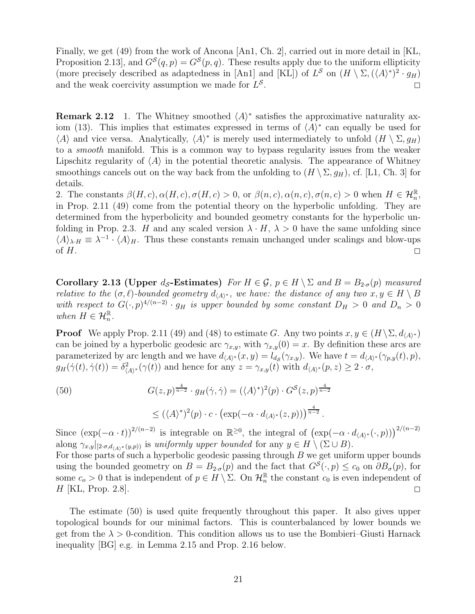Finally, we get [\(49\)](#page-19-3) from the work of Ancona [\[An1,](#page-40-3) Ch. 2], carried out in more detail in [\[KL,](#page-41-20) Proposition 2.13, and  $G^{S}(q, p) = G^{S}(p, q)$ . These results apply due to the uniform ellipticity (more precisely described as adaptedness in [\[An1\]](#page-40-3) and [\[KL\]](#page-41-20)) of  $L^{\mathcal{S}}$  on  $(H \setminus \Sigma, (\langle A \rangle^*)^2 \cdot g_H)$ and the weak coercivity assumption we made for  $L^{\mathcal{S}}$  $\overline{a}$  .  $\overline{a}$  .  $\overline{a}$  .  $\overline{a}$  .  $\overline{a}$ 

<span id="page-20-3"></span>**Remark 2.12** 1. The Whitney smoothed  $\langle A \rangle^*$  satisfies the approximative naturality ax-iom [\(13\)](#page-7-0). This implies that estimates expressed in terms of  $\langle A \rangle^*$  can equally be used for  $\langle A \rangle$  and vice versa. Analytically,  $\langle A \rangle^*$  is merely used intermediately to unfold  $(H \setminus \Sigma, g_H)$ to a smooth manifold. This is a common way to bypass regularity issues from the weaker Lipschitz regularity of  $\langle A \rangle$  in the potential theoretic analysis. The appearance of Whitney smoothings cancels out on the way back from the unfolding to  $(H \setminus \Sigma, g_H)$ , cf. [\[L1,](#page-41-13) Ch. 3] for details.

2. The constants  $\beta(H, c), \alpha(H, c), \sigma(H, c) > 0$ , or  $\beta(n, c), \alpha(n, c), \sigma(n, c) > 0$  when  $H \in \mathcal{H}_n^{\mathbb{R}}$ , in Prop. [2.11](#page-18-4) [\(49\)](#page-19-3) come from the potential theory on the hyperbolic unfolding. They are determined from the hyperbolicity and bounded geometry constants for the hyperbolic un-folding in Prop. [2.3.](#page-11-0) H and any scaled version  $\lambda \cdot H$ ,  $\lambda > 0$  have the same unfolding since  $\langle A \rangle_{\lambda \cdot H} \equiv \lambda^{-1} \cdot \langle A \rangle_H$ . Thus these constants remain unchanged under scalings and blow-ups of  $H$ .

<span id="page-20-1"></span>Corollary 2.13 (Upper  $d_S$ -Estimates) For  $H \in \mathcal{G}$ ,  $p \in H \setminus \Sigma$  and  $B = B_{2\sigma}(p)$  measured relative to the  $(\sigma, \ell)$ -bounded geometry  $d_{\langle A \rangle^*}$ , we have: the distance of any two  $x, y \in H \setminus B$ with respect to  $G(\cdot,p)^{4/(n-2)} \cdot g_H$  is upper bounded by some constant  $D_H > 0$  and  $D_n > 0$ when  $H \in \mathcal{H}_n^{\mathbb{R}}$ .

**Proof** We apply Prop. [2.11](#page-18-4) [\(49\)](#page-19-3) and [\(48\)](#page-19-2) to estimate G. Any two points  $x, y \in (H \setminus \Sigma, d_{\langle A \rangle^*})$ can be joined by a hyperbolic geodesic arc  $\gamma_{x,y}$ , with  $\gamma_{x,y}(0) = x$ . By definition these arcs are parameterized by arc length and we have  $d_{\langle A \rangle^*}(x, y) = l_{d_{\mathcal{S}}}(\gamma_{x, y})$ . We have  $t = d_{\langle A \rangle^*}(\gamma_{p, y}(t), p)$ ,  $g_H(\dot{\gamma}(t), \dot{\gamma}(t)) = \delta^2_{\langle A \rangle^*}(\gamma(t))$  and hence for any  $z = \gamma_{x,y}(t)$  with  $d_{\langle A \rangle^*}(p, z) \geq 2 \cdot \sigma$ ,

<span id="page-20-0"></span>(50)  

$$
G(z,p)^{\frac{4}{n-2}} \cdot g_H(\dot{\gamma}, \dot{\gamma}) = (\langle A \rangle^*)^2(p) \cdot G^{\mathcal{S}}(z,p)^{\frac{4}{n-2}} \leq (\langle A \rangle^*)^2(p) \cdot c \cdot (\exp(-\alpha \cdot d_{\langle A \rangle^*}(z,p)))^{\frac{4}{n-2}}.
$$

Since  $(\exp(-\alpha \cdot t))^{2/(n-2)}$  is integrable on  $\mathbb{R}^{\geq 0}$ , the integral of  $(\exp(-\alpha \cdot d_{\langle A \rangle^*}(\cdot, p)))^{2/(n-2)}$ along  $\gamma_{x,y}|_{[2\cdot\sigma,d_{\langle A\rangle^*}(y,p))}$  is uniformly upper bounded for any  $y\in H\setminus(\Sigma\cup B)$ . For those parts of such a hyperbolic geodesic passing through  $B$  we get uniform upper bounds using the bounded geometry on  $B = B_{2\sigma}(p)$  and the fact that  $G^S(\cdot, p) \le c_0$  on  $\partial B_{\sigma}(p)$ , for some  $c_o > 0$  that is independent of  $p \in H \setminus \Sigma$ . On  $\mathcal{H}_n^{\mathbb{R}}$  the constant  $c_0$  is even independent of  $H$  |KL, Prop. 2.8|.

<span id="page-20-2"></span>The estimate [\(50\)](#page-20-0) is used quite frequently throughout this paper. It also gives upper topological bounds for our minimal factors. This is counterbalanced by lower bounds we get from the  $\lambda > 0$ -condition. This condition allows us to use the Bombieri–Giusti Harnack inequality [\[BG\]](#page-41-18) e.g. in Lemma [2.15](#page-21-0) and Prop. [2.16](#page-22-0) below.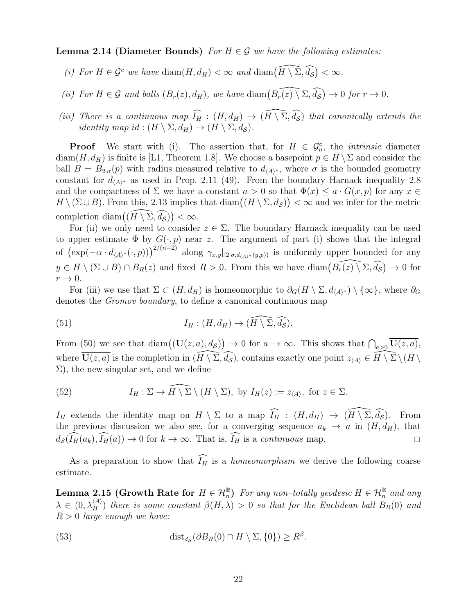**Lemma 2.14 (Diameter Bounds)** For  $H \in \mathcal{G}$  we have the following estimates:

- (i) For  $H \in \mathcal{G}^c$  we have  $\text{diam}(H, d_H) < \infty$  and  $\text{diam}(\widehat{H \setminus \Sigma}, \widehat{d_{\mathcal{S}}}) < \infty$ .
- (ii) For  $H \in \mathcal{G}$  and balls  $(B_r(z), d_H)$ , we have  $\text{diam}\big(\widehat{B_r(z)} \setminus \Sigma, \widehat{d_S}\big) \to 0$  for  $r \to 0$ .
- (iii) There is a continuous map  $\widehat{I_H} : (H, d_H) \to (\widehat{H} \setminus \widehat{\Sigma}, \widehat{d_S})$  that canonically extends the *identity map id* :  $(H \setminus \Sigma, d_H) \to (H \setminus \Sigma, d_S)$ .

**Proof** We start with (i). The assertion that, for  $H \in \mathcal{G}_n^c$ , the *intrinsic* diameter diam(H,  $d_H$ ) is finite is [\[L1,](#page-41-13) Theorem 1.8]. We choose a basepoint  $p \in H \setminus \Sigma$  and consider the ball  $B = B_{2\sigma}(p)$  with radius measured relative to  $d_{\langle A \rangle^*}$ , where  $\sigma$  is the bounded geometry constant for  $d_{\langle A \rangle^*}$  as used in Prop. [2.11](#page-18-4) [\(49\)](#page-19-3). From the boundary Harnack inequality [2.8](#page-16-0) and the compactness of  $\Sigma$  we have a constant  $a > 0$  so that  $\Phi(x) \leq a \cdot G(x, p)$  for any  $x \in$  $H \setminus (\Sigma \cup B)$ . From this, [2.13](#page-20-1) implies that  $\text{diam}((H \setminus \Sigma, d_{\mathcal{S}})) < \infty$  and we infer for the metric completion diam $((\widehat{H\setminus \Sigma}, \widehat{d_{\mathcal{S}}}) ) < \infty$ .

For (ii) we only need to consider  $z \in \Sigma$ . The boundary Harnack inequality can be used to upper estimate  $\Phi$  by  $G(\cdot, p)$  near z. The argument of part (i) shows that the integral of  $(\exp(-\alpha \cdot d_{\langle A \rangle^*}(\cdot, p)))^{2/(n-2)}$  along  $\gamma_{x,y}|_{[2\cdot\sigma,d_{\langle A \rangle^*}(y,p))}$  is uniformly upper bounded for any  $y \in H \setminus (\Sigma \cup B) \cap B_R(z)$  and fixed  $R > 0$ . From this we have  $\text{diam}(B_{r}(z) \setminus \Sigma, \widehat{d_{\mathcal{S}}}) \to 0$  for  $r \rightarrow 0$ .

For (iii) we use that  $\Sigma \subset (H, d_H)$  is homeomorphic to  $\partial_G(H \setminus \Sigma, d_{\langle A \rangle^*}) \setminus \{\infty\}$ , where  $\partial_G$ denotes the Gromov boundary, to define a canonical continuous map

(51) 
$$
I_H: (H, d_H) \to (\widehat{H \setminus \Sigma}, \widehat{d_{\mathcal{S}}}).
$$

From [\(50\)](#page-20-0) we see that  $\text{diam}((\mathbf{U}(z,a),d_{\mathcal{S}})) \to 0$  for  $a \to \infty$ . This shows that  $\bigcap_{a>0} \overline{\mathbf{U}(z,a)}$ , where  $\overline{U(z, a)}$  is the completion in  $\widehat{(H\setminus \Sigma, \widehat{d_{\mathcal{S}}})}$ , contains exactly one point  $z_{\langle A \rangle} \in \widehat{H} \setminus \overline{\Sigma} \setminus (H \setminus$  $\Sigma$ ), the new singular set, and we define

<span id="page-21-1"></span>(52) 
$$
I_H: \Sigma \to \widehat{H \setminus \Sigma} \setminus (H \setminus \Sigma), \text{ by } I_H(z) := z_{\langle A \rangle}, \text{ for } z \in \Sigma.
$$

 $I_H$  extends the identity map on  $H \setminus \Sigma$  to a map  $\widehat{I_H}$  :  $(H, d_H) \to (\widehat{H \setminus \Sigma}, \widehat{d_S})$ . From the previous discussion we also see, for a converging sequence  $a_k \to a$  in  $(H, d_H)$ , that  $d_{\mathcal{S}}(\widehat{I_{H}}(a_{k}), \widehat{I_{H}}(a)) \rightarrow 0$  for  $k \rightarrow \infty$ . That is,  $\widehat{I_{H}}$  is a *continuous* map.

<span id="page-21-0"></span>As a preparation to show that  $\widehat{I_H}$  is a *homeomorphism* we derive the following coarse estimate.

**Lemma 2.15 (Growth Rate for**  $H \in \mathcal{H}_n^{\mathbb{R}}$ ) For any non-totally geodesic  $H \in \mathcal{H}_n^{\mathbb{R}}$  and any  $\lambda \in (0, \lambda_H^{(A)})$  there is some constant  $\beta(H, \lambda) > 0$  so that for the Euclidean ball  $B_R(0)$  and  $R > 0$  large enough we have:

<span id="page-21-2"></span>(53) 
$$
\text{dist}_{d_{\mathcal{S}}}(\partial B_R(0) \cap H \setminus \Sigma, \{0\}) \geq R^{\beta}.
$$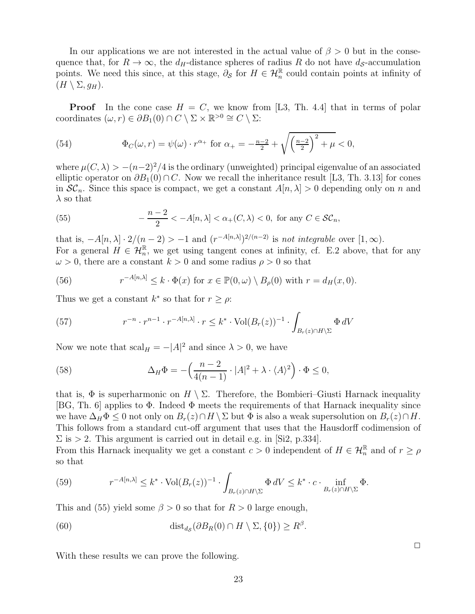In our applications we are not interested in the actual value of  $\beta > 0$  but in the consequence that, for  $R \to \infty$ , the  $d_H$ -distance spheres of radius R do not have  $d_S$ -accumulation points. We need this since, at this stage,  $\partial_{\mathcal{S}}$  for  $H \in \mathcal{H}_n^{\mathbb{R}}$  could contain points at infinity of  $(H \setminus \Sigma, g_H).$ 

**Proof** In the cone case  $H = C$ , we know from [\[L3,](#page-41-14) Th. 4.4] that in terms of polar coordinates  $(\omega, r) \in \partial B_1(0) \cap C \setminus \Sigma \times \mathbb{R}^{>0} \cong C \setminus \Sigma$ :

(54) 
$$
\Phi_C(\omega, r) = \psi(\omega) \cdot r^{\alpha_+} \text{ for } \alpha_+ = -\frac{n-2}{2} + \sqrt{\left(\frac{n-2}{2}\right)^2 + \mu} < 0,
$$

where  $\mu(C, \lambda) > -(n-2)^2/4$  is the ordinary (unweighted) principal eigenvalue of an associated elliptic operator on  $\partial B_1(0) \cap C$ . Now we recall the inheritance result [\[L3,](#page-41-14) Th. 3.13] for cones in  $\mathcal{SC}_n$ . Since this space is compact, we get a constant  $A[n, \lambda] > 0$  depending only on n and  $\lambda$  so that

<span id="page-22-1"></span>(55) 
$$
-\frac{n-2}{2} < -A[n,\lambda] < \alpha_+(C,\lambda) < 0, \text{ for any } C \in \mathcal{SC}_n,
$$

that is,  $-A[n,\lambda] \cdot 2/(n-2) > -1$  and  $(r^{-A[n,\lambda]})^{2/(n-2)}$  is not integrable over  $[1,\infty)$ . For a general  $H \in \mathcal{H}_n^{\mathbb{R}}$ , we get using tangent cones at infinity, cf. E.2 above, that for any  $\omega > 0$ , there are a constant  $k > 0$  and some radius  $\rho > 0$  so that

(56) 
$$
r^{-A[n,\lambda]} \leq k \cdot \Phi(x) \text{ for } x \in \mathbb{P}(0,\omega) \setminus B_{\rho}(0) \text{ with } r = d_H(x,0).
$$

Thus we get a constant  $k^*$  so that for  $r \ge \rho$ :

(57) 
$$
r^{-n} \cdot r^{n-1} \cdot r^{-A[n,\lambda]} \cdot r \leq k^* \cdot \text{Vol}(B_r(z))^{-1} \cdot \int_{B_r(z) \cap H \backslash \Sigma} \Phi \, dV
$$

Now we note that  $\operatorname{scal}_H = -|A|^2$  and since  $\lambda > 0$ , we have

(58) 
$$
\Delta_H \Phi = -\left(\frac{n-2}{4(n-1)} \cdot |A|^2 + \lambda \cdot \langle A \rangle^2\right) \cdot \Phi \le 0,
$$

that is,  $\Phi$  is superharmonic on  $H \setminus \Sigma$ . Therefore, the Bombieri–Giusti Harnack inequality [\[BG,](#page-41-18) Th. 6] applies to  $\Phi$ . Indeed  $\Phi$  meets the requirements of that Harnack inequality since we have  $\Delta_H \Phi \leq 0$  not only on  $B_r(z) \cap H \setminus \Sigma$  but  $\Phi$  is also a weak supersolution on  $B_r(z) \cap H$ . This follows from a standard cut-off argument that uses that the Hausdorff codimension of  $\Sigma$  is > 2. This argument is carried out in detail e.g. in [\[Si2,](#page-41-23) p.334].

From this Harnack inequality we get a constant  $c > 0$  independent of  $H \in \mathcal{H}_n^{\mathbb{R}}$  and of  $r \ge \rho$ so that

(59) 
$$
r^{-A[n,\lambda]} \leq k^* \cdot \text{Vol}(B_r(z))^{-1} \cdot \int_{B_r(z) \cap H \backslash \Sigma} \Phi dV \leq k^* \cdot c \cdot \inf_{B_r(z) \cap H \backslash \Sigma} \Phi.
$$

This and [\(55\)](#page-22-1) yield some  $\beta > 0$  so that for  $R > 0$  large enough,

(60) 
$$
\text{dist}_{d_{\mathcal{S}}}(\partial B_R(0) \cap H \setminus \Sigma, \{0\}) \geq R^{\beta}.
$$

With these results we can prove the following.

<span id="page-22-0"></span> $\Box$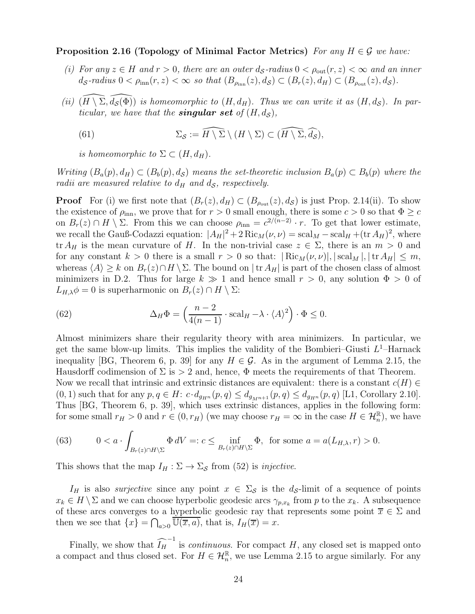Proposition 2.16 (Topology of Minimal Factor Metrics) For any  $H \in \mathcal{G}$  we have:

- (i) For any  $z \in H$  and  $r > 0$ , there are an outer  $d_{\mathcal{S}}$ -radius  $0 < \rho_{\text{out}}(r, z) < \infty$  and an inner  $d_{\mathcal{S}}$ -radius  $0 < \rho_{\text{inn}}(r, z) < \infty$  so that  $(B_{\rho_{\text{inn}}}(z), d_{\mathcal{S}}) \subset (B_r(z), d_H) \subset (B_{\rho_{\text{out}}}(z), d_{\mathcal{S}})$ .
- (ii)  $(H \setminus \Sigma, d_{\mathcal{S}}(\Phi))$  is homeomorphic to  $(H, d_H)$ . Thus we can write it as  $(H, d_{\mathcal{S}})$ . In particular, we have that the **singular set** of  $(H, d<sub>S</sub>)$ ,

(61) 
$$
\Sigma_{\mathcal{S}} := \widehat{H \setminus \Sigma} \setminus (H \setminus \Sigma) \subset (\widehat{H \setminus \Sigma}, \widehat{d_{\mathcal{S}}}),
$$

is homeomorphic to  $\Sigma \subset (H, d_H)$ .

Writing  $(B_a(p), d_H) \subset (B_b(p), d_S)$  means the set-theoretic inclusion  $B_a(p) \subset B_b(p)$  where the radii are measured relative to  $d_H$  and  $d_S$ , respectively.

**Proof** For (i) we first note that  $(B_r(z), d_H) \subset (B_{\rho_{\text{out}}}(z), d_S)$  is just Prop. [2.14\(](#page-20-2)ii). To show the existence of  $\rho_{\text{inn}}$ , we prove that for  $r > 0$  small enough, there is some  $c > 0$  so that  $\Phi \geq c$ on  $B_r(z) \cap H \setminus \Sigma$ . From this we can choose  $\rho_{\text{inn}} = c^{2/(n-2)} \cdot r$ . To get that lower estimate, we recall the Gauß-Codazzi equation:  $|A_H|^2 + 2 \text{Ric}_M(\nu, \nu) = \text{scal}_M - \text{scal}_H + (\text{tr } A_H)^2$ , where tr  $A_H$  is the mean curvature of H. In the non-trivial case  $z \in \Sigma$ , there is an  $m > 0$  and for any constant  $k > 0$  there is a small  $r > 0$  so that:  $\left| \text{Ric}_M(\nu, \nu) \right|, |\text{scal}_M|, |\text{tr } A_H| \leq m$ , whereas  $\langle A \rangle \geq k$  on  $B_r(z) \cap H \setminus \Sigma$ . The bound on |tr  $A_H$ | is part of the chosen class of almost minimizers in D.2. Thus for large  $k \gg 1$  and hence small  $r > 0$ , any solution  $\Phi > 0$  of  $L_{H,\lambda}\phi = 0$  is superharmonic on  $B_r(z) \cap H \setminus \Sigma$ :

(62) 
$$
\Delta_H \Phi = \left(\frac{n-2}{4(n-1)} \cdot \text{scal}_H - \lambda \cdot \langle A \rangle^2\right) \cdot \Phi \le 0.
$$

Almost minimizers share their regularity theory with area minimizers. In particular, we get the same blow-up limits. This implies the validity of the Bombieri–Giusti  $L^1$ –Harnack inequality [\[BG,](#page-41-18) Theorem 6, p. 39] for any  $H \in \mathcal{G}$ . As in the argument of Lemma [2.15,](#page-21-0) the Hausdorff codimension of  $\Sigma$  is  $> 2$  and, hence,  $\Phi$  meets the requirements of that Theorem. Now we recall that intrinsic and extrinsic distances are equivalent: there is a constant  $c(H) \in$  $(0, 1)$  such that for any  $p, q \in H: c \cdot d_{g_{H^n}}(p, q) \leq d_{g_{H^{n+1}}}(p, q) \leq d_{g_{H^n}}(p, q)$  [\[L1,](#page-41-13) Corollary 2.10]. Thus [\[BG,](#page-41-18) Theorem 6, p. 39], which uses extrinsic distances, applies in the following form: for some small  $r_H > 0$  and  $r \in (0, r_H)$  (we may choose  $r_H = \infty$  in the case  $H \in \mathcal{H}_n^{\mathbb{R}}$ ), we have

<span id="page-23-0"></span>(63) 
$$
0 < a \cdot \int_{B_r(z) \cap H \backslash \Sigma} \Phi \, dV =: c \le \inf_{B_r(z) \cap H \backslash \Sigma} \Phi, \text{ for some } a = a(L_{H,\lambda}, r) > 0.
$$

This shows that the map  $I_H : \Sigma \to \Sigma_S$  from [\(52\)](#page-21-1) is *injective*.

 $I_H$  is also *surjective* since any point  $x \in \Sigma_S$  is the  $d_S$ -limit of a sequence of points  $x_k \in H \setminus \Sigma$  and we can choose hyperbolic geodesic arcs  $\gamma_{p,x_k}$  from p to the  $x_k$ . A subsequence of these arcs converges to a hyperbolic geodesic ray that represents some point  $\overline{x} \in \Sigma$  and then we see that  $\{x\} = \bigcap_{a>0} \overline{\mathbb{U}(\overline{x},a)}$ , that is,  $I_H(\overline{x}) = x$ .

Finally, we show that  $\widehat{I_H}^{-1}$  is *continuous*. For compact H, any closed set is mapped onto a compact and thus closed set. For  $H \in \mathcal{H}_n^{\mathbb{R}}$ , we use Lemma [2.15](#page-21-0) to argue similarly. For any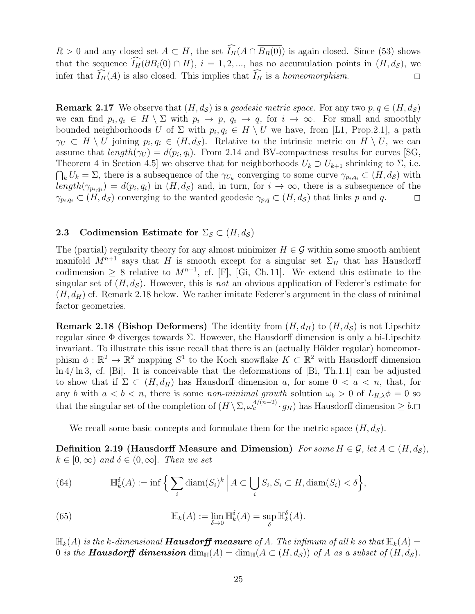$R > 0$  and any closed set  $A \subset H$ , the set  $\widehat{I}_{H}(A \cap \overline{B_{R}(0)})$  is again closed. Since [\(53\)](#page-21-2) shows that the sequence  $\widehat{I}_{H}(\partial B_i(0) \cap H)$ ,  $i = 1, 2, ...,$  has no accumulation points in  $(H, d_S)$ , we infer that  $\widehat{I_H}(A)$  is also closed. This implies that  $\widehat{I_H}$  is a homeomorphism.

**Remark 2.17** We observe that  $(H, d<sub>S</sub>)$  is a *geodesic metric space*. For any two  $p, q \in (H, d<sub>S</sub>)$ we can find  $p_i, q_i \in H \setminus \Sigma$  with  $p_i \to p$ ,  $q_i \to q$ , for  $i \to \infty$ . For small and smoothly bounded neighborhoods U of  $\Sigma$  with  $p_i, q_i \in H \setminus U$  we have, from [\[L1,](#page-41-13) Prop.2.1], a path  $\gamma_U \subset H \setminus U$  joining  $p_i, q_i \in (H, d_{\mathcal{S}})$ . Relative to the intrinsic metric on  $H \setminus U$ , we can assume that  $length(\gamma_U) = d(p_i, q_i)$ . From [2.14](#page-20-2) and BV-compactness results for curves [\[SG,](#page-41-24) Theorem 4 in Section 4.5] we observe that for neighborhoods  $U_k \supset U_{k+1}$  shrinking to  $\Sigma$ , i.e.  $\bigcap_k U_k = \Sigma$ , there is a subsequence of the  $\gamma_{U_k}$  converging to some curve  $\gamma_{p_i,q_i} \subset (H, d_{\mathcal{S}})$  with  $length(\gamma_{p_i,q_i}) = d(p_i,q_i)$  in  $(H,d_{\mathcal{S}})$  and, in turn, for  $i \to \infty$ , there is a subsequence of the  $\gamma_{p_i,q_i} \subset (H, d_{\mathcal{S}})$  converging to the wanted geodesic  $\gamma_{p,q} \subset (H, d_{\mathcal{S}})$  that links p and q.

### <span id="page-24-0"></span>2.3 Codimension Estimate for  $\Sigma_{\mathcal{S}} \subset (H, d_{\mathcal{S}})$

The (partial) regularity theory for any almost minimizer  $H \in \mathcal{G}$  within some smooth ambient manifold  $M^{n+1}$  says that H is smooth except for a singular set  $\Sigma_H$  that has Hausdorff codimension  $\geq 8$  relative to  $M^{n+1}$ , cf. [\[F\]](#page-41-25), [\[Gi,](#page-41-26) Ch. 11]. We extend this estimate to the singular set of  $(H, d<sub>S</sub>)$ . However, this is not an obvious application of Federer's estimate for  $(H, d_H)$  cf. Remark [2.18](#page-24-1) below. We rather imitate Federer's argument in the class of minimal factor geometries.

<span id="page-24-1"></span>**Remark 2.18 (Bishop Deformers)** The identity from  $(H, d_H)$  to  $(H, d_S)$  is not Lipschitz regular since  $\Phi$  diverges towards  $\Sigma$ . However, the Hausdorff dimension is only a bi-Lipschitz invariant. To illustrate this issue recall that there is an (actually Hölder regular) homeomorphism  $\phi : \mathbb{R}^2 \to \mathbb{R}^2$  mapping  $S^1$  to the Koch snowflake  $K \subset \mathbb{R}^2$  with Hausdorff dimension ln 4/ ln 3, cf. [\[Bi\]](#page-41-27). It is conceivable that the deformations of [\[Bi,](#page-41-27) Th.1.1] can be adjusted to show that if  $\Sigma \subset (H, d_H)$  has Hausdorff dimension a, for some  $0 < a < n$ , that, for any b with  $a < b < n$ , there is some non-minimal growth solution  $\omega_b > 0$  of  $L_{H,\lambda} \phi = 0$  so that the singular set of the completion of  $(H \setminus \Sigma, \omega_c^{4/(n-2)} \cdot g_H)$  has Hausdorff dimension  $\geq b$ .

We recall some basic concepts and formulate them for the metric space  $(H, d<sub>S</sub>)$ .

Definition 2.19 (Hausdorff Measure and Dimension) For some  $H \in \mathcal{G}$ , let  $A \subset (H, d_{\mathcal{S}})$ ,  $k \in [0, \infty)$  and  $\delta \in (0, \infty]$ . Then we set

<span id="page-24-2"></span>(64) 
$$
\mathbb{H}_k^{\delta}(A) := \inf \Big\{ \sum_i \operatorname{diam}(S_i)^k \Big| A \subset \bigcup_i S_i, S_i \subset H, \operatorname{diam}(S_i) < \delta \Big\},
$$

(65) 
$$
\mathbb{H}_k(A) := \lim_{\delta \to 0} \mathbb{H}_k^{\delta}(A) = \sup_{\delta} \mathbb{H}_k^{\delta}(A).
$$

 $\mathbb{H}_k(A)$  is the k-dimensional **Hausdorff measure** of A. The infimum of all k so that  $\mathbb{H}_k(A)$  = 0 is the **Hausdorff dimension**  $\dim_{\mathbb{H}}(A) = \dim_{\mathbb{H}}(A \subset (H, d_{\mathcal{S}}))$  of A as a subset of  $(H, d_{\mathcal{S}})$ .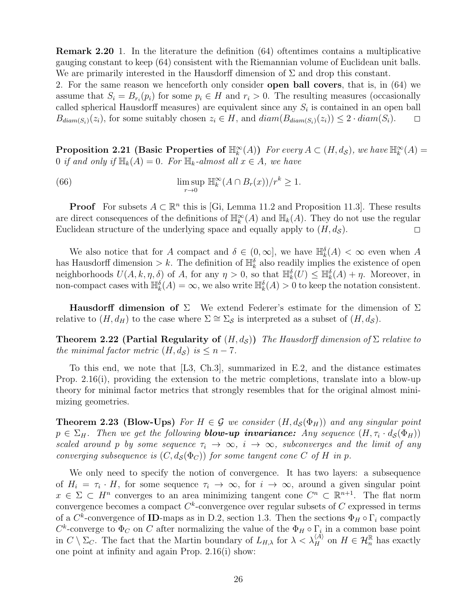Remark 2.20 1. In the literature the definition [\(64\)](#page-24-2) oftentimes contains a multiplicative gauging constant to keep [\(64\)](#page-24-2) consistent with the Riemannian volume of Euclidean unit balls. We are primarily interested in the Hausdorff dimension of  $\Sigma$  and drop this constant.

2. For the same reason we henceforth only consider open ball covers, that is, in [\(64\)](#page-24-2) we assume that  $S_i = B_{r_i}(p_i)$  for some  $p_i \in H$  and  $r_i > 0$ . The resulting measures (occasionally called spherical Hausdorff measures) are equivalent since any  $S_i$  is contained in an open ball  $B_{diam(S_i)}(z_i)$ , for some suitably chosen  $z_i \in H$ , and  $diam(B_{diam(S_i)}(z_i)) \leq 2 \cdot diam(S_i)$ .  $\Box$ 

<span id="page-25-3"></span>**Proposition 2.21** (Basic Properties of  $\mathbb{H}_k^{\infty}(A)$ ) For every  $A \subset (H, d_{\mathcal{S}})$ , we have  $\mathbb{H}_k^{\infty}(A)$  = 0 if and only if  $\mathbb{H}_k(A) = 0$ . For  $\mathbb{H}_k$ -almost all  $x \in A$ , we have

<span id="page-25-2"></span>(66) 
$$
\limsup_{r \to 0} \mathbb{H}_k^{\infty}(A \cap B_r(x)) / r^k \geq 1.
$$

**Proof** For subsets  $A \subset \mathbb{R}^n$  this is [\[Gi,](#page-41-26) Lemma 11.2 and Proposition 11.3]. These results are direct consequences of the definitions of  $\mathbb{H}_k^{\infty}(A)$  and  $\mathbb{H}_k(A)$ . They do not use the regular Euclidean structure of the underlying space and equally apply to  $(H, d<sub>S</sub>)$ .

We also notice that for A compact and  $\delta \in (0,\infty]$ , we have  $\mathbb{H}_k^{\delta}(A) < \infty$  even when A has Hausdorff dimension  $\geq k$ . The definition of  $\mathbb{H}_k^{\delta}$  also readily implies the existence of open neighborhoods  $U(A, k, \eta, \delta)$  of A, for any  $\eta > 0$ , so that  $\mathbb{H}_k^{\delta}(U) \leq \mathbb{H}_k^{\delta}(A) + \eta$ . Moreover, in non-compact cases with  $\mathbb{H}_k^{\delta}(A) = \infty$ , we also write  $\mathbb{H}_k^{\delta}(A) > 0$  to keep the notation consistent.

<span id="page-25-4"></span>Hausdorff dimension of  $\Sigma$  We extend Federer's estimate for the dimension of  $\Sigma$ relative to  $(H, d_H)$  to the case where  $\Sigma \cong \Sigma_S$  is interpreted as a subset of  $(H, d_S)$ .

**Theorem 2.22 (Partial Regularity of**  $(H, d<sub>S</sub>)$ ) The Hausdorff dimension of  $\Sigma$  relative to the minimal factor metric  $(H, d_S)$  is  $\leq n-7$ .

To this end, we note that [\[L3,](#page-41-14) Ch.3], summarized in E.2, and the distance estimates Prop. [2.16\(](#page-22-0)i), providing the extension to the metric completions, translate into a blow-up theory for minimal factor metrics that strongly resembles that for the original almost minimizing geometries.

<span id="page-25-0"></span>**Theorem 2.23 (Blow-Ups)** For  $H \in \mathcal{G}$  we consider  $(H, d_S(\Phi_H))$  and any singular point  $p \in \Sigma_H$ . Then we get the following **blow-up invariance:** Any sequence  $(H, \tau_i \cdot d_{\mathcal{S}}(\Phi_H))$ scaled around p by some sequence  $\tau_i \to \infty$ ,  $i \to \infty$ , subconverges and the limit of any converging subsequence is  $(C, d_{\mathcal{S}}(\Phi_C))$  for some tangent cone C of H in p.

<span id="page-25-1"></span>We only need to specify the notion of convergence. It has two layers: a subsequence of  $H_i = \tau_i \cdot H$ , for some sequence  $\tau_i \to \infty$ , for  $i \to \infty$ , around a given singular point  $x \in \Sigma \subset H^n$  converges to an area minimizing tangent cone  $C^n \subset \mathbb{R}^{n+1}$ . The flat norm convergence becomes a compact  $C^k$ -convergence over regular subsets of  $C$  expressed in terms of a  $C^k$ -convergence of **ID**-maps as in D.2, section [1.3.](#page-6-0) Then the sections  $\Phi_H \circ \Gamma_i$  compactly  $C^k$ -converge to  $\Phi_C$  on C after normalizing the value of the  $\Phi_H \circ \Gamma_i$  in a common base point in  $C \setminus \Sigma_C$ . The fact that the Martin boundary of  $L_{H,\lambda}$  for  $\lambda < \lambda_H^{(A)}$  on  $H \in \mathcal{H}_n^{\mathbb{R}}$  has exactly one point at infinity and again Prop. [2.16\(](#page-22-0)i) show: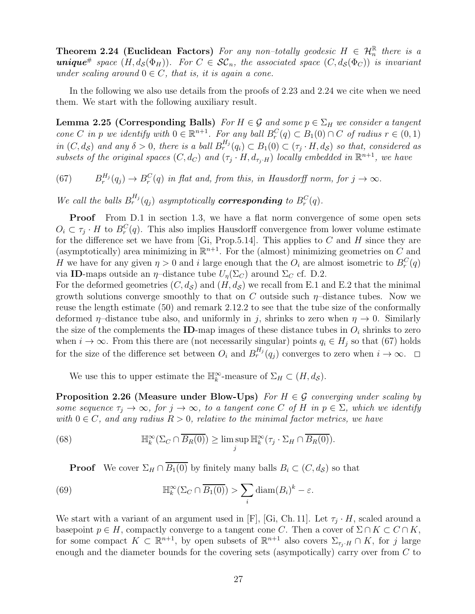**Theorem 2.24 (Euclidean Factors)** For any non-totally geodesic  $H \in \mathcal{H}_n^{\mathbb{R}}$  there is a **unique**<sup>#</sup> space  $(H, d_{\mathcal{S}}(\Phi_H))$ . For  $C \in \mathcal{SC}_n$ , the associated space  $(C, d_{\mathcal{S}}(\Phi_C))$  is invariant under scaling around  $0 \in C$ , that is, it is again a cone.

<span id="page-26-1"></span>In the following we also use details from the proofs of [2.23](#page-25-0) and [2.24](#page-25-1) we cite when we need them. We start with the following auxiliary result.

**Lemma 2.25 (Corresponding Balls)** For  $H \in \mathcal{G}$  and some  $p \in \Sigma_H$  we consider a tangent cone C in p we identify with  $0 \in \mathbb{R}^{n+1}$ . For any ball  $B_r^C(q) \subset B_1(0) \cap C$  of radius  $r \in (0,1)$ in  $(C, d_{\mathcal{S}})$  and any  $\delta > 0$ , there is a ball  $B_r^{H_j}(q_i) \subset B_1(0) \subset (\tau_j \cdot H, d_{\mathcal{S}})$  so that, considered as subsets of the original spaces  $(C, d_C)$  and  $(\tau_j \cdot H, d_{\tau_j \cdot H})$  locally embedded in  $\mathbb{R}^{n+1}$ , we have

<span id="page-26-0"></span> $(67)$  $H_i^{H_j}(q_j) \to B_r^C(q)$  in flat and, from this, in Hausdorff norm, for  $j \to \infty$ .

We call the balls  $B_r^{H_j}(q_j)$  asymptotically **corresponding** to  $B_r^C(q)$ .

**Proof** From D.1 in section [1.3,](#page-6-0) we have a flat norm convergence of some open sets  $O_i \subset \tau_j \cdot H$  to  $B_r^C(q)$ . This also implies Hausdorff convergence from lower volume estimate for the difference set we have from [\[Gi,](#page-41-26) Prop.5.14]. This applies to  $C$  and  $H$  since they are (asymptotically) area minimizing in  $\mathbb{R}^{n+1}$ . For the (almost) minimizing geometries on C and H we have for any given  $\eta > 0$  and i large enough that the  $O_i$  are almost isometric to  $B_r^C(q)$ via ID-maps outside an  $\eta$ -distance tube  $U_n(\Sigma_C)$  around  $\Sigma_C$  cf. D.2.

For the deformed geometries  $(C, d_{\mathcal{S}})$  and  $(H, d_{\mathcal{S}})$  we recall from E.1 and E.2 that the minimal growth solutions converge smoothly to that on C outside such  $\eta$ -distance tubes. Now we reuse the length estimate [\(50\)](#page-20-0) and remark [2.12.](#page-20-3)2 to see that the tube size of the conformally deformed  $\eta$ –distance tube also, and uniformly in j, shrinks to zero when  $\eta \to 0$ . Similarly the size of the complements the ID-map images of these distance tubes in  $O_i$  shrinks to zero when  $i \to \infty$ . From this there are (not necessarily singular) points  $q_i \in H_j$  so that [\(67\)](#page-26-0) holds for the size of the difference set between  $O_i$  and  $B_r^{H_j}(q_j)$  converges to zero when  $i \to \infty$ .  $\Box$ 

<span id="page-26-3"></span>We use this to upper estimate the  $\mathbb{H}_{k}^{\infty}$ -measure of  $\Sigma_{H} \subset (H, d_{\mathcal{S}})$ .

**Proposition 2.26 (Measure under Blow-Ups)** For  $H \in \mathcal{G}$  converging under scaling by some sequence  $\tau_j \to \infty$ , for  $j \to \infty$ , to a tangent cone C of H in  $p \in \Sigma$ , which we identify with  $0 \in C$ , and any radius  $R > 0$ , relative to the minimal factor metrics, we have

(68) 
$$
\mathbb{H}_k^{\infty}(\Sigma_C \cap \overline{B_R(0)}) \geq \limsup_j \mathbb{H}_k^{\infty}(\tau_j \cdot \Sigma_H \cap \overline{B_R(0)}).
$$

<span id="page-26-2"></span>**Proof** We cover  $\Sigma_H \cap \overline{B_1(0)}$  by finitely many balls  $B_i \subset (C, d_{\mathcal{S}})$  so that

(69) 
$$
\mathbb{H}_k^{\infty}(\Sigma_C \cap \overline{B_1(0)}) > \sum_i \text{diam}(B_i)^k - \varepsilon.
$$

We start with a variant of an argument used in [\[F\]](#page-41-25), [\[Gi,](#page-41-26) Ch. 11]. Let  $\tau_j \cdot H$ , scaled around a basepoint  $p \in H$ , compactly converge to a tangent cone C. Then a cover of  $\Sigma \cap K \subset C \cap K$ , for some compact  $K \subset \mathbb{R}^{n+1}$ , by open subsets of  $\mathbb{R}^{n+1}$  also covers  $\Sigma_{\tau_j \cdot H} \cap K$ , for j large enough and the diameter bounds for the covering sets (asympotically) carry over from C to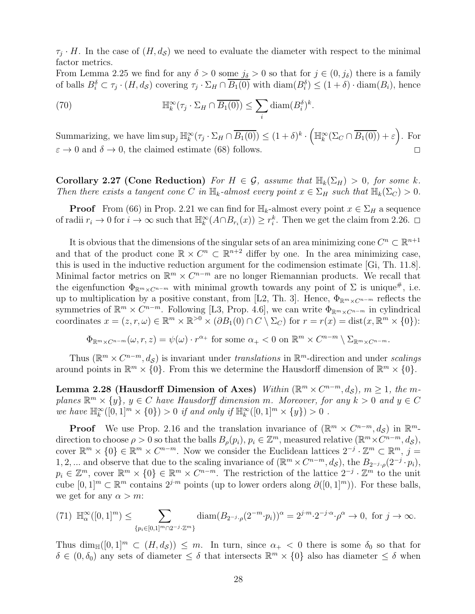$\tau_j \cdot H$ . In the case of  $(H, d_{\mathcal{S}})$  we need to evaluate the diameter with respect to the minimal factor metrics.

From Lemma [2.25](#page-26-1) we find for any  $\delta > 0$  some  $j_{\delta} > 0$  so that for  $j \in (0, j_{\delta})$  there is a family of balls  $B_i^{\delta} \subset \tau_j \cdot (H, d_{\mathcal{S}})$  covering  $\tau_j \cdot \Sigma_H \cap B_1(0)$  with  $\text{diam}(B_i^{\delta}) \leq (1 + \delta) \cdot \text{diam}(B_i)$ , hence

(70) 
$$
\mathbb{H}_k^{\infty}(\tau_j \cdot \Sigma_H \cap \overline{B_1(0)}) \leq \sum_i \text{diam}(B_i^{\delta})^k.
$$

Summarizing, we have  $\limsup_j \mathbb{H}_k^{\infty}(\tau_j \cdot \Sigma_H \cap \overline{B_1(0)}) \leq (1+\delta)^k$ .  $\left(\mathbb{H}_{k}^{\infty}(\Sigma_{C}\cap\overline{B_{1}(0)})+\varepsilon\right)$ . For  $\varepsilon \to 0$  and  $\delta \to 0$ , the claimed estimate [\(68\)](#page-26-2) follows.

<span id="page-27-1"></span>Corollary 2.27 (Cone Reduction) For  $H \in \mathcal{G}$ , assume that  $\mathbb{H}_k(\Sigma_H) > 0$ , for some k. Then there exists a tangent cone C in  $\mathbb{H}_k$ -almost every point  $x \in \Sigma_H$  such that  $\mathbb{H}_k(\Sigma_C) > 0$ .

**Proof** From [\(66\)](#page-25-2) in Prop. [2.21](#page-25-3) we can find for  $\mathbb{H}_k$ -almost every point  $x \in \Sigma_H$  a sequence of radii  $r_i \to 0$  for  $i \to \infty$  such that  $\mathbb{H}_k^{\infty}(A \cap B_{r_i}(x)) \geq r_i^k$ . Then we get the claim from [2.26.](#page-26-3)  $\Box$ 

It is obvious that the dimensions of the singular sets of an area minimizing cone  $C^n \subset \mathbb{R}^{n+1}$ and that of the product cone  $\mathbb{R} \times C^n \subset \mathbb{R}^{n+2}$  differ by one. In the area minimizing case, this is used in the inductive reduction argument for the codimension estimate [\[Gi,](#page-41-26) Th. 11.8]. Minimal factor metrics on  $\mathbb{R}^m \times C^{n-m}$  are no longer Riemannian products. We recall that the eigenfunction  $\Phi_{\mathbb{R}^m \times C^{n-m}}$  with minimal growth towards any point of  $\Sigma$  is unique#, i.e. up to multiplication by a positive constant, from [\[L2,](#page-41-5) Th. 3]. Hence,  $\Phi_{\mathbb{R}^m \times C^{n-m}}$  reflects the symmetries of  $\mathbb{R}^m \times C^{n-m}$ . Following [\[L3,](#page-41-14) Prop. 4.6], we can write  $\Phi_{\mathbb{R}^m \times C^{n-m}}$  in cylindrical coordinates  $x = (z, r, \omega) \in \mathbb{R}^m \times \mathbb{R}^{>0} \times (\partial B_1(0) \cap C \setminus \Sigma_C)$  for  $r = r(x) = \text{dist}(x, \mathbb{R}^m \times \{0\})$ :

$$
\Phi_{\mathbb{R}^m \times C^{n-m}}(\omega, r, z) = \psi(\omega) \cdot r^{\alpha_+} \text{ for some } \alpha_+ < 0 \text{ on } \mathbb{R}^m \times C^{n-m} \setminus \Sigma_{\mathbb{R}^m \times C^{n-m}}.
$$

<span id="page-27-0"></span>Thus  $(\mathbb{R}^m \times C^{n-m}, d_{\mathcal{S}})$  is invariant under translations in  $\mathbb{R}^m$ -direction and under scalings around points in  $\mathbb{R}^m \times \{0\}$ . From this we determine the Hausdorff dimension of  $\mathbb{R}^m \times \{0\}$ .

Lemma 2.28 (Hausdorff Dimension of Axes) Within ( $\mathbb{R}^m \times C^{n-m}$ , d<sub>S</sub>),  $m \ge 1$ , the mplanes  $\mathbb{R}^m \times \{y\}$ ,  $y \in C$  have Hausdorff dimension m. Moreover, for any  $k > 0$  and  $y \in C$ we have  $\mathbb{H}_{k}^{\infty}([0,1]^{m} \times \{0\}) > 0$  if and only if  $\mathbb{H}_{k}^{\infty}([0,1]^{m} \times \{y\}) > 0$ .

**Proof** We use Prop. [2.16](#page-22-0) and the translation invariance of  $(\mathbb{R}^m \times C^{n-m}, d_{\mathcal{S}})$  in  $\mathbb{R}^m$ direction to choose  $\rho > 0$  so that the balls  $B_{\rho}(p_i), p_i \in \mathbb{Z}^m$ , measured relative  $(\mathbb{R}^m \times C^{n-m}, d_{\mathcal{S}})$ , cover  $\mathbb{R}^m \times \{0\} \in \mathbb{R}^m \times C^{n-m}$ . Now we consider the Euclidean lattices  $2^{-j} \cdot \mathbb{Z}^m \subset \mathbb{R}^m$ ,  $j =$ 1, 2, ... and observe that due to the scaling invariance of  $(\mathbb{R}^m \times C^{n-m}, d_{\mathcal{S}})$ , the  $B_{2^{-j} \cdot \rho}(2^{-j} \cdot p_i)$ ,  $p_i \in \mathbb{Z}^m$ , cover  $\mathbb{R}^m \times \{0\} \in \mathbb{R}^m \times C^{n-m}$ . The restriction of the lattice  $2^{-j} \cdot \mathbb{Z}^m$  to the unit cube  $[0,1]^m \subset \mathbb{R}^m$  contains  $2^{j \cdot m}$  points (up to lower orders along  $\partial([0,1]^m)$ ). For these balls, we get for any  $\alpha > m$ :

$$
(71) \ \mathbb{H}_{\alpha}^{\infty}([0,1]^m) \leq \sum_{\{p_i \in [0,1]^m \cap 2^{-j} \cdot \mathbb{Z}^m\}} \text{diam}(B_{2^{-j} \cdot \rho}(2^{-m} \cdot p_i))^{\alpha} = 2^{j \cdot m} \cdot 2^{-j \cdot \alpha} \cdot \rho^{\alpha} \to 0, \text{ for } j \to \infty.
$$

Thus dim<sub>H</sub>([0, 1]<sup>m</sup>  $\subset$  (H, d<sub>S</sub>))  $\leq$  m. In turn, since  $\alpha_+$  < 0 there is some  $\delta_0$  so that for  $\delta \in (0, \delta_0)$  any sets of diameter  $\leq \delta$  that intersects  $\mathbb{R}^m \times \{0\}$  also has diameter  $\leq \delta$  when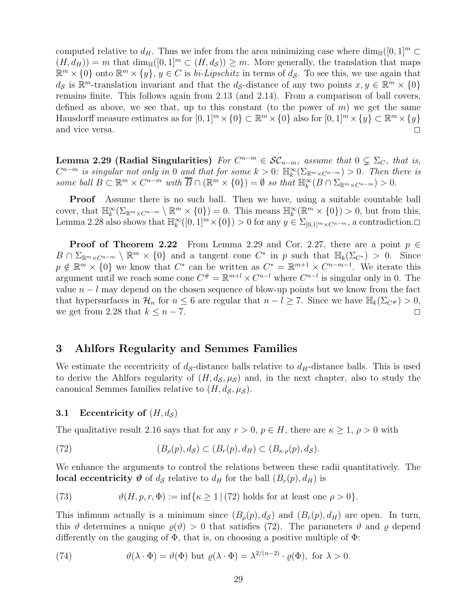computed relative to  $d_H$ . Thus we infer from the area minimizing case where  $\dim_{\mathbb{H}}([0,1]^m \subset$  $(H, d_H)) = m$  that  $\dim_{\mathbb{H}}([0, 1]^m \subset (H, d_S)) \geq m$ . More generally, the translation that maps  $\mathbb{R}^m \times \{0\}$  onto  $\mathbb{R}^m \times \{y\}$ ,  $y \in C$  is *bi-Lipschitz* in terms of  $d_{\mathcal{S}}$ . To see this, we use again that  $d_{\mathcal{S}}$  is  $\mathbb{R}^m$ -translation invariant and that the  $d_{\mathcal{S}}$ -distance of any two points  $x, y \in \mathbb{R}^m \times \{0\}$ remains finite. This follows again from [2.13](#page-20-1) (and [2.14\)](#page-20-2). From a comparison of ball covers, defined as above, we see that, up to this constant (to the power of  $m$ ) we get the same Hausdorff measure estimates as for  $[0,1]^m \times \{0\} \subset \mathbb{R}^m \times \{0\}$  also for  $[0,1]^m \times \{y\} \subset \mathbb{R}^m \times \{y\}$ and vice versa.  $\Box$ 

<span id="page-28-2"></span>Lemma 2.29 (Radial Singularities)  $For C^{n-m} \in \mathcal{SC}_{n-m}$ , assume that  $0 \subsetneq \Sigma_C$ , that is,  $C^{n-m}$  is singular not only in 0 and that for some  $k > 0$ :  $\mathbb{H}_{k}^{\infty}(\Sigma_{\mathbb{R}^m \times C^{n-m}}) > 0$ . Then there is some ball  $B \subset \mathbb{R}^m \times C^{n-m}$  with  $\overline{B} \cap (\mathbb{R}^m \times \{0\}) = \emptyset$  so that  $\mathbb{H}_k^{\infty}(B \cap \Sigma_{\mathbb{R}^m \times C^{n-m}}) > 0$ .

**Proof** Assume there is no such ball. Then we have, using a suitable countable ball cover, that  $\mathbb{H}_{k}^{\infty}(\Sigma_{\mathbb{R}^m \times C^{n-m}} \setminus \mathbb{R}^m \times \{0\}) = 0$ . This means  $\mathbb{H}_{k}^{\infty}(\mathbb{R}^m \times \{0\}) > 0$ , but from this, Lemma [2.28](#page-27-0) also shows that  $\mathbb{H}_k^{\infty}([0,1]^m \times \{0\}) > 0$  for any  $y \in \Sigma_{[0,1]^m \times C^{n-m}}$ , a contradiction.

**Proof of Theorem [2.22](#page-25-4)** From Lemma [2.29](#page-28-2) and Cor. [2.27,](#page-27-1) there are a point  $p \in \mathbb{R}$  $B \cap \Sigma_{\mathbb{R}^m \times C^{n-m}} \setminus \mathbb{R}^m \times \{0\}$  and a tangent cone  $C^*$  in p such that  $\mathbb{H}_k(\Sigma_{C^*}) > 0$ . Since  $p \notin \mathbb{R}^m \times \{0\}$  we know that  $C^*$  can be written as  $C^* = \mathbb{R}^{m+1} \times C^{n-m-1}$ . We iterate this argument until we reach some cone  $C^{\#} = \mathbb{R}^{m+l} \times C^{n-l}$  where  $C^{n-l}$  is singular only in 0. The value  $n - l$  may depend on the chosen sequence of blow-up points but we know from the fact that hypersurfaces in  $\mathcal{H}_n$  for  $n \leq 6$  are regular that  $n - l \geq 7$ . Since we have  $\mathbb{H}_k(\Sigma_{C^{\#}}) > 0$ , we get from [2.28](#page-27-0) that  $k \leq n-7$ .

## <span id="page-28-0"></span>3 Ahlfors Regularity and Semmes Families

We estimate the eccentricity of  $d_{\mathcal{S}}$ -distance balls relative to  $d_H$ -distance balls. This is used to derive the Ahlfors regularity of  $(H, d_{\mathcal{S}}, \mu_{\mathcal{S}})$  and, in the next chapter, also to study the canonical Semmes families relative to  $(H, d<sub>S</sub>, \mu<sub>S</sub>)$ .

#### <span id="page-28-1"></span>3.1 Eccentricity of  $(H, d<sub>S</sub>)$

The qualitative result [2.16](#page-22-0) says that for any  $r > 0$ ,  $p \in H$ , there are  $\kappa \geq 1$ ,  $\rho > 0$  with

<span id="page-28-3"></span>(72) 
$$
(B_{\rho}(p), d_{\mathcal{S}}) \subset (B_{r}(p), d_{H}) \subset (B_{\kappa \cdot \rho}(p), d_{\mathcal{S}}).
$$

We enhance the arguments to control the relations between these radii quantitatively. The **local eccentricity**  $\theta$  of  $d_{\mathcal{S}}$  relative to  $d_H$  for the ball  $(B_r(p), d_H)$  is

(73) 
$$
\vartheta(H, p, r, \Phi) := \inf \{ \kappa \ge 1 \mid (72) \text{ holds for at least one } \rho > 0 \}.
$$

This infimum actually is a minimum since  $(B_{\rho}(p), d_{\mathcal{S}})$  and  $(B_{r}(p), d_{H})$  are open. In turn, this  $\vartheta$  determines a unique  $\rho(\vartheta) > 0$  that satisfies [\(72\)](#page-28-3). The parameters  $\vartheta$  and  $\rho$  depend differently on the gauging of  $\Phi$ , that is, on choosing a positive multiple of  $\Phi$ :

<span id="page-28-4"></span>(74) 
$$
\vartheta(\lambda \cdot \Phi) = \vartheta(\Phi) \text{ but } \varrho(\lambda \cdot \Phi) = \lambda^{2/(n-2)} \cdot \varrho(\Phi), \text{ for } \lambda > 0.
$$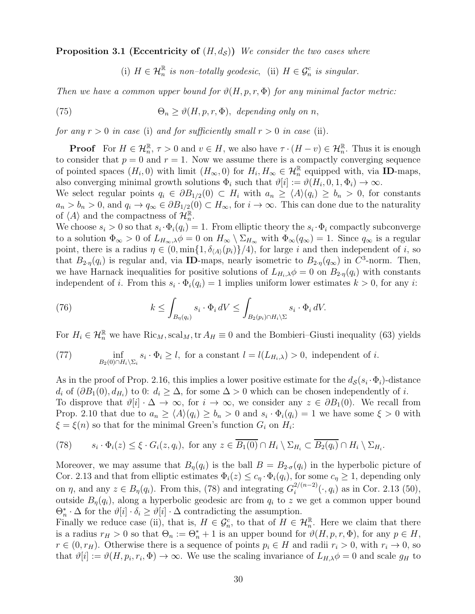**Proposition 3.1 (Eccentricity of**  $(H, d<sub>S</sub>)$ ) We consider the two cases where

(i)  $H \in \mathcal{H}_n^{\mathbb{R}}$  is non-totally geodesic, (ii)  $H \in \mathcal{G}_n^c$  is singular.

Then we have a common upper bound for  $\vartheta(H, p, r, \Phi)$  for any minimal factor metric:

(75) 
$$
\Theta_n \geq \vartheta(H, p, r, \Phi), \text{ depending only on } n,
$$

for any  $r > 0$  in case (i) and for sufficiently small  $r > 0$  in case (ii).

**Proof** For  $H \in \mathcal{H}_n^{\mathbb{R}}, \tau > 0$  and  $v \in H$ , we also have  $\tau \cdot (H - v) \in \mathcal{H}_n^{\mathbb{R}}$ . Thus it is enough to consider that  $p = 0$  and  $r = 1$ . Now we assume there is a compactly converging sequence of pointed spaces  $(H_i, 0)$  with limit  $(H_\infty, 0)$  for  $H_i, H_\infty \in \mathcal{H}_n^{\mathbb{R}}$  equipped with, via **ID**-maps, also converging minimal growth solutions  $\Phi_i$  such that  $\vartheta[i] := \vartheta(H_i, 0, 1, \Phi_i) \to \infty$ .

We select regular points  $q_i \in \partial B_{1/2}(0) \subset H_i$  with  $a_n \geq \langle A \rangle (q_i) \geq b_n > 0$ , for constants  $a_n > b_n > 0$ , and  $q_i \to q_\infty \in \partial B_{1/2}(0) \subset H_\infty$ , for  $i \to \infty$ . This can done due to the naturality of  $\langle A \rangle$  and the compactness of  $\mathcal{H}_n^{\mathbb{R}}$ .

We choose  $s_i > 0$  so that  $s_i \cdot \Phi_i(q_i) = 1$ . From elliptic theory the  $s_i \cdot \Phi_i$  compactly subconverge to a solution  $\Phi_{\infty} > 0$  of  $L_{H_{\infty},\lambda} \phi = 0$  on  $H_{\infty} \setminus \Sigma_{H_{\infty}}$  with  $\Phi_{\infty}(q_{\infty}) = 1$ . Since  $q_{\infty}$  is a regular point, there is a radius  $\eta \in (0, \min\{1, \delta_{\langle A \rangle}(p_i)\}/4)$ , for large i and then independent of i, so that  $B_{2\cdot\eta}(q_i)$  is regular and, via ID-maps, nearly isometric to  $B_{2\cdot\eta}(q_{\infty})$  in  $C^3$ -norm. Then, we have Harnack inequalities for positive solutions of  $L_{H_i,\lambda}\phi = 0$  on  $B_{2\eta}(q_i)$  with constants independent of *i*. From this  $s_i \cdot \Phi_i(q_i) = 1$  implies uniform lower estimates  $k > 0$ , for any *i*:

<span id="page-29-1"></span>(76) 
$$
k \leq \int_{B_{\eta}(q_i)} s_i \cdot \Phi_i dV \leq \int_{B_2(p_i) \cap H_i \backslash \Sigma} s_i \cdot \Phi_i dV.
$$

For  $H_i \in \mathcal{H}_n^{\mathbb{R}}$  we have  $\text{Ric}_M, \text{scal}_M, \text{tr } A_H \equiv 0$  and the Bombieri–Giusti inequality [\(63\)](#page-23-0) yields

<span id="page-29-2"></span>(77) 
$$
\inf_{B_2(0) \cap H_i \backslash \Sigma_i} s_i \cdot \Phi_i \ge l, \text{ for a constant } l = l(L_{H_i,\lambda}) > 0, \text{ independent of } i.
$$

As in the proof of Prop. [2.16,](#page-22-0) this implies a lower positive estimate for the  $d_{\mathcal{S}}(s_i \cdot \Phi_i)$ -distance  $d_i$  of  $(\partial B_1(0), d_{H_i})$  to 0:  $d_i \geq \Delta$ , for some  $\Delta > 0$  which can be chosen independently of *i*. To disprove that  $\vartheta[i] \cdot \Delta \to \infty$ , for  $i \to \infty$ , we consider any  $z \in \partial B_1(0)$ . We recall from Prop. [2.10](#page-16-2) that due to  $a_n \ge \langle A \rangle (q_i) \ge b_n > 0$  and  $s_i \cdot \Phi_i(q_i) = 1$  we have some  $\xi > 0$  with  $\xi = \xi(n)$  so that for the minimal Green's function  $G_i$  on  $H_i$ :

<span id="page-29-0"></span>(78) 
$$
s_i \cdot \Phi_i(z) \leq \xi \cdot G_i(z, q_i)
$$
, for any  $z \in \overline{B_1(0)} \cap H_i \setminus \Sigma_{H_i} \subset \overline{B_2(q_i)} \cap H_i \setminus \Sigma_{H_i}$ .

Moreover, we may assume that  $B_{\eta}(q_i)$  is the ball  $B = B_{2\sigma}(q_i)$  in the hyperbolic picture of Cor. [2.13](#page-20-1) and that from elliptic estimates  $\Phi_i(z) \leq c_\eta \cdot \Phi_i(q_i)$ , for some  $c_\eta \geq 1$ , depending only on  $\eta$ , and any  $z \in B_{\eta}(q_i)$ . From this, [\(78\)](#page-29-0) and integrating  $G_i^{2/(n-2)}$  $i^{2/(n-2)}(\cdot, q_i)$  as in Cor. [2.13](#page-20-1) [\(50\)](#page-20-0), outside  $B_{\eta}(q_i)$ , along a hyperbolic geodesic arc from  $q_i$  to z we get a common upper bound  $\Theta_n^* \cdot \Delta$  for the  $\vartheta[i] \cdot \delta_i \ge \vartheta[i] \cdot \Delta$  contradicting the assumption.

Finally we reduce case (ii), that is,  $H \in \mathcal{G}_n^c$ , to that of  $H \in \mathcal{H}_n^{\mathbb{R}}$ . Here we claim that there is a radius  $r_H > 0$  so that  $\Theta_n := \Theta_n^* + 1$  is an upper bound for  $\vartheta(H, p, r, \Phi)$ , for any  $p \in H$ ,  $r \in (0, r_H)$ . Otherwise there is a sequence of points  $p_i \in H$  and radii  $r_i > 0$ , with  $r_i \to 0$ , so that  $\vartheta[i] := \vartheta(H, p_i, r_i, \Phi) \to \infty$ . We use the scaling invariance of  $L_{H,\lambda}\phi = 0$  and scale  $g_H$  to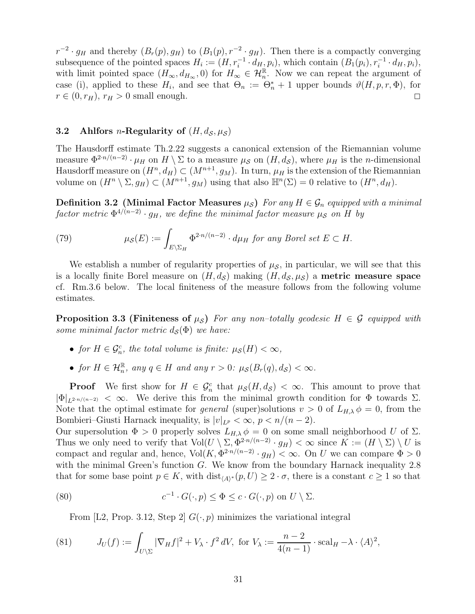$r^{-2} \cdot g_H$  and thereby  $(B_r(p), g_H)$  to  $(B_1(p), r^{-2} \cdot g_H)$ . Then there is a compactly converging subsequence of the pointed spaces  $H_i := (H, r_i^{-1} \cdot d_H, p_i)$ , which contain  $(B_1(p_i), r_i^{-1} \cdot d_H, p_i)$ , with limit pointed space  $(H_{\infty}, d_{H_{\infty}}, 0)$  for  $H_{\infty} \in \mathcal{H}_{n}^{\mathbb{R}}$ . Now we can repeat the argument of case (i), applied to these  $H_i$ , and see that  $\Theta_n := \Theta_n^* + 1$  upper bounds  $\vartheta(H, p, r, \Phi)$ , for  $r \in (0, r_H)$ ,  $r_H > 0$  small enough.

#### <span id="page-30-0"></span>3.2 Ahlfors *n*-Regularity of  $(H, d_S, \mu_S)$

The Hausdorff estimate Th[.2.22](#page-25-4) suggests a canonical extension of the Riemannian volume measure  $\Phi^{2\cdot n/(n-2)} \cdot \mu_H$  on  $H \setminus \Sigma$  to a measure  $\mu_S$  on  $(H, d_S)$ , where  $\mu_H$  is the *n*-dimensional Hausdorff measure on  $(H^n, d_H) \subset (M^{n+1}, g_M)$ . In turn,  $\mu_H$  is the extension of the Riemannian volume on  $(H^n \setminus \Sigma, g_H) \subset (M^{n+1}, g_M)$  using that also  $\mathbb{H}^n(\Sigma) = 0$  relative to  $(H^n, d_H)$ .

**Definition 3.2** (Minimal Factor Measures  $\mu_{\mathcal{S}}$ ) For any  $H \in \mathcal{G}_n$  equipped with a minimal  $\emph{factor metric $\Phi^{4/(n-2)}\cdot g_H$, we define the minimal factor measure $\mu_{\mathcal{S}}$ on $H$ by}$ 

(79) 
$$
\mu_{\mathcal{S}}(E) := \int_{E \setminus \Sigma_H} \Phi^{2 \cdot n/(n-2)} \cdot d\mu_H \text{ for any Borel set } E \subset H.
$$

We establish a number of regularity properties of  $\mu_{\mathcal{S}}$ , in particular, we will see that this is a locally finite Borel measure on  $(H, d<sub>S</sub>)$  making  $(H, d<sub>S</sub>, \mu<sub>S</sub>)$  a **metric measure space** cf. Rm[.3.6](#page-34-0) below. The local finiteness of the measure follows from the following volume estimates.

<span id="page-30-1"></span>**Proposition 3.3 (Finiteness of**  $\mu_{\mathcal{S}}$ ) For any non-totally geodesic H  $\in \mathcal{G}$  equipped with some minimal factor metric  $d_{\mathcal{S}}(\Phi)$  we have:

- for  $H \in \mathcal{G}_n^c$ , the total volume is finite:  $\mu_{\mathcal{S}}(H) < \infty$ ,
- for  $H \in \mathcal{H}_n^{\mathbb{R}}$ , any  $q \in H$  and any  $r > 0$ :  $\mu_{\mathcal{S}}(B_r(q), d_{\mathcal{S}}) < \infty$ .

**Proof** We first show for  $H \in \mathcal{G}_n^c$  that  $\mu_{\mathcal{S}}(H, d_{\mathcal{S}}) < \infty$ . This amount to prove that  $|\Phi|_{L^{2n/(n-2)}} < \infty$ . We derive this from the minimal growth condition for  $\Phi$  towards  $\Sigma$ . Note that the optimal estimate for *general* (super)solutions  $v > 0$  of  $L_{H,\lambda} \phi = 0$ , from the Bombieri–Giusti Harnack inequality, is  $|v|_{L^p} < \infty$ ,  $p < n/(n-2)$ .

Our supersolution  $\Phi > 0$  properly solves  $L_{H,\lambda} \phi = 0$  on some small neighborhood U of  $\Sigma$ . Thus we only need to verify that  $Vol(U \setminus \Sigma, \Phi^{2n/(n-2)} \cdot g_H) < \infty$  since  $K := (H \setminus \Sigma) \setminus U$  is compact and regular and, hence,  $Vol(K, \Phi^{2n/(n-2)} \cdot g_H) < \infty$ . On U we can compare  $\Phi > 0$ with the minimal Green's function G. We know from the boundary Harnack inequality [2.8](#page-16-0) that for some base point  $p \in K$ , with  $dist_{\langle A \rangle^*}(p, U) \geq 2 \cdot \sigma$ , there is a constant  $c \geq 1$  so that

(80) 
$$
c^{-1} \cdot G(\cdot, p) \leq \Phi \leq c \cdot G(\cdot, p) \text{ on } U \setminus \Sigma.
$$

From [\[L2,](#page-41-5) Prop. 3.12, Step 2]  $G(\cdot, p)$  minimizes the variational integral

(81) 
$$
J_U(f) := \int_{U \setminus \Sigma} |\nabla_H f|^2 + V_\lambda \cdot f^2 dV, \text{ for } V_\lambda := \frac{n-2}{4(n-1)} \cdot \text{scal}_H - \lambda \cdot \langle A \rangle^2,
$$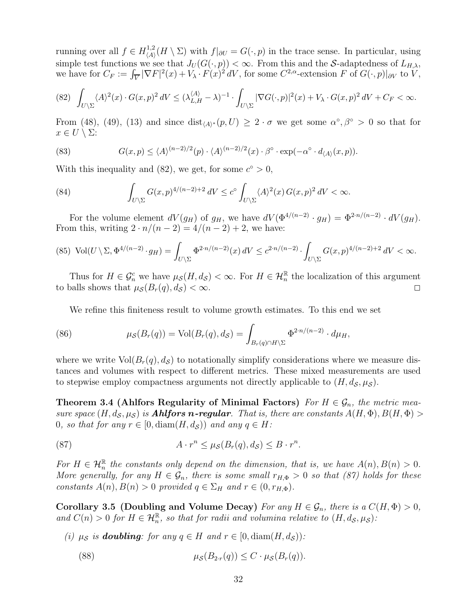running over all  $f \in H^{1,2}_{\langle A \rangle}$  $\chi_{\langle A \rangle}(H \setminus \Sigma)$  with  $f|_{\partial U} = G(\cdot, p)$  in the trace sense. In particular, using simple test functions we see that  $J_U(G(\cdot, p)) < \infty$ . From this and the S-adaptedness of  $L_{H,\lambda}$ , we have for  $C_F := \int_{\overline{V}} |\nabla F|^2(x) + V_\lambda \cdot F(x)^2 dV$ , for some  $C^{2,\alpha}$ -extension F of  $G(\cdot, p)|_{\partial V}$  to  $V$ ,

<span id="page-31-0"></span>
$$
(82)\ \ \int_{U\backslash\Sigma}\langle A\rangle^2(x)\cdot G(x,p)^2\,dV\leq (\lambda^{\langle A\rangle}_{L,H}-\lambda)^{-1}\cdot\int_{U\backslash\Sigma}|\nabla G(\cdot,p)|^2(x)+V_\lambda\cdot G(x,p)^2\,dV+C_F<\infty.
$$

From [\(48\)](#page-19-2), [\(49\)](#page-19-3), [\(13\)](#page-7-0) and since  $dist_{\langle A \rangle^*}(p,U) \geq 2 \cdot \sigma$  we get some  $\alpha^{\circ}, \beta^{\circ} > 0$  so that for  $x \in U \setminus \Sigma$ :

(83) 
$$
G(x,p) \le \langle A \rangle^{(n-2)/2}(p) \cdot \langle A \rangle^{(n-2)/2}(x) \cdot \beta^{\circ} \cdot \exp(-\alpha^{\circ} \cdot d_{\langle A \rangle}(x,p)).
$$

With this inequality and [\(82\)](#page-31-0), we get, for some  $c^{\circ} > 0$ ,

(84) 
$$
\int_{U\setminus\Sigma} G(x,p)^{4/(n-2)+2} dV \leq c^{\circ} \int_{U\setminus\Sigma} \langle A \rangle^{2}(x) G(x,p)^{2} dV < \infty.
$$

For the volume element  $dV(g_H)$  of  $g_H$ , we have  $dV(\Phi^{4/(n-2)} \cdot g_H) = \Phi^{2\cdot n/(n-2)} \cdot dV(g_H)$ . From this, writing  $2 \cdot n/(n-2) = 4/(n-2) + 2$ , we have:

$$
(85) \ \text{Vol}(U \setminus \Sigma, \Phi^{4/(n-2)} \cdot g_H) = \int_{U \setminus \Sigma} \Phi^{2 \cdot n/(n-2)}(x) \, dV \leq c^{2 \cdot n/(n-2)} \cdot \int_{U \setminus \Sigma} G(x, p)^{4/(n-2)+2} \, dV < \infty.
$$

Thus for  $H \in \mathcal{G}_n^c$  we have  $\mu_{\mathcal{S}}(H, d_{\mathcal{S}}) < \infty$ . For  $H \in \mathcal{H}_n^{\mathbb{R}}$  the localization of this argument to balls shows that  $\mu_S(B_r(q), d_S) < \infty$ .

We refine this finiteness result to volume growth estimates. To this end we set

(86) 
$$
\mu_{\mathcal{S}}(B_r(q)) = \text{Vol}(B_r(q), d_{\mathcal{S}}) = \int_{B_r(q) \cap H \backslash \Sigma} \Phi^{2 \cdot n/(n-2)} \cdot d\mu_H,
$$

where we write  $Vol(B_r(q), d_{\mathcal{S}})$  to notationally simplify considerations where we measure distances and volumes with respect to different metrics. These mixed measurements are used to stepwise employ compactness arguments not directly applicable to  $(H, d<sub>S</sub>, \mu<sub>S</sub>)$ .

<span id="page-31-2"></span>Theorem 3.4 (Ahlfors Regularity of Minimal Factors) For  $H \in \mathcal{G}_n$ , the metric measure space  $(H, d_S, \mu_S)$  is **Ahlfors n-regular**. That is, there are constants  $A(H, \Phi)$ ,  $B(H, \Phi)$ 0, so that for any  $r \in [0, \text{diam}(H, d_S))$  and any  $q \in H$ :

<span id="page-31-1"></span>(87) 
$$
A \cdot r^n \leq \mu_{\mathcal{S}}(B_r(q), d_{\mathcal{S}}) \leq B \cdot r^n.
$$

For  $H \in \mathcal{H}_n^{\mathbb{R}}$  the constants only depend on the dimension, that is, we have  $A(n), B(n) > 0$ . More generally, for any  $H \in \mathcal{G}_n$ , there is some small  $r_{H,\Phi} > 0$  so that [\(87\)](#page-31-1) holds for these constants  $A(n), B(n) > 0$  provided  $q \in \Sigma_H$  and  $r \in (0, r_{H,\Phi}).$ 

<span id="page-31-3"></span>Corollary 3.5 (Doubling and Volume Decay) For any  $H \in \mathcal{G}_n$ , there is a  $C(H, \Phi) > 0$ , and  $C(n) > 0$  for  $H \in \mathcal{H}_n^{\mathbb{R}}$ , so that for radii and volumina relative to  $(H, d_{\mathcal{S}}, \mu_{\mathcal{S}})$ :

- (i)  $\mu_{\mathcal{S}}$  is **doubling**: for any  $q \in H$  and  $r \in [0, \text{diam}(H, d_{\mathcal{S}}))$ :
	- (88)  $\mu_S(B_{2r}(q)) \leq C \cdot \mu_S(B_r(q)).$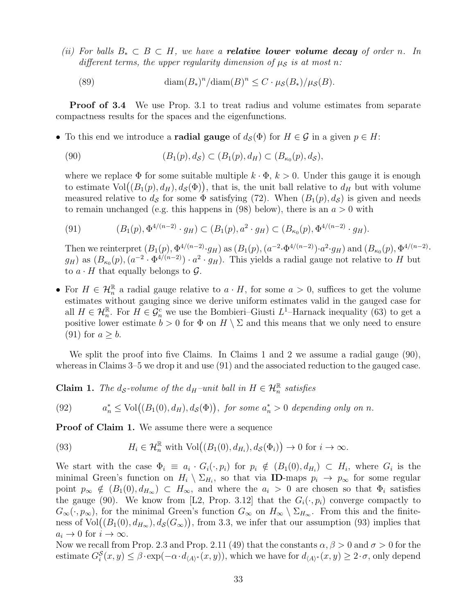(ii) For balls  $B_* \subset B \subset H$ , we have a **relative lower volume decay** of order n. In different terms, the upper regularity dimension of  $\mu_{\mathcal{S}}$  is at most n:

(89) 
$$
\text{diam}(B_*)^n/\text{diam}(B)^n \leq C \cdot \mu_{\mathcal{S}}(B_*)/\mu_{\mathcal{S}}(B).
$$

**Proof of [3.4](#page-31-2)** We use Prop. [3.1](#page-28-4) to treat radius and volume estimates from separate compactness results for the spaces and the eigenfunctions.

• To this end we introduce a **radial gauge** of  $d_S(\Phi)$  for  $H \in \mathcal{G}$  in a given  $p \in H$ :

<span id="page-32-1"></span>(90) 
$$
(B_1(p), d_{\mathcal{S}}) \subset (B_1(p), d_H) \subset (B_{\kappa_0}(p), d_{\mathcal{S}}),
$$

where we replace  $\Phi$  for some suitable multiple  $k \cdot \Phi$ ,  $k > 0$ . Under this gauge it is enough to estimate  $\text{Vol}((B_1(p), d_H), d_{\mathcal{S}}(\Phi))$ , that is, the unit ball relative to  $d_H$  but with volume measured relative to  $d_{\mathcal{S}}$  for some  $\Phi$  satisfying [\(72\)](#page-28-3). When  $(B_1(p), d_{\mathcal{S}})$  is given and needs to remain unchanged (e.g. this happens in [\(98\)](#page-33-0) below), there is an  $a > 0$  with

<span id="page-32-0"></span>(91) 
$$
(B_1(p), \Phi^{4/(n-2)} \cdot g_H) \subset (B_1(p), a^2 \cdot g_H) \subset (B_{\kappa_0}(p), \Phi^{4/(n-2)} \cdot g_H).
$$

Then we reinterpret  $(B_1(p), \Phi^{4/(n-2)} \cdot g_H)$  as  $(B_1(p), (a^{-2} \cdot \Phi^{4/(n-2)}) \cdot a^2 \cdot g_H)$  and  $(B_{\kappa_0}(p), \Phi^{4/(n-2)} \cdot g_H)$  $g_H$ ) as  $(B_{\kappa_0}(p),(a^{-2}\cdot\Phi^{4/(n-2)})\cdot a^2\cdot g_H)$ . This yields a radial gauge not relative to H but to  $a \cdot H$  that equally belongs to  $\mathcal{G}$ .

• For  $H \in \mathcal{H}_n^{\mathbb{R}}$  a radial gauge relative to  $a \cdot H$ , for some  $a > 0$ , suffices to get the volume estimates without gauging since we derive uniform estimates valid in the gauged case for all  $H \in \mathcal{H}_n^{\mathbb{R}}$ . For  $H \in \mathcal{G}_n^c$  we use the Bombieri–Giusti  $L^1$ –Harnack inequality [\(63\)](#page-23-0) to get a positive lower estimate  $b > 0$  for  $\Phi$  on  $H \setminus \Sigma$  and this means that we only need to ensure  $(91)$  for  $a \geq b$ .

We split the proof into five Claims. In Claims 1 and 2 we assume a radial gauge [\(90\)](#page-32-1), whereas in Claims 3–5 we drop it and use [\(91\)](#page-32-0) and the associated reduction to the gauged case.

**Claim 1.** The  $d_{\mathcal{S}}$ -volume of the  $d_H$ -unit ball in  $H \in \mathcal{H}_n^{\mathbb{R}}$  satisfies

(92) 
$$
a_n^* \le \text{Vol}((B_1(0), d_H), d_{\mathcal{S}}(\Phi)), \text{ for some } a_n^* > 0 \text{ depending only on } n.
$$

Proof of Claim 1. We assume there were a sequence

<span id="page-32-2"></span>(93) 
$$
H_i \in \mathcal{H}_n^{\mathbb{R}} \text{ with } \text{Vol}((B_1(0), d_{H_i}), d_{\mathcal{S}}(\Phi_i)) \to 0 \text{ for } i \to \infty.
$$

We start with the case  $\Phi_i \equiv a_i \cdot G_i(\cdot, p_i)$  for  $p_i \notin (B_1(0), d_{H_i}) \subset H_i$ , where  $G_i$  is the minimal Green's function on  $H_i \setminus \Sigma_{H_i}$ , so that via **ID**-maps  $p_i \to p_\infty$  for some regular point  $p_{\infty} \notin (B_1(0), d_{H_{\infty}}) \subset H_{\infty}$ , and where the  $a_i > 0$  are chosen so that  $\Phi_i$  satisfies the gauge [\(90\)](#page-32-1). We know from [\[L2,](#page-41-5) Prop. 3.12] that the  $G_i(\cdot, p_i)$  converge compactly to  $G_{\infty}(\cdot, p_{\infty})$ , for the minimal Green's function  $G_{\infty}$  on  $H_{\infty} \setminus \Sigma_{H_{\infty}}$ . From this and the finiteness of  $Vol((B_1(0), d_{H_\infty}), d_{\mathcal{S}}(G_\infty))$ , from [3.3,](#page-30-1) we infer that our assumption [\(93\)](#page-32-2) implies that  $a_i \to 0$  for  $i \to \infty$ .

Now we recall from Prop. [2.3](#page-11-0) and Prop. [2.11](#page-18-4) [\(49\)](#page-19-3) that the constants  $\alpha, \beta > 0$  and  $\sigma > 0$  for the estimate  $G_i^{\mathcal{S}}(x, y) \leq \beta \cdot \exp(-\alpha \cdot d_{\langle A \rangle^*}(x, y))$ , which we have for  $d_{\langle A \rangle^*}(x, y) \geq 2 \cdot \sigma$ , only depend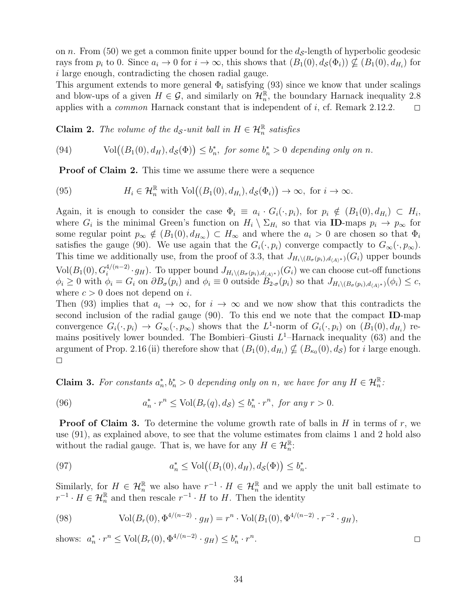on n. From [\(50\)](#page-20-0) we get a common finite upper bound for the  $d<sub>S</sub>$ -length of hyperbolic geodesic rays from  $p_i$  to 0. Since  $a_i \to 0$  for  $i \to \infty$ , this shows that  $(B_1(0), d_S(\Phi_i)) \nsubseteq (B_1(0), d_{H_i})$  for i large enough, contradicting the chosen radial gauge.

This argument extends to more general  $\Phi_i$  satisfying [\(93\)](#page-32-2) since we know that under scalings and blow-ups of a given  $H \in \mathcal{G}$ , and similarly on  $\mathcal{H}_n^{\mathbb{R}}$ , the boundary Harnack inequality [2.8](#page-16-0) applies with a *common* Harnack constant that is independent of i, cf. Remark [2.12.](#page-20-3)2.  $\square$ 

**Claim 2.** The volume of the  $d_{\mathcal{S}}$ -unit ball in  $H \in \mathcal{H}_n^{\mathbb{R}}$  satisfies

(94) Vol
$$
((B_1(0), d_H), d_S(\Phi)) \le b_n^*
$$
, for some  $b_n^* > 0$  depending only on n.

Proof of Claim 2. This time we assume there were a sequence

(95) 
$$
H_i \in \mathcal{H}_n^{\mathbb{R}} \text{ with } \text{Vol}((B_1(0), d_{H_i}), d_{\mathcal{S}}(\Phi_i)) \to \infty, \text{ for } i \to \infty.
$$

Again, it is enough to consider the case  $\Phi_i \equiv a_i \cdot G_i(\cdot, p_i)$ , for  $p_i \notin (B_1(0), d_{H_i}) \subset H_i$ , where  $G_i$  is the minimal Green's function on  $H_i \setminus \Sigma_{H_i}$  so that via **ID**-maps  $p_i \to p_\infty$  for some regular point  $p_{\infty} \notin (B_1(0), d_{H_{\infty}}) \subset H_{\infty}$  and where the  $a_i > 0$  are chosen so that  $\Phi_i$ satisfies the gauge [\(90\)](#page-32-1). We use again that the  $G_i(\cdot, p_i)$  converge compactly to  $G_{\infty}(\cdot, p_{\infty})$ . This time we additionally use, from the proof of [3.3,](#page-30-1) that  $J_{H_i\setminus (B_{\sigma}(p_i),d_{\langle A\rangle^*} )}(G_i)$  upper bounds  $Vol(B_1(0), G_i^{4/(n-2)} \cdot g_H)$ . To upper bound  $J_{H_i \setminus (B_\sigma(p_i), d_{\langle A \rangle^*})}(G_i)$  we can choose cut-off functions  $\phi_i \geq 0$  with  $\phi_i = G_i$  on  $\partial B_{\sigma}(p_i)$  and  $\phi_i \equiv 0$  outside  $B_{2\sigma}(p_i)$  so that  $J_{H_i\setminus (B_{\sigma}(p_i),d_{\langle A \rangle^*})}(\phi_i) \leq c$ , where  $c > 0$  does not depend on *i*.

Then [\(93\)](#page-32-2) implies that  $a_i \to \infty$ , for  $i \to \infty$  and we now show that this contradicts the second inclusion of the radial gauge [\(90\)](#page-32-1). To this end we note that the compact ID-map convergence  $G_i(\cdot, p_i) \to G_\infty(\cdot, p_\infty)$  shows that the  $L^1$ -norm of  $G_i(\cdot, p_i)$  on  $(B_1(0), d_{H_i})$  remains positively lower bounded. The Bombieri–Giusti  $L<sup>1</sup>$ –Harnack inequality [\(63\)](#page-23-0) and the argument of Prop. [2.16](#page-22-0) (ii) therefore show that  $(B_1(0), d_{H_i}) \nsubseteq (B_{\kappa_0}(0), d_{\mathcal{S}})$  for *i* large enough.  $\Box$ 

**Claim 3.** For constants  $a_n^*, b_n^* > 0$  depending only on n, we have for any  $H \in \mathcal{H}_n^{\mathbb{R}}$ :

(96) 
$$
a_n^* \cdot r^n \le \text{Vol}(B_r(q), d_{\mathcal{S}}) \le b_n^* \cdot r^n, \text{ for any } r > 0.
$$

**Proof of Claim 3.** To determine the volume growth rate of balls in  $H$  in terms of  $r$ , we use [\(91\)](#page-32-0), as explained above, to see that the volume estimates from claims 1 and 2 hold also without the radial gauge. That is, we have for any  $H \in \mathcal{H}_n^{\mathbb{R}}$ :

(97) 
$$
a_n^* \leq \text{Vol}\big((B_1(0), d_H), d_{\mathcal{S}}(\Phi)\big) \leq b_n^*.
$$

Similarly, for  $H \in \mathcal{H}_n^{\mathbb{R}}$  we also have  $r^{-1} \cdot H \in \mathcal{H}_n^{\mathbb{R}}$  and we apply the unit ball estimate to  $r^{-1} \cdot H \in \mathcal{H}_n^{\mathbb{R}}$  and then rescale  $r^{-1} \cdot H$  to H. Then the identity

<span id="page-33-0"></span>(98) 
$$
\text{Vol}(B_r(0), \Phi^{4/(n-2)} \cdot g_H) = r^n \cdot \text{Vol}(B_1(0), \Phi^{4/(n-2)} \cdot r^{-2} \cdot g_H),
$$

shows:  $a_n^* \cdot r^n \leq \text{Vol}(B_r(0), \Phi^{4/(n-2)} \cdot g_H) \leq b_n^* \cdot r^n$ 

34

 $\overline{a}$  .  $\overline{a}$  .  $\overline{a}$  .  $\overline{a}$  .  $\overline{a}$  .  $\overline{a}$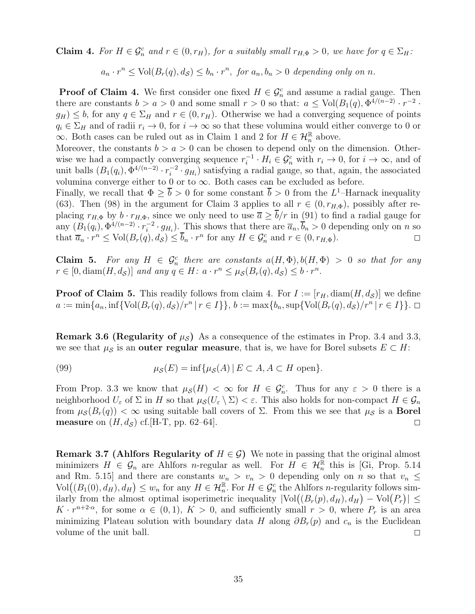**Claim 4.** For  $H \in \mathcal{G}_n^c$  and  $r \in (0, r_H)$ , for a suitably small  $r_{H,\Phi} > 0$ , we have for  $q \in \Sigma_H$ :

 $a_n \cdot r^n \leq \text{Vol}(B_r(q), d_{\mathcal{S}}) \leq b_n \cdot r^n$ , for  $a_n, b_n > 0$  depending only on n.

**Proof of Claim 4.** We first consider one fixed  $H \in \mathcal{G}_n^c$  and assume a radial gauge. Then there are constants  $b > a > 0$  and some small  $r > 0$  so that:  $a \leq Vol(B_1(q), \Phi^{4/(n-2)} \cdot r^{-2}$ .  $g_H$ )  $\leq$  b, for any  $q \in \Sigma_H$  and  $r \in (0, r_H)$ . Otherwise we had a converging sequence of points  $q_i \in \Sigma_H$  and of radii  $r_i \to 0$ , for  $i \to \infty$  so that these volumina would either converge to 0 or  $\infty$ . Both cases can be ruled out as in Claim 1 and 2 for  $H \in \mathcal{H}_n^{\mathbb{R}}$  above.

Moreover, the constants  $b > a > 0$  can be chosen to depend only on the dimension. Otherwise we had a compactly converging sequence  $r_i^{-1} \cdot H_i \in \mathcal{G}_n^c$  with  $r_i \to 0$ , for  $i \to \infty$ , and of unit balls  $(B_1(q_i), \Phi^{4/(n-2)} \cdot r_i^{-2})$  $i^{2} \cdot g_{H_i}$ ) satisfying a radial gauge, so that, again, the associated volumina converge either to 0 or to  $\infty$ . Both cases can be excluded as before.

Finally, we recall that  $\Phi \geq \overline{b} > 0$  for some constant  $\overline{b} > 0$  from the L<sup>1</sup>-Harnack inequality [\(63\)](#page-23-0). Then [\(98\)](#page-33-0) in the argument for Claim 3 applies to all  $r \in (0, r_{H,\Phi})$ , possibly after replacing  $r_{H,\Phi}$  by  $b \cdot r_{H,\Phi}$ , since we only need to use  $\overline{a} \ge \overline{b}/r$  in [\(91\)](#page-32-0) to find a radial gauge for any  $(B_1(q_i), \Phi^{4/(n-2)} \cdot r_i^{-2})$  $\overline{a}_i^2 \cdot g_{H_i}$ ). This shows that there are  $\overline{a}_n, b_n > 0$  depending only on n so that  $\overline{a}_n \cdot r^n \le \text{Vol}(B_r(q), d_{\mathcal{S}}) \le \overline{b}_n \cdot r^n$  for any  $H \in \mathcal{G}_n^c$  and  $r \in (0, r_{H,\Phi})$ .

Claim 5. For any  $H \in \mathcal{G}_n^c$  there are constants  $a(H, \Phi), b(H, \Phi) > 0$  so that for any  $r \in [0, \text{diam}(H, d_{\mathcal{S}})]$  and any  $q \in H$ :  $a \cdot r^n \leq \mu_{\mathcal{S}}(B_r(q), d_{\mathcal{S}}) \leq b \cdot r^n$ .

<span id="page-34-0"></span>**Proof of Claim 5.** This readily follows from claim 4. For  $I := [r_H, \text{diam}(H, d_S)]$  we define a := min{a<sub>n</sub>, inf{Vol(B<sub>r</sub>(q), d<sub>S</sub>)/r<sup>n</sup> | r ∈ I}}, b := max{b<sub>n</sub>, sup{Vol(B<sub>r</sub>(q), d<sub>S</sub>)/r<sup>n</sup> | r ∈ I}}. □

**Remark 3.6 (Regularity of**  $\mu_{\mathcal{S}}$ **)** As a consequence of the estimates in Prop. [3.4](#page-31-2) and [3.3,](#page-30-1) we see that  $\mu_{\mathcal{S}}$  is an **outer regular measure**, that is, we have for Borel subsets  $E \subset H$ :

(99) 
$$
\mu_{\mathcal{S}}(E) = \inf \{ \mu_{\mathcal{S}}(A) \mid E \subset A, A \subset H \text{ open} \}.
$$

From Prop. [3.3](#page-30-1) we know that  $\mu_{\mathcal{S}}(H) < \infty$  for  $H \in \mathcal{G}_n^c$ . Thus for any  $\varepsilon > 0$  there is a neighborhood  $U_{\varepsilon}$  of  $\Sigma$  in H so that  $\mu_{\mathcal{S}}(U_{\varepsilon} \setminus \Sigma) < \varepsilon$ . This also holds for non-compact  $H \in \mathcal{G}_n$ from  $\mu_{\mathcal{S}}(B_r(q)) < \infty$  using suitable ball covers of  $\Sigma$ . From this we see that  $\mu_{\mathcal{S}}$  is a **Borel** measure on  $(H, d<sub>S</sub>)$  cf. [\[H-T,](#page-41-9) pp. 62–64].

**Remark 3.7 (Ahlfors Regularity of**  $H \in \mathcal{G}$ ) We note in passing that the original almost minimizers  $H \in \mathcal{G}_n$  are Ahlfors *n*-regular as well. For  $H \in \mathcal{H}_n^{\mathbb{R}}$  this is [\[Gi,](#page-41-26) Prop. 5.14 and Rm. 5.15] and there are constants  $w_n > v_n > 0$  depending only on n so that  $v_n \leq$  $\text{Vol}((B_1(0), d_H), d_H) \leq w_n$  for any  $H \in \mathcal{H}_n^{\mathbb{R}}$ . For  $H \in \mathcal{G}_n^c$  the Ahlfors *n*-regularity follows similarly from the almost optimal isoperimetric inequality  $|\text{Vol}((B_r(p), d_H), d_H) - \text{Vol}(P_r)| \le$  $K \cdot r^{n+2\alpha}$ , for some  $\alpha \in (0,1)$ ,  $K > 0$ , and sufficiently small  $r > 0$ , where  $P_r$  is an area minimizing Plateau solution with boundary data H along  $\partial B_r(p)$  and  $c_n$  is the Euclidean volume of the unit ball.  $\Box$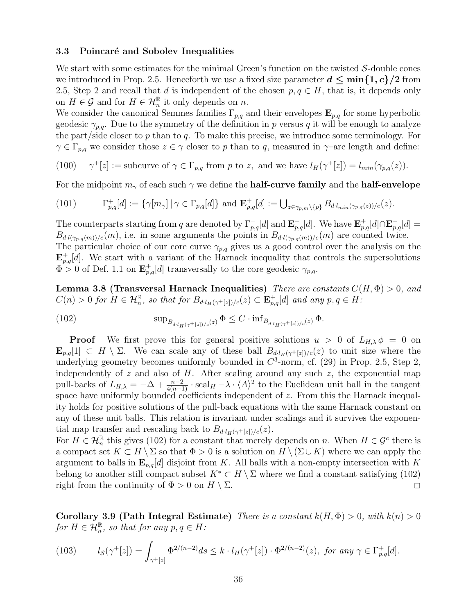#### <span id="page-35-0"></span>3.3 Poincaré and Sobolev Inequalities

We start with some estimates for the minimal Green's function on the twisted S-double cones we introduced in Prop. [2.5.](#page-12-0) Henceforth we use a fixed size parameter  $d \le \min\{1, c\}/2$  from [2.5,](#page-12-0) Step 2 and recall that d is independent of the chosen  $p, q \in H$ , that is, it depends only on  $H \in \mathcal{G}$  and for  $H \in \mathcal{H}_n^{\mathbb{R}}$  it only depends on n.

We consider the canonical Semmes families  $\Gamma_{p,q}$  and their envelopes  $\mathbf{E}_{p,q}$  for some hyperbolic geodesic  $\gamma_{p,q}$ . Due to the symmetry of the definition in p versus q it will be enough to analyze the part/side closer to  $p$  than to  $q$ . To make this precise, we introduce some terminology. For  $\gamma \in \Gamma_{p,q}$  we consider those  $z \in \gamma$  closer to p than to q, measured in  $\gamma$ -arc length and define:

 $(100)$  $^+[z] := \text{subcurve of } \gamma \in \Gamma_{p,q} \text{ from } p \text{ to } z, \text{ and we have } l_H(\gamma^+[z]) = l_{min}(\gamma_{p,q}(z)).$ 

For the midpoint  $m_{\gamma}$  of each such  $\gamma$  we define the **half-curve family** and the **half-envelope** 

(101) 
$$
\Gamma^+_{p,q}[d] := \{ \gamma[m_\gamma] \mid \gamma \in \Gamma_{p,q}[d] \} \text{ and } \mathbf{E}^+_{p,q}[d] := \bigcup_{z \in \gamma_{p,m} \setminus \{p\}} B_{d \cdot l_{min}(\gamma_{p,q}(z))/c}(z).
$$

The counterparts starting from q are denoted by  $\Gamma_{p,q}^{-}[d]$  and  $\mathbf{E}_{p,q}^{-}[d]$ . We have  $\mathbf{E}_{p,q}^{+}[d] \cap \mathbf{E}_{p,q}^{-}[d] =$  $B_{d \cdot l(\gamma_{p,q}(m))/c}(m)$ , i.e. in some arguments the points in  $B_{d \cdot l(\gamma_{p,q}(m))/c}(m)$  are counted twice. The particular choice of our core curve  $\gamma_{p,q}$  gives us a good control over the analysis on the  $\mathbf{E}_{p,q}^+[d]$ . We start with a variant of the Harnack inequality that controls the supersolutions  $\Phi > 0$  of Def. [1.1](#page-2-2) on  $\mathbf{E}_{p,q}^+[d]$  transversally to the core geodesic  $\gamma_{p,q}$ .

<span id="page-35-2"></span>Lemma 3.8 (Transversal Harnack Inequalities) There are constants  $C(H, \Phi) > 0$ , and  $C(n) > 0$  for  $H \in \mathcal{H}_n^{\mathbb{R}}$ , so that for  $B_{d \cdot l_H(\gamma^+[z])/c}(z) \subset \mathbf{E}_{p,q}^+[d]$  and any  $p,q \in H$ :

<span id="page-35-1"></span>(102) 
$$
\sup_{B_{d \cdot l_H(\gamma^+[z])/c}(z)} \Phi \le C \cdot \inf_{B_{d \cdot l_H(\gamma^+[z])/c}(z)} \Phi.
$$

**Proof** We first prove this for general positive solutions  $u > 0$  of  $L_{H,\lambda} \phi = 0$  on  $\mathbf{E}_{p,q}[1] \subset H \setminus \Sigma$ . We can scale any of these ball  $B_{d \cdot l_H(\gamma^+[z])/c}(z)$  to unit size where the underlying geometry becomes uniformly bounded in  $C^3$ -norm, cf. [\(29\)](#page-14-0) in Prop. [2.5,](#page-12-0) Step 2, independently of  $z$  and also of  $H$ . After scaling around any such  $z$ , the exponential map pull-backs of  $L_{H,\lambda} = -\Delta + \frac{n-2}{4(n-1)} \cdot \text{scal}_H - \lambda \cdot \langle A \rangle^2$  to the Euclidean unit ball in the tangent space have uniformly bounded coefficients independent of z. From this the Harnack inequality holds for positive solutions of the pull-back equations with the same Harnack constant on any of these unit balls. This relation is invariant under scalings and it survives the exponential map transfer and rescaling back to  $B_{d \cdot l_H(\gamma^+[z])/c}(z)$ .

For  $H \in \mathcal{H}_n^{\mathbb{R}}$  this gives [\(102\)](#page-35-1) for a constant that merely depends on n. When  $H \in \mathcal{G}^c$  there is a compact set  $K \subset H \setminus \Sigma$  so that  $\Phi > 0$  is a solution on  $H \setminus (\Sigma \cup K)$  where we can apply the argument to balls in  $\mathbf{E}_{p,q}[d]$  disjoint from K. All balls with a non-empty intersection with K belong to another still compact subset  $K^* \subset H \setminus \Sigma$  where we find a constant satisfying [\(102\)](#page-35-1) right from the continuity of  $\Phi > 0$  on  $H \setminus \Sigma$ .

<span id="page-35-4"></span>Corollary 3.9 (Path Integral Estimate) There is a constant  $k(H, \Phi) > 0$ , with  $k(n) > 0$ for  $H \in \mathcal{H}_n^{\mathbb{R}}$ , so that for any  $p, q \in H$ :

<span id="page-35-3"></span>(103) 
$$
l_{\mathcal{S}}(\gamma^+[z]) = \int_{\gamma^+[z]} \Phi^{2/(n-2)} ds \leq k \cdot l_H(\gamma^+[z]) \cdot \Phi^{2/(n-2)}(z), \text{ for any } \gamma \in \Gamma^+_{p,q}[d].
$$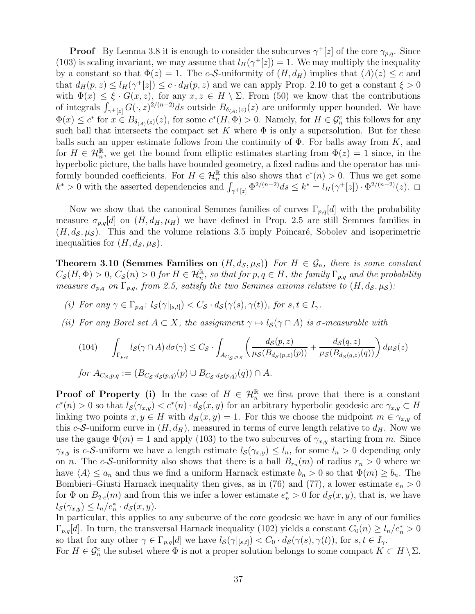**Proof** By Lemma [3.8](#page-35-2) it is enough to consider the subcurves  $\gamma^+[z]$  of the core  $\gamma_{p,q}$ . Since [\(103\)](#page-35-3) is scaling invariant, we may assume that  $l_H(\gamma^+[z]) = 1$ . We may multiply the inequality by a constant so that  $\Phi(z) = 1$ . The c-S-uniformity of  $(H, d_H)$  implies that  $\langle A \rangle(z) \leq c$  and that  $d_H(p, z) \leq l_H(\gamma^+[z]) \leq c \cdot d_H(p, z)$  and we can apply Prop. [2.10](#page-16-2) to get a constant  $\xi > 0$ with  $\Phi(x) \leq \xi \cdot G(x, z)$ , for any  $x, z \in H \setminus \Sigma$ . From [\(50\)](#page-20-0) we know that the contributions of integrals  $\int_{\gamma^+[z]} G(\cdot, z)^{2/(n-2)} ds$  outside  $B_{\delta_{\langle A \rangle}(z)}(z)$  are uniformly upper bounded. We have  $\Phi(x) \leq c^*$  for  $x \in B_{\delta_{\langle A \rangle}(z)}(z)$ , for some  $c^*(H, \Phi) > 0$ . Namely, for  $H \in \mathcal{G}_n^c$  this follows for any such ball that intersects the compact set K where  $\Phi$  is only a supersolution. But for these balls such an upper estimate follows from the continuity of  $\Phi$ . For balls away from K, and for  $H \in \mathcal{H}_n^{\mathbb{R}}$ , we get the bound from elliptic estimates starting from  $\Phi(z) = 1$  since, in the hyperbolic picture, the balls have bounded geometry, a fixed radius and the operator has uniformly bounded coefficients. For  $H \in \mathcal{H}_n^{\mathbb{R}}$  this also shows that  $c^*(n) > 0$ . Thus we get some  $k^* > 0$  with the asserted dependencies and  $\int_{\gamma^+[z]} \Phi^{2/(n-2)} ds \leq k^* = l_H(\gamma^+[z]) \cdot \Phi^{2/(n-2)}(z)$ .

Now we show that the canonical Semmes families of curves  $\Gamma_{p,q}[d]$  with the probability measure  $\sigma_{p,q}[d]$  on  $(H, d_H, \mu_H)$  we have defined in Prop. [2.5](#page-12-0) are still Semmes families in  $(H, d<sub>S</sub>, \mu<sub>S</sub>)$ . This and the volume relations [3.5](#page-31-3) imply Poincaré, Sobolev and isoperimetric inequalities for  $(H, d_{\mathcal{S}}, \mu_{\mathcal{S}})$ .

<span id="page-36-1"></span>**Theorem 3.10 (Semmes Families on**  $(H, d_{\mathcal{S}}, \mu_{\mathcal{S}}))$  For  $H \in \mathcal{G}_n$ , there is some constant  $C_{\cal S}(H,\Phi)>0,$   $C_{\cal S}(n)>0$  for  $H\in {\cal H}_n^{\mathbb R},$  so that for  $p,q\in H,$  the family  $\Gamma_{p,q}$  and the probability measure  $\sigma_{p,q}$  on  $\Gamma_{p,q}$ , from [2.5,](#page-12-0) satisfy the two Semmes axioms relative to  $(H, d_{\mathcal{S}}, \mu_{\mathcal{S}})$ :

- (i) For any  $\gamma \in \Gamma_{p,q}: l_{\mathcal{S}}(\gamma|_{[s,t]}) < C_{\mathcal{S}} \cdot d_{\mathcal{S}}(\gamma(s), \gamma(t)),$  for  $s, t \in I_{\gamma}$ .
- (ii) For any Borel set  $A \subset X$ , the assignment  $\gamma \mapsto l_{\mathcal{S}}(\gamma \cap A)$  is  $\sigma$ -measurable with

<span id="page-36-0"></span>
$$
(104) \qquad \int_{\Gamma_{p,q}} l_{\mathcal{S}}(\gamma \cap A) d\sigma(\gamma) \leq C_{\mathcal{S}} \cdot \int_{A_{C_{\mathcal{S}},p,q}} \left( \frac{d_{\mathcal{S}}(p,z)}{\mu_{\mathcal{S}}(B_{d_{\mathcal{S}}(p,z)}(p))} + \frac{d_{\mathcal{S}}(q,z)}{\mu_{\mathcal{S}}(B_{d_{\mathcal{S}}(q,z)}(q))} \right) d\mu_{\mathcal{S}}(z)
$$
  
for  $A_{C_{\mathcal{S}},p,q} := (B_{C_{\mathcal{S}} \cdot d_{\mathcal{S}}(p,q)}(p) \cup B_{C_{\mathcal{S}} \cdot d_{\mathcal{S}}(p,q)}(q)) \cap A.$ 

**Proof of Property (i)** In the case of  $H \in \mathcal{H}_n^{\mathbb{R}}$  we first prove that there is a constant  $c^*(n) > 0$  so that  $l_{\mathcal{S}}(\gamma_{x,y}) < c^*(n) \cdot d_{\mathcal{S}}(x,y)$  for an arbitrary hyperbolic geodesic arc  $\gamma_{x,y} \subset H$ linking two points  $x, y \in H$  with  $d_H(x, y) = 1$ . For this we choose the midpoint  $m \in \gamma_{x,y}$  of this c-S-uniform curve in  $(H, d_H)$ , measured in terms of curve length relative to  $d_H$ . Now we use the gauge  $\Phi(m) = 1$  and apply [\(103\)](#page-35-3) to the two subcurves of  $\gamma_{x,y}$  starting from m. Since  $\gamma_{x,y}$  is c-S-uniform we have a length estimate  $l_{\mathcal{S}}(\gamma_{x,y}) \leq l_n$ , for some  $l_n > 0$  depending only on *n*. The *c*-S-uniformity also shows that there is a ball  $B_{r_n}(m)$  of radius  $r_n > 0$  where we have  $\langle A \rangle \le a_n$  and thus we find a uniform Harnack estimate  $b_n > 0$  so that  $\Phi(m) \ge b_n$ . The Bombieri–Giusti Harnack inequality then gives, as in [\(76\)](#page-29-1) and [\(77\)](#page-29-2), a lower estimate  $e_n > 0$ for  $\Phi$  on  $B_{2c}(m)$  and from this we infer a lower estimate  $e_n^* > 0$  for  $d_{\mathcal{S}}(x, y)$ , that is, we have  $l_{\mathcal{S}}(\gamma_{x,y}) \leq l_n/e_n^* \cdot d_{\mathcal{S}}(x,y).$ 

In particular, this applies to any subcurve of the core geodesic we have in any of our families  $\Gamma_{p,q}[d]$ . In turn, the transversal Harnack inequality [\(102\)](#page-35-1) yields a constant  $C_0(n) \geq l_n/e_n^* > 0$ so that for any other  $\gamma \in \Gamma_{p,q}[d]$  we have  $l_{\mathcal{S}}(\gamma|_{[s,t]}) < C_0 \cdot d_{\mathcal{S}}(\gamma(s), \gamma(t))$ , for  $s, t \in I_{\gamma}$ .

For  $H \in \mathcal{G}_n^c$  the subset where  $\Phi$  is not a proper solution belongs to some compact  $K \subset H \setminus \Sigma$ .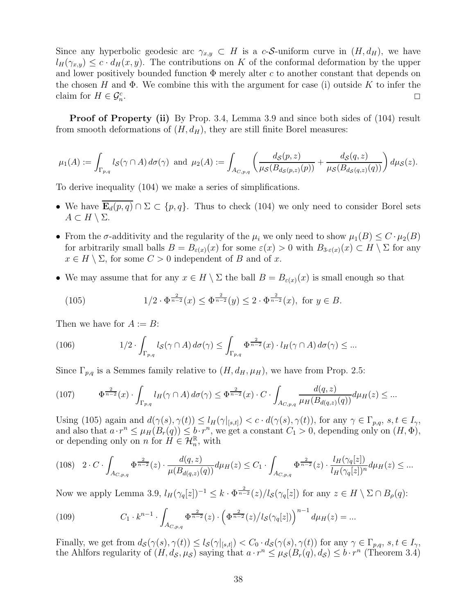Since any hyperbolic geodesic arc  $\gamma_{x,y} \subset H$  is a c-S-uniform curve in  $(H, d_H)$ , we have  $l_H(\gamma_{x,y}) \leq c \cdot d_H(x,y)$ . The contributions on K of the conformal deformation by the upper and lower positively bounded function  $\Phi$  merely alter c to another constant that depends on the chosen H and  $\Phi$ . We combine this with the argument for case (i) outside K to infer the claim for  $H \in \mathcal{G}_n^c$ . 2

Proof of Property (ii) By Prop. [3.4,](#page-31-2) Lemma [3.9](#page-35-4) and since both sides of [\(104\)](#page-36-0) result from smooth deformations of  $(H, d_H)$ , they are still finite Borel measures:

$$
\mu_1(A) := \int_{\Gamma_{p,q}} l_{\mathcal{S}}(\gamma \cap A) d\sigma(\gamma) \text{ and } \mu_2(A) := \int_{A_{C,p,q}} \left( \frac{d_{\mathcal{S}}(p,z)}{\mu_{\mathcal{S}}(B_{d_{\mathcal{S}}(p,z)}(p))} + \frac{d_{\mathcal{S}}(q,z)}{\mu_{\mathcal{S}}(B_{d_{\mathcal{S}}(q,z)}(q))} \right) d\mu_{\mathcal{S}}(z).
$$

To derive inequality [\(104\)](#page-36-0) we make a series of simplifications.

- We have  $\mathbf{E}_d(p,q) \cap \Sigma \subset \{p,q\}$ . Thus to check [\(104\)](#page-36-0) we only need to consider Borel sets  $A \subset H \setminus \Sigma$ .
- From the  $\sigma$ -additivity and the regularity of the  $\mu_i$  we only need to show  $\mu_1(B) \leq C \cdot \mu_2(B)$ for arbitrarily small balls  $B = B_{\varepsilon(x)}(x)$  for some  $\varepsilon(x) > 0$  with  $B_{3-\varepsilon(x)}(x) \subset H \setminus \Sigma$  for any  $x \in H \setminus \Sigma$ , for some  $C > 0$  independent of B and of x.
- We may assume that for any  $x \in H \setminus \Sigma$  the ball  $B = B_{\varepsilon(x)}(x)$  is small enough so that

<span id="page-37-0"></span>(105) 
$$
1/2 \cdot \Phi^{\frac{2}{n-2}}(x) \le \Phi^{\frac{2}{n-2}}(y) \le 2 \cdot \Phi^{\frac{2}{n-2}}(x), \text{ for } y \in B.
$$

Then we have for  $A := B$ :

(106) 
$$
1/2 \cdot \int_{\Gamma_{p,q}} l_{\mathcal{S}}(\gamma \cap A) d\sigma(\gamma) \leq \int_{\Gamma_{p,q}} \Phi^{\frac{2}{n-2}}(x) \cdot l_H(\gamma \cap A) d\sigma(\gamma) \leq ...
$$

Since  $\Gamma_{p,q}$  is a Semmes family relative to  $(H, d_H, \mu_H)$ , we have from Prop. [2.5:](#page-12-0)

$$
(107) \qquad \Phi^{\frac{2}{n-2}}(x) \cdot \int_{\Gamma_{p,q}} l_H(\gamma \cap A) d\sigma(\gamma) \leq \Phi^{\frac{2}{n-2}}(x) \cdot C \cdot \int_{A_{C,p,q}} \frac{d(q,z)}{\mu_H(B_{d(q,z)}(q))} d\mu_H(z) \leq \dots
$$

Using [\(105\)](#page-37-0) again and  $d(\gamma(s), \gamma(t)) \leq l_H(\gamma|_{[s,t]}) < c \cdot d(\gamma(s), \gamma(t))$ , for any  $\gamma \in \Gamma_{p,q}$ ,  $s, t \in I_{\gamma}$ , and also that  $a \cdot r^n \leq \mu_H(B_r(q)) \leq b \cdot r^n$ , we get a constant  $C_1 > 0$ , depending only on  $(H, \Phi)$ , or depending only on  $n$  for  $H \in \mathcal{H}_n^{\mathbb{R}}$ , with

$$
(108)\quad 2\cdot C\cdot \int_{A_{C,p,q}} \Phi^{\frac{2}{n-2}}(z)\cdot \frac{d(q,z)}{\mu(B_{d(q,z)}(q))} d\mu_H(z) \leq C_1\cdot \int_{A_{C,p,q}} \Phi^{\frac{2}{n-2}}(z)\cdot \frac{l_H(\gamma_q[z])}{l_H(\gamma_q[z])^n} d\mu_H(z) \leq \dots
$$

Now we apply Lemma [3.9,](#page-35-4)  $l_H(\gamma_q[z])^{-1} \leq k \cdot \Phi^{\frac{2}{n-2}}(z)/l_{\mathcal{S}}(\gamma_q[z])$  for any  $z \in H \setminus \Sigma \cap B_\rho(q)$ :

(109) 
$$
C_1 \cdot k^{n-1} \cdot \int_{A_{C,p,q}} \Phi^{\frac{2}{n-2}}(z) \cdot \left(\Phi^{\frac{2}{n-2}}(z) / l_{\mathcal{S}}(\gamma_q[z])\right)^{n-1} d\mu_H(z) = ...
$$

Finally, we get from  $d_{\mathcal{S}}(\gamma(s), \gamma(t)) \leq l_{\mathcal{S}}(\gamma|_{[s,t]}) < C_0 \cdot d_{\mathcal{S}}(\gamma(s), \gamma(t))$  for any  $\gamma \in \Gamma_{p,q}, s, t \in I_{\gamma}$ , the Ahlfors regularity of  $(H, d_{\mathcal{S}}, \mu_{\mathcal{S}})$  saying that  $a \cdot r^n \leq \mu_{\mathcal{S}}(B_r(q), d_{\mathcal{S}}) \leq b \cdot r^n$  (Theorem [3.4\)](#page-31-2)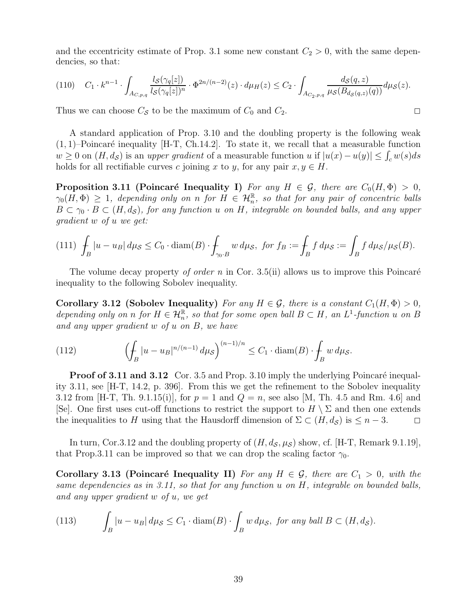and the eccentricity estimate of Prop. [3.1](#page-28-4) some new constant  $C_2 > 0$ , with the same dependencies, so that:

$$
(110) \quad C_1 \cdot k^{n-1} \cdot \int_{A_{C,p,q}} \frac{l_{\mathcal{S}}(\gamma_q[z])}{l_{\mathcal{S}}(\gamma_q[z])^n} \cdot \Phi^{2n/(n-2)}(z) \cdot d\mu_H(z) \le C_2 \cdot \int_{A_{C_2,p,q}} \frac{d_{\mathcal{S}}(q,z)}{\mu_{\mathcal{S}}(B_{d_{\mathcal{S}}(q,z)}(q))} d\mu_{\mathcal{S}}(z).
$$

Thus we can choose  $C_S$  to be the maximum of  $C_0$  and  $C_2$ .

A standard application of Prop. [3.10](#page-36-1) and the doubling property is the following weak  $(1, 1)$ –Poincaré inequality [\[H-T,](#page-41-9) Ch.14.2]. To state it, we recall that a measurable function  $w \geq 0$  on  $(H, d_{\mathcal{S}})$  is an upper gradient of a measurable function u if  $|u(x) - u(y)| \leq \int_{c} w(s) ds$ holds for all rectifiable curves c joining x to y, for any pair  $x, y \in H$ .

<span id="page-38-0"></span>**Proposition 3.11 (Poincaré Inequality I)** For any  $H \in \mathcal{G}$ , there are  $C_0(H, \Phi) > 0$ ,  $\gamma_0(H,\Phi)\,\geq\, 1, \, \, depending \,\, only \,\, on \,\, n \,\, for \,\, H \,\in\, \mathcal H_n^{\mathbb R}, \,\, so \,\, that \,\, for \,\, any \,\, pair \,\, of \,\, concentric \,\, balls.$  $B \subset \gamma_0 \cdot B \subset (H, d_S)$ , for any function u on H, integrable on bounded balls, and any upper gradient w of u we get:

$$
(111) \int_B |u - u_B| \, d\mu_{\mathcal{S}} \le C_0 \cdot \operatorname{diam}(B) \cdot \int_{\gamma_0 \cdot B} w \, d\mu_{\mathcal{S}}, \text{ for } f_B := \int_B f \, d\mu_{\mathcal{S}} := \int_B f \, d\mu_{\mathcal{S}}/\mu_{\mathcal{S}}(B).
$$

<span id="page-38-1"></span>The volume decay property *of order n* in Cor. [3.5\(](#page-31-3)ii) allows us to improve this Poincaré inequality to the following Sobolev inequality.

Corollary 3.12 (Sobolev Inequality) For any  $H \in \mathcal{G}$ , there is a constant  $C_1(H, \Phi) > 0$ , depending only on n for  $H \in \mathcal{H}_n^{\mathbb{R}}$ , so that for some open ball  $B \subset H$ , an  $L^1$ -function u on B and any upper gradient w of u on B, we have

(112) 
$$
\left(\int_B |u - u_B|^{n/(n-1)} d\mu_{\mathcal{S}}\right)^{(n-1)/n} \leq C_1 \cdot \text{diam}(B) \cdot \int_B w d\mu_{\mathcal{S}}.
$$

**Proof of [3.11](#page-38-0) and [3.12](#page-38-1)** Cor. [3.5](#page-31-3) and Prop. [3.10](#page-36-1) imply the underlying Poincaré inequality [3.11,](#page-38-0) see [\[H-T,](#page-41-9) 14.2, p. 396]. From this we get the refinement to the Sobolev inequality [3.12](#page-38-1) from [\[H-T,](#page-41-9) Th. 9.1.15(i)], for  $p = 1$  and  $Q = n$ , see also [\[M,](#page-41-16) Th. 4.5 and Rm. 4.6] and [\[Se\]](#page-41-15). One first uses cut-off functions to restrict the support to  $H \setminus \Sigma$  and then one extends the inequalities to H using that the Hausdorff dimension of  $\Sigma \subset (H, d_{\mathcal{S}})$  is  $\leq n-3$ .  $\square$ 

In turn, Cor[.3.12](#page-38-1) and the doubling property of  $(H, d_{\mathcal{S}}, \mu_{\mathcal{S}})$  show, cf. [\[H-T,](#page-41-9) Remark 9.1.19], that Prop[.3.11](#page-38-0) can be improved so that we can drop the scaling factor  $\gamma_0$ .

Corollary 3.13 (Poincaré Inequality II) For any  $H \in \mathcal{G}$ , there are  $C_1 > 0$ , with the same dependencies as in [3.11,](#page-38-0) so that for any function u on H, integrable on bounded balls, and any upper gradient w of u, we get

<span id="page-38-2"></span>(113) 
$$
\int_{B} |u - u_{B}| d\mu_{\mathcal{S}} \leq C_{1} \cdot \text{diam}(B) \cdot \int_{B} w d\mu_{\mathcal{S}}, \text{ for any ball } B \subset (H, d_{\mathcal{S}}).
$$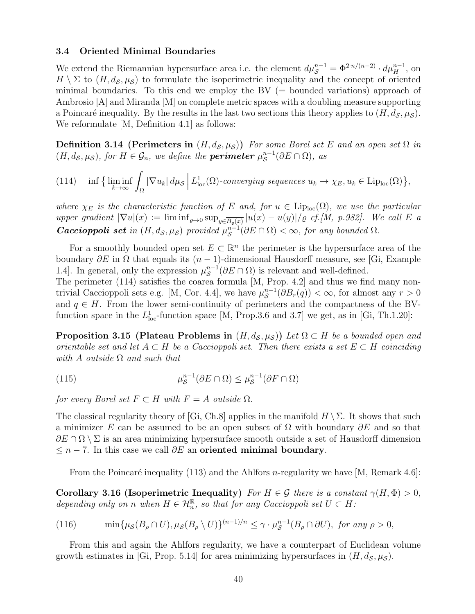#### <span id="page-39-0"></span>3.4 Oriented Minimal Boundaries

We extend the Riemannian hypersurface area i.e. the element  $d\mu_S^{n-1} = \Phi^{2 \cdot n/(n-2)} \cdot d\mu_H^{n-1}$ , on  $H \setminus \Sigma$  to  $(H, d_{\mathcal{S}}, \mu_{\mathcal{S}})$  to formulate the isoperimetric inequality and the concept of oriented minimal boundaries. To this end we employ the  $BV$  (= bounded variations) approach of Ambrosio [\[A\]](#page-40-0) and Miranda [\[M\]](#page-41-16) on complete metric spaces with a doubling measure supporting a Poincaré inequality. By the results in the last two sections this theory applies to  $(H, d<sub>S</sub>, \mu<sub>S</sub>)$ . We reformulate [\[M,](#page-41-16) Definition 4.1] as follows:

**Definition 3.14 (Perimeters in**  $(H, d_S, \mu_S)$ ) For some Borel set E and an open set  $\Omega$  in  $(H, d_{\mathcal{S}}, \mu_{\mathcal{S}}),$  for  $H \in \mathcal{G}_n$ , we define the **perimeter**  $\mu_{\mathcal{S}}^{n-1}$  $\mathcal{S}^{n-1}(\partial E \cap \Omega), \; as$ 

<span id="page-39-1"></span>(114) 
$$
\inf \left\{ \liminf_{k \to \infty} \int_{\Omega} |\nabla u_k| \, d\mu_{\mathcal{S}} \, \middle| \, L^1_{\text{loc}}(\Omega) \text{-converging sequences } u_k \to \chi_E, u_k \in \text{Lip}_{\text{loc}}(\Omega) \right\},
$$

where  $\chi_E$  is the characteristic function of E and, for  $u \in \text{Lip}_{loc}(\Omega)$ , we use the particular upper gradient  $|\nabla u|(x) := \liminf_{\varrho \to 0} \sup_{y \in \overline{B_{\varrho}(x)}} |u(x) - u(y)| / \varrho$  cf.[\[M,](#page-41-16) p.982]. We call E a Caccioppoli set in  $(H, d_S, \mu_S)$  provided  $\mu_S^{n-1}$  $S^{n-1}(\partial E \cap \Omega) < \infty$ , for any bounded  $\Omega$ .

For a smoothly bounded open set  $E \subset \mathbb{R}^n$  the perimeter is the hypersurface area of the boundary  $\partial E$  in  $\Omega$  that equals its  $(n-1)$ -dimensional Hausdorff measure, see [\[Gi,](#page-41-26) Example 1.4]. In general, only the expression  $\mu_S^{n-1}$  $S^{n-1}(\partial E \cap \Omega)$  is relevant and well-defined.

The perimeter [\(114\)](#page-39-1) satisfies the coarea formula [\[M,](#page-41-16) Prop. 4.2] and thus we find many non-trivial Caccioppoli sets e.g. [\[M,](#page-41-16) Cor. 4.4], we have  $\mu_S^{n-1}$  $\int_{\mathcal{S}}^{n-1} (\partial B_r(q)) < \infty$ , for almost any  $r > 0$ and  $q \in H$ . From the lower semi-continuity of perimeters and the compactness of the BVfunction space in the  $L<sub>loc</sub><sup>1</sup>$ -function space [\[M,](#page-41-16) Prop.3.6 and 3.7] we get, as in [\[Gi,](#page-41-26) Th.1.20]:

**Proposition 3.15 (Plateau Problems in**  $(H, d_{\mathcal{S}}, \mu_{\mathcal{S}})$ ) Let  $\Omega \subset H$  be a bounded open and orientable set and let  $A \subset H$  be a Caccioppoli set. Then there exists a set  $E \subset H$  coinciding with A outside  $\Omega$  and such that

(115) 
$$
\mu_{\mathcal{S}}^{n-1}(\partial E \cap \Omega) \leq \mu_{\mathcal{S}}^{n-1}(\partial F \cap \Omega)
$$

for every Borel set  $F \subset H$  with  $F = A$  outside  $\Omega$ .

The classical regularity theory of [\[Gi,](#page-41-26) Ch.8] applies in the manifold  $H \setminus \Sigma$ . It shows that such a minimizer E can be assumed to be an open subset of  $\Omega$  with boundary  $\partial E$  and so that  $\partial E \cap \Omega \setminus \Sigma$  is an area minimizing hypersurface smooth outside a set of Hausdorff dimension  $\leq n-7$ . In this case we call  $\partial E$  an oriented minimal boundary.

<span id="page-39-2"></span>From the Poincaré inequality [\(113\)](#page-38-2) and the Ahlfors *n*-regularity we have [\[M,](#page-41-16) Remark 4.6]:

Corollary 3.16 (Isoperimetric Inequality) For  $H \in \mathcal{G}$  there is a constant  $\gamma(H, \Phi) > 0$ , depending only on n when  $H \in \mathcal{H}_n^{\mathbb{R}}$ , so that for any Caccioppoli set  $U \subset H$ :

(116) 
$$
\min\{\mu_{\mathcal{S}}(B_{\rho}\cap U),\mu_{\mathcal{S}}(B_{\rho}\setminus U)\}^{(n-1)/n}\leq \gamma\cdot\mu_{\mathcal{S}}^{n-1}(B_{\rho}\cap\partial U),\text{ for any } \rho>0,
$$

From this and again the Ahlfors regularity, we have a counterpart of Euclidean volume growth estimates in [\[Gi,](#page-41-26) Prop. 5.14] for area minimizing hypersurfaces in  $(H, d<sub>S</sub>, \mu<sub>S</sub>)$ .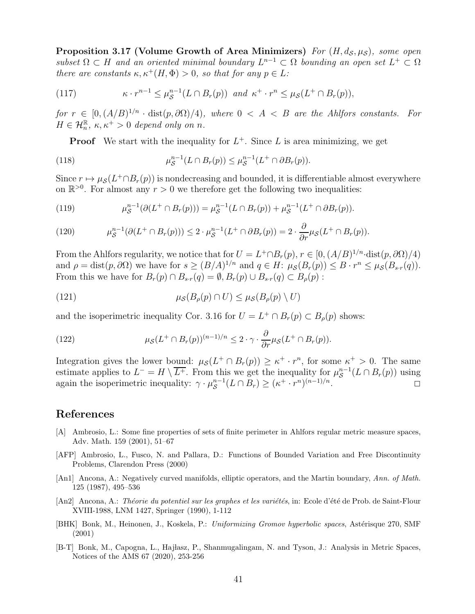**Proposition 3.17 (Volume Growth of Area Minimizers)** For  $(H, d_S, \mu_S)$ , some open  $subset \Omega \subset H$  and an oriented minimal boundary  $L^{n-1} \subset \Omega$  bounding an open set  $L^+ \subset \Omega$ there are constants  $\kappa, \kappa^+(H, \Phi) > 0$ , so that for any  $p \in L$ :

(117) 
$$
\kappa \cdot r^{n-1} \leq \mu_{\mathcal{S}}^{n-1}(L \cap B_r(p)) \text{ and } \kappa^+ \cdot r^n \leq \mu_{\mathcal{S}}(L^+ \cap B_r(p)),
$$

for  $r \in [0, (A/B)^{1/n} \cdot \text{dist}(p, \partial \Omega)/4)$ , where  $0 < A < B$  are the Ahlfors constants. For  $H \in \mathcal{H}_n^{\mathbb{R}}, \, \kappa, \kappa^+ > 0$  depend only on n.

**Proof** We start with the inequality for  $L^+$ . Since L is area minimizing, we get

(118) 
$$
\mu_S^{n-1}(L \cap B_r(p)) \le \mu_S^{n-1}(L^+ \cap \partial B_r(p)).
$$

Since  $r \mapsto \mu_{\mathcal{S}}(L^+\cap B_r(p))$  is nondecreasing and bounded, it is differentiable almost everywhere on  $\mathbb{R}^{>0}$ . For almost any  $r > 0$  we therefore get the following two inequalities:

(119) 
$$
\mu_{\mathcal{S}}^{n-1}(\partial(L^+\cap B_r(p))) = \mu_{\mathcal{S}}^{n-1}(L\cap B_r(p)) + \mu_{\mathcal{S}}^{n-1}(L^+\cap \partial B_r(p)).
$$

(120) 
$$
\mu_{\mathcal{S}}^{n-1}(\partial(L^+\cap B_r(p)))\leq 2\cdot \mu_{\mathcal{S}}^{n-1}(L^+\cap \partial B_r(p))=2\cdot \frac{\partial}{\partial r}\mu_{\mathcal{S}}(L^+\cap B_r(p)).
$$

From the Ahlfors regularity, we notice that for  $U = L^+\cap B_r(p)$ ,  $r \in [0, (A/B)^{1/n}$  dist $(p, \partial\Omega)/4)$ and  $\rho = \text{dist}(p, \partial \Omega)$  we have for  $s \ge (B/A)^{1/n}$  and  $q \in H$ :  $\mu_{\mathcal{S}}(B_r(p)) \le B \cdot r^n \le \mu_{\mathcal{S}}(B_{s \cdot r}(q)).$ From this we have for  $B_r(p) \cap B_{s}r(q) = \emptyset$ ,  $B_r(p) \cup B_{s}r(q) \subset B_{\rho}(p)$ :

(121) 
$$
\mu_{\mathcal{S}}(B_{\rho}(p) \cap U) \leq \mu_{\mathcal{S}}(B_{\rho}(p) \setminus U)
$$

and the isoperimetric inequality Cor. [3.16](#page-39-2) for  $U = L^+ \cap B_r(p) \subset B_\rho(p)$  shows:

(122) 
$$
\mu_{\mathcal{S}}(L^+\cap B_r(p))^{(n-1)/n}\leq 2\cdot\gamma\cdot\frac{\partial}{\partial r}\mu_{\mathcal{S}}(L^+\cap B_r(p)).
$$

Integration gives the lower bound:  $\mu_{\mathcal{S}}(L^+ \cap B_r(p)) \geq \kappa^+ \cdot r^n$ , for some  $\kappa^+ > 0$ . The same estimate applies to  $L^- = H \setminus \overline{L^+}$ . From this we get the inequality for  $\mu_S^{n-1}$  $S^{n-1}(L \cap B_r(p))$  using again the isoperimetric inequality:  $\gamma \cdot \mu_S^{n-1}$  $S^{n-1}(L \cap B_r) \geq (\kappa^+ \cdot r^n)^{(n-1)/n}.$ 

## References

- <span id="page-40-0"></span>[A] Ambrosio, L.: Some fine properties of sets of finite perimeter in Ahlfors regular metric measure spaces, Adv. Math. 159 (2001), 51–67
- <span id="page-40-2"></span>[AFP] Ambrosio, L., Fusco, N. and Pallara, D.: Functions of Bounded Variation and Free Discontinuity Problems, Clarendon Press (2000)
- <span id="page-40-3"></span>[An1] Ancona, A.: Negatively curved manifolds, elliptic operators, and the Martin boundary, Ann. of Math. 125 (1987), 495–536
- <span id="page-40-4"></span>[An2] Ancona, A.: Théorie du potentiel sur les graphes et les variétés, in: Ecole d'été de Prob. de Saint-Flour XVIII-1988, LNM 1427, Springer (1990), 1-112
- <span id="page-40-5"></span>[BHK] Bonk, M., Heinonen, J., Koskela, P.: Uniformizing Gromov hyperbolic spaces, Astérisque 270, SMF (2001)
- <span id="page-40-1"></span>[B-T] Bonk, M., Capogna, L., Hajłasz, P., Shanmugalingam, N. and Tyson, J.: Analysis in Metric Spaces, Notices of the AMS 67 (2020), 253-256